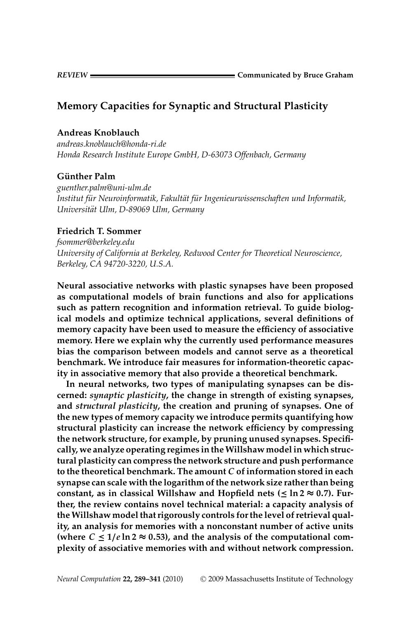# **Memory Capacities for Synaptic and Structural Plasticity**

## **Andreas Knoblauch**

*andreas.knoblauch@honda-ri.de Honda Research Institute Europe GmbH, D-63073 Offenbach, Germany*

### **Gunther Palm ¨**

*guenther.palm@uni-ulm.de Institut für Neuroinformatik, Fakultät für Ingenieurwissenschaften und Informatik, Universitat Ulm, D-89069 Ulm, Germany ¨*

### **Friedrich T. Sommer**

*fsommer@berkeley.edu University of California at Berkeley, Redwood Center for Theoretical Neuroscience, Berkeley, CA 94720-3220, U.S.A.*

**Neural associative networks with plastic synapses have been proposed as computational models of brain functions and also for applications such as pattern recognition and information retrieval. To guide biological models and optimize technical applications, several definitions of memory capacity have been used to measure the efficiency of associative memory. Here we explain why the currently used performance measures bias the comparison between models and cannot serve as a theoretical benchmark. We introduce fair measures for information-theoretic capacity in associative memory that also provide a theoretical benchmark.**

**In neural networks, two types of manipulating synapses can be discerned:** *synaptic plasticity***, the change in strength of existing synapses, and** *structural plasticity***, the creation and pruning of synapses. One of the new types of memory capacity we introduce permits quantifying how structural plasticity can increase the network efficiency by compressing the network structure, for example, by pruning unused synapses. Specifically, we analyze operating regimes in the Willshaw model in which structural plasticity can compress the network structure and push performance to the theoretical benchmark. The amount** *C* **of information stored in each synapse can scale with the logarithm of the network size rather than being constant, as in classical Willshaw and Hopfield nets (≤ ln 2 ≈ 0***.***7). Further, the review contains novel technical material: a capacity analysis of the Willshaw model that rigorously controls for the level of retrieval quality, an analysis for memories with a nonconstant number of active units** (where  $C$  ≤ 1/*e* ln 2 ≈ 0.53), and the analysis of the computational com**plexity of associative memories with and without network compression.**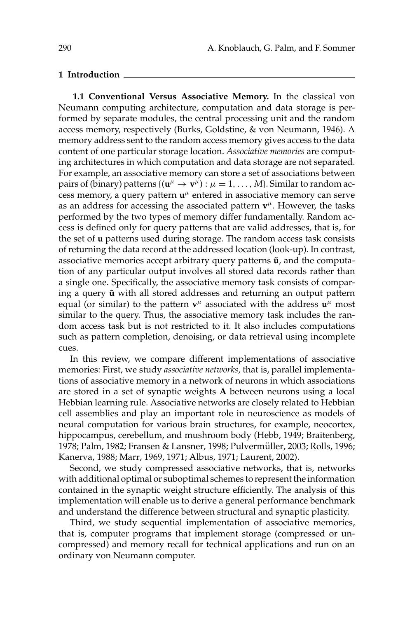#### **1 Introduction**

**1.1 Conventional Versus Associative Memory.** In the classical von Neumann computing architecture, computation and data storage is performed by separate modules, the central processing unit and the random access memory, respectively (Burks, Goldstine, & von Neumann, 1946). A memory address sent to the random access memory gives access to the data content of one particular storage location. *Associative memories* are computing architectures in which computation and data storage are not separated. For example, an associative memory can store a set of associations between pairs of (binary) patterns  $\{(\mathbf{u}^{\mu} \rightarrow \mathbf{v}^{\mu}) : \mu = 1, ..., M\}$ . Similar to random access memory, a query pattern **u**<sup>μ</sup> entered in associative memory can serve as an address for accessing the associated pattern  $v^{\mu}$ . However, the tasks performed by the two types of memory differ fundamentally. Random access is defined only for query patterns that are valid addresses, that is, for the set of **u** patterns used during storage. The random access task consists of returning the data record at the addressed location (look-up). In contrast, associative memories accept arbitrary query patterns  $\tilde{u}$ , and the computation of any particular output involves all stored data records rather than a single one. Specifically, the associative memory task consists of comparing a query  $\tilde{u}$  with all stored addresses and returning an output pattern equal (or similar) to the pattern **v**<sup>μ</sup> associated with the address **u**<sup>μ</sup> most similar to the query. Thus, the associative memory task includes the random access task but is not restricted to it. It also includes computations such as pattern completion, denoising, or data retrieval using incomplete cues.

In this review, we compare different implementations of associative memories: First, we study *associative networks*, that is, parallel implementations of associative memory in a network of neurons in which associations are stored in a set of synaptic weights **A** between neurons using a local Hebbian learning rule. Associative networks are closely related to Hebbian cell assemblies and play an important role in neuroscience as models of neural computation for various brain structures, for example, neocortex, hippocampus, cerebellum, and mushroom body (Hebb, 1949; Braitenberg, 1978; Palm, 1982; Fransen & Lansner, 1998; Pulvermuller, 2003; Rolls, 1996; ¨ Kanerva, 1988; Marr, 1969, 1971; Albus, 1971; Laurent, 2002).

Second, we study compressed associative networks, that is, networks with additional optimal or suboptimal schemes to represent the information contained in the synaptic weight structure efficiently. The analysis of this implementation will enable us to derive a general performance benchmark and understand the difference between structural and synaptic plasticity.

Third, we study sequential implementation of associative memories, that is, computer programs that implement storage (compressed or uncompressed) and memory recall for technical applications and run on an ordinary von Neumann computer.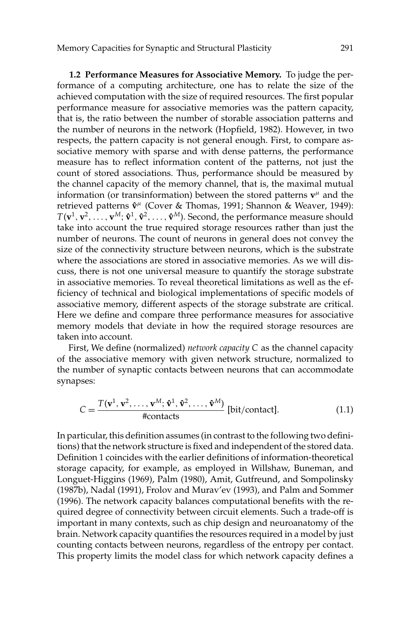**1.2 Performance Measures for Associative Memory.** To judge the performance of a computing architecture, one has to relate the size of the achieved computation with the size of required resources. The first popular performance measure for associative memories was the pattern capacity, that is, the ratio between the number of storable association patterns and the number of neurons in the network (Hopfield, 1982). However, in two respects, the pattern capacity is not general enough. First, to compare associative memory with sparse and with dense patterns, the performance measure has to reflect information content of the patterns, not just the count of stored associations. Thus, performance should be measured by the channel capacity of the memory channel, that is, the maximal mutual information (or transinformation) between the stored patterns  $\mathbf{v}^{\mu}$  and the retrieved patterns  $\hat{\mathbf{v}}^{\mu}$  (Cover & Thomas, 1991; Shannon & Weaver, 1949):  $T(\mathbf{v}^1, \mathbf{v}^2, \ldots, \mathbf{v}^M; \hat{\mathbf{v}}^1, \hat{\mathbf{v}}^2, \ldots, \hat{\mathbf{v}}^M)$ . Second, the performance measure should take into account the true required storage resources rather than just the number of neurons. The count of neurons in general does not convey the size of the connectivity structure between neurons, which is the substrate where the associations are stored in associative memories. As we will discuss, there is not one universal measure to quantify the storage substrate in associative memories. To reveal theoretical limitations as well as the efficiency of technical and biological implementations of specific models of associative memory, different aspects of the storage substrate are critical. Here we define and compare three performance measures for associative memory models that deviate in how the required storage resources are taken into account.

First, We define (normalized) *network capacity C* as the channel capacity of the associative memory with given network structure, normalized to the number of synaptic contacts between neurons that can accommodate synapses:

$$
C = \frac{T(\mathbf{v}^1, \mathbf{v}^2, \dots, \mathbf{v}^M; \hat{\mathbf{v}}^1, \hat{\mathbf{v}}^2, \dots, \hat{\mathbf{v}}^M)}{\text{#contacts}} \text{ [bit/contact]}.
$$
 (1.1)

In particular, this definition assumes (in contrast to the following two definitions) that the network structure is fixed and independent of the stored data. Definition 1 coincides with the earlier definitions of information-theoretical storage capacity, for example, as employed in Willshaw, Buneman, and Longuet-Higgins (1969), Palm (1980), Amit, Gutfreund, and Sompolinsky (1987b), Nadal (1991), Frolov and Murav'ev (1993), and Palm and Sommer (1996). The network capacity balances computational benefits with the required degree of connectivity between circuit elements. Such a trade-off is important in many contexts, such as chip design and neuroanatomy of the brain. Network capacity quantifies the resources required in a model by just counting contacts between neurons, regardless of the entropy per contact. This property limits the model class for which network capacity defines a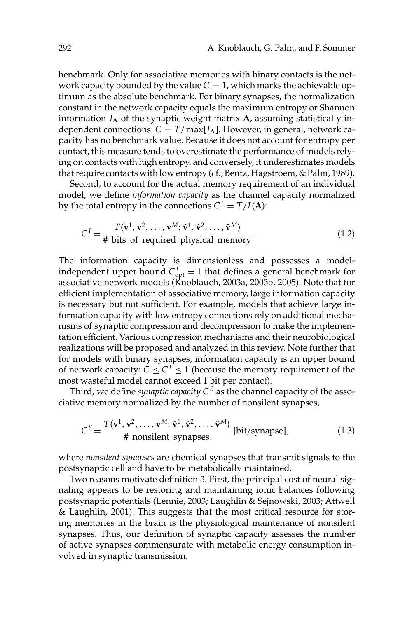benchmark. Only for associative memories with binary contacts is the network capacity bounded by the value  $C = 1$ , which marks the achievable optimum as the absolute benchmark. For binary synapses, the normalization constant in the network capacity equals the maximum entropy or Shannon information  $I_A$  of the synaptic weight matrix  $A$ , assuming statistically independent connections:  $C = T / max[I_A]$ . However, in general, network capacity has no benchmark value. Because it does not account for entropy per contact, this measure tends to overestimate the performance of models relying on contacts with high entropy, and conversely, it underestimates models that require contacts with low entropy (cf., Bentz, Hagstroem, & Palm, 1989).

Second, to account for the actual memory requirement of an individual model, we define *information capacity* as the channel capacity normalized by the total entropy in the connections  $C^I = T/I(A)$ :

$$
C^{I} = \frac{T(\mathbf{v}^{1}, \mathbf{v}^{2}, \dots, \mathbf{v}^{M}; \hat{\mathbf{v}}^{1}, \hat{\mathbf{v}}^{2}, \dots, \hat{\mathbf{v}}^{M})}{\text{# bits of required physical memory}}.
$$
\n(1.2)

The information capacity is dimensionless and possesses a modelindependent upper bound  $C_{opt}^I = 1$  that defines a general benchmark for associative network models (Knoblauch, 2003a, 2003b, 2005). Note that for efficient implementation of associative memory, large information capacity is necessary but not sufficient. For example, models that achieve large information capacity with low entropy connections rely on additional mechanisms of synaptic compression and decompression to make the implementation efficient. Various compression mechanisms and their neurobiological realizations will be proposed and analyzed in this review. Note further that for models with binary synapses, information capacity is an upper bound of network capacity:  $C \leq C^T \leq 1$  (because the memory requirement of the most wasteful model cannot exceed 1 bit per contact).

Third, we define *synaptic capacity C<sup>S</sup>* as the channel capacity of the associative memory normalized by the number of nonsilent synapses,

$$
C^{S} = \frac{T(\mathbf{v}^{1}, \mathbf{v}^{2}, \dots, \mathbf{v}^{M}; \hat{\mathbf{v}}^{1}, \hat{\mathbf{v}}^{2}, \dots, \hat{\mathbf{v}}^{M})}{\# \text{ nonsilent synapses}} \text{ [bit/synapse]},
$$
 (1.3)

where *nonsilent synapses* are chemical synapses that transmit signals to the postsynaptic cell and have to be metabolically maintained.

Two reasons motivate definition 3. First, the principal cost of neural signaling appears to be restoring and maintaining ionic balances following postsynaptic potentials (Lennie, 2003; Laughlin & Sejnowski, 2003; Attwell & Laughlin, 2001). This suggests that the most critical resource for storing memories in the brain is the physiological maintenance of nonsilent synapses. Thus, our definition of synaptic capacity assesses the number of active synapses commensurate with metabolic energy consumption involved in synaptic transmission.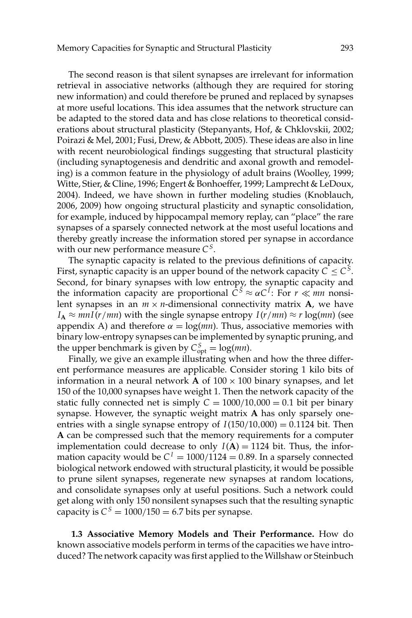The second reason is that silent synapses are irrelevant for information retrieval in associative networks (although they are required for storing new information) and could therefore be pruned and replaced by synapses at more useful locations. This idea assumes that the network structure can be adapted to the stored data and has close relations to theoretical considerations about structural plasticity (Stepanyants, Hof, & Chklovskii, 2002; Poirazi & Mel, 2001; Fusi, Drew, & Abbott, 2005). These ideas are also in line with recent neurobiological findings suggesting that structural plasticity (including synaptogenesis and dendritic and axonal growth and remodeling) is a common feature in the physiology of adult brains (Woolley, 1999; Witte, Stier, & Cline, 1996; Engert & Bonhoeffer, 1999; Lamprecht & LeDoux, 2004). Indeed, we have shown in further modeling studies (Knoblauch, 2006, 2009) how ongoing structural plasticity and synaptic consolidation, for example, induced by hippocampal memory replay, can "place" the rare synapses of a sparsely connected network at the most useful locations and thereby greatly increase the information stored per synapse in accordance with our new performance measure *C<sup>S</sup>*.

The synaptic capacity is related to the previous definitions of capacity. First, synaptic capacity is an upper bound of the network capacity  $C \leq C^S$ . Second, for binary synapses with low entropy, the synaptic capacity and the information capacity are proportional  $\tilde{C}^{\tilde{S}} \approx \alpha C^{\tilde{I}}$ : For  $r \ll mn$  nonsilent synapses in an  $m \times n$ -dimensional connectivity matrix  $A$ , we have  $I_A \approx mnI(r/mn)$  with the single synapse entropy  $I(r/mn) \approx r \log(mn)$  (see appendix A) and therefore  $\alpha = \log(mn)$ . Thus, associative memories with binary low-entropy synapses can be implemented by synaptic pruning, and the upper benchmark is given by  $C_{opt}^S = \log(mn)$ .

Finally, we give an example illustrating when and how the three different performance measures are applicable. Consider storing 1 kilo bits of information in a neural network **A** of  $100 \times 100$  binary synapses, and let 150 of the 10,000 synapses have weight 1. Then the network capacity of the static fully connected net is simply  $C = 1000/10,000 = 0.1$  bit per binary synapse. However, the synaptic weight matrix **A** has only sparsely oneentries with a single synapse entropy of  $I(150/10,000) = 0.1124$  bit. Then **A** can be compressed such that the memory requirements for a computer implementation could decrease to only  $I(A) = 1124$  bit. Thus, the information capacity would be  $C<sup>I</sup> = 1000/1124 = 0.89$ . In a sparsely connected biological network endowed with structural plasticity, it would be possible to prune silent synapses, regenerate new synapses at random locations, and consolidate synapses only at useful positions. Such a network could get along with only 150 nonsilent synapses such that the resulting synaptic capacity is  $C^S = 1000/150 = 6.7$  bits per synapse.

**1.3 Associative Memory Models and Their Performance.** How do known associative models perform in terms of the capacities we have introduced? The network capacity was first applied to the Willshaw or Steinbuch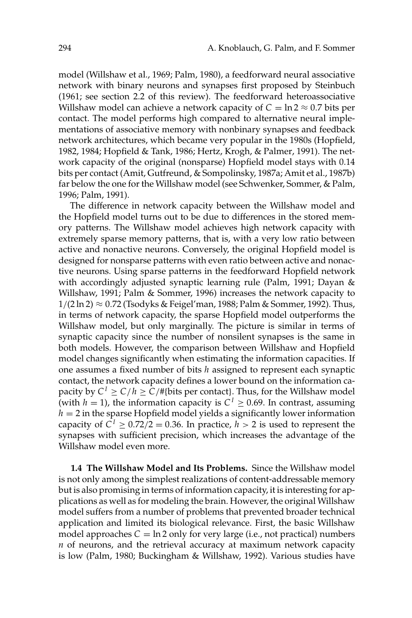model (Willshaw et al., 1969; Palm, 1980), a feedforward neural associative network with binary neurons and synapses first proposed by Steinbuch (1961; see section 2.2 of this review). The feedforward heteroassociative Willshaw model can achieve a network capacity of  $C = \ln 2 \approx 0.7$  bits per contact. The model performs high compared to alternative neural implementations of associative memory with nonbinary synapses and feedback network architectures, which became very popular in the 1980s (Hopfield, 1982, 1984; Hopfield & Tank, 1986; Hertz, Krogh, & Palmer, 1991). The network capacity of the original (nonsparse) Hopfield model stays with 0.14 bits per contact (Amit, Gutfreund, & Sompolinsky, 1987a; Amit et al., 1987b) far below the one for the Willshaw model (see Schwenker, Sommer, & Palm, 1996; Palm, 1991).

The difference in network capacity between the Willshaw model and the Hopfield model turns out to be due to differences in the stored memory patterns. The Willshaw model achieves high network capacity with extremely sparse memory patterns, that is, with a very low ratio between active and nonactive neurons. Conversely, the original Hopfield model is designed for nonsparse patterns with even ratio between active and nonactive neurons. Using sparse patterns in the feedforward Hopfield network with accordingly adjusted synaptic learning rule (Palm, 1991; Dayan & Willshaw, 1991; Palm & Sommer, 1996) increases the network capacity to  $1/(2 \ln 2) \approx 0.72$  (Tsodyks & Feigel'man, 1988; Palm & Sommer, 1992). Thus, in terms of network capacity, the sparse Hopfield model outperforms the Willshaw model, but only marginally. The picture is similar in terms of synaptic capacity since the number of nonsilent synapses is the same in both models. However, the comparison between Willshaw and Hopfield model changes significantly when estimating the information capacities. If one assumes a fixed number of bits *h* assigned to represent each synaptic contact, the network capacity defines a lower bound on the information capacity by  $C^I \geq C/h \geq C/\#$ {bits per contact}. Thus, for the Willshaw model (with  $h = 1$ ), the information capacity is  $C^I \geq 0.69$ . In contrast, assuming  $h = 2$  in the sparse Hopfield model yields a significantly lower information capacity of  $C^I \geq 0.72/2 = 0.36$ . In practice,  $h > 2$  is used to represent the synapses with sufficient precision, which increases the advantage of the Willshaw model even more.

**1.4 The Willshaw Model and Its Problems.** Since the Willshaw model is not only among the simplest realizations of content-addressable memory but is also promising in terms of information capacity, it is interesting for applications as well as for modeling the brain. However, the original Willshaw model suffers from a number of problems that prevented broader technical application and limited its biological relevance. First, the basic Willshaw model approaches  $C = \ln 2$  only for very large (i.e., not practical) numbers *n* of neurons, and the retrieval accuracy at maximum network capacity is low (Palm, 1980; Buckingham & Willshaw, 1992). Various studies have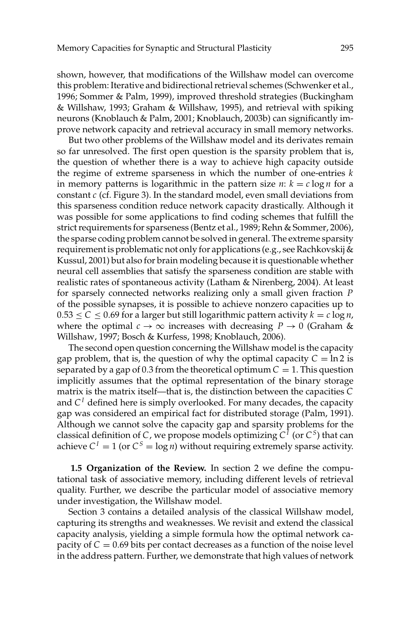shown, however, that modifications of the Willshaw model can overcome this problem: Iterative and bidirectional retrieval schemes (Schwenker et al., 1996; Sommer & Palm, 1999), improved threshold strategies (Buckingham & Willshaw, 1993; Graham & Willshaw, 1995), and retrieval with spiking neurons (Knoblauch & Palm, 2001; Knoblauch, 2003b) can significantly improve network capacity and retrieval accuracy in small memory networks.

But two other problems of the Willshaw model and its derivates remain so far unresolved. The first open question is the sparsity problem that is, the question of whether there is a way to achieve high capacity outside the regime of extreme sparseness in which the number of one-entries *k* in memory patterns is logarithmic in the pattern size *n*:  $k = c \log n$  for a constant *c* (cf. Figure 3). In the standard model, even small deviations from this sparseness condition reduce network capacity drastically. Although it was possible for some applications to find coding schemes that fulfill the strict requirements for sparseness (Bentz et al., 1989; Rehn & Sommer, 2006), the sparse coding problem cannot be solved in general. The extreme sparsity requirement is problematic not only for applications (e.g., see Rachkovskij & Kussul, 2001) but also for brain modeling because it is questionable whether neural cell assemblies that satisfy the sparseness condition are stable with realistic rates of spontaneous activity (Latham & Nirenberg, 2004). At least for sparsely connected networks realizing only a small given fraction *P* of the possible synapses, it is possible to achieve nonzero capacities up to  $0.53 \le C \le 0.69$  for a larger but still logarithmic pattern activity  $k = c \log n$ , where the optimal  $c \to \infty$  increases with decreasing  $P \to 0$  (Graham & Willshaw, 1997; Bosch & Kurfess, 1998; Knoblauch, 2006).

The second open question concerning the Willshaw model is the capacity gap problem, that is, the question of why the optimal capacity  $C = \ln 2$  is separated by a gap of 0.3 from the theoretical optimum  $C = 1$ . This question implicitly assumes that the optimal representation of the binary storage matrix is the matrix itself—that is, the distinction between the capacities *C* and  $C<sup>I</sup>$  defined here is simply overlooked. For many decades, the capacity gap was considered an empirical fact for distributed storage (Palm, 1991). Although we cannot solve the capacity gap and sparsity problems for the classical definition of *C*, we propose models optimizing  $C^I$  (or  $C^S$ ) that can achieve  $C^I = 1$  (or  $C^S = \log n$ ) without requiring extremely sparse activity.

**1.5 Organization of the Review.** In section 2 we define the computational task of associative memory, including different levels of retrieval quality. Further, we describe the particular model of associative memory under investigation, the Willshaw model.

Section 3 contains a detailed analysis of the classical Willshaw model, capturing its strengths and weaknesses. We revisit and extend the classical capacity analysis, yielding a simple formula how the optimal network capacity of  $C = 0.69$  bits per contact decreases as a function of the noise level in the address pattern. Further, we demonstrate that high values of network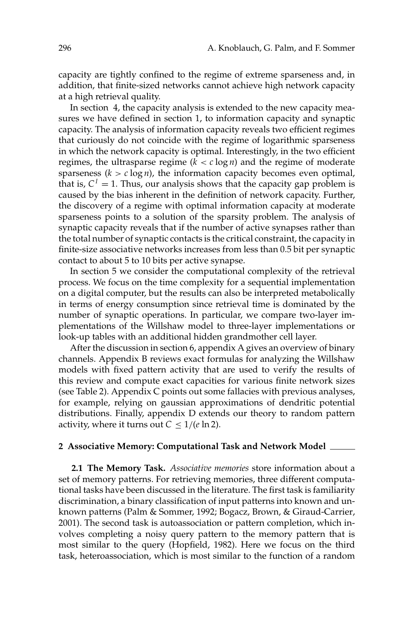capacity are tightly confined to the regime of extreme sparseness and, in addition, that finite-sized networks cannot achieve high network capacity at a high retrieval quality.

In section 4, the capacity analysis is extended to the new capacity measures we have defined in section 1, to information capacity and synaptic capacity. The analysis of information capacity reveals two efficient regimes that curiously do not coincide with the regime of logarithmic sparseness in which the network capacity is optimal. Interestingly, in the two efficient regimes, the ultrasparse regime  $(k < c \log n)$  and the regime of moderate sparseness  $(k > c \log n)$ , the information capacity becomes even optimal, that is,  $C^I = 1$ . Thus, our analysis shows that the capacity gap problem is caused by the bias inherent in the definition of network capacity. Further, the discovery of a regime with optimal information capacity at moderate sparseness points to a solution of the sparsity problem. The analysis of synaptic capacity reveals that if the number of active synapses rather than the total number of synaptic contacts is the critical constraint, the capacity in finite-size associative networks increases from less than 0.5 bit per synaptic contact to about 5 to 10 bits per active synapse.

In section 5 we consider the computational complexity of the retrieval process. We focus on the time complexity for a sequential implementation on a digital computer, but the results can also be interpreted metabolically in terms of energy consumption since retrieval time is dominated by the number of synaptic operations. In particular, we compare two-layer implementations of the Willshaw model to three-layer implementations or look-up tables with an additional hidden grandmother cell layer.

After the discussion in section 6, appendix A gives an overview of binary channels. Appendix B reviews exact formulas for analyzing the Willshaw models with fixed pattern activity that are used to verify the results of this review and compute exact capacities for various finite network sizes (see Table 2). Appendix C points out some fallacies with previous analyses, for example, relying on gaussian approximations of dendritic potential distributions. Finally, appendix D extends our theory to random pattern activity, where it turns out  $C \leq 1/(e \ln 2)$ .

#### **2 Associative Memory: Computational Task and Network Model**

**2.1 The Memory Task.** *Associative memories* store information about a set of memory patterns. For retrieving memories, three different computational tasks have been discussed in the literature. The first task is familiarity discrimination, a binary classification of input patterns into known and unknown patterns (Palm & Sommer, 1992; Bogacz, Brown, & Giraud-Carrier, 2001). The second task is autoassociation or pattern completion, which involves completing a noisy query pattern to the memory pattern that is most similar to the query (Hopfield, 1982). Here we focus on the third task, heteroassociation, which is most similar to the function of a random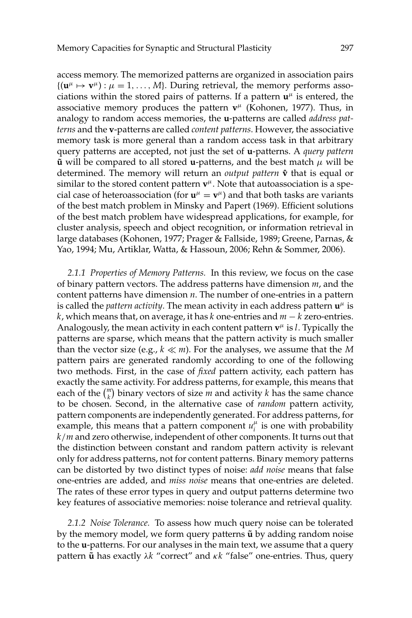access memory. The memorized patterns are organized in association pairs  $\{({\bf u}^{\mu} \mapsto {\bf v}^{\mu}): \mu = 1, \ldots, M\}$ . During retrieval, the memory performs associations within the stored pairs of patterns. If a pattern  $\mathbf{u}^{\mu}$  is entered, the associative memory produces the pattern  $v^{\mu}$  (Kohonen, 1977). Thus, in analogy to random access memories, the **u**-patterns are called *address patterns* and the **v**-patterns are called *content patterns*. However, the associative memory task is more general than a random access task in that arbitrary query patterns are accepted, not just the set of **u**-patterns. A *query pattern*  $\tilde{u}$  will be compared to all stored **u**-patterns, and the best match  $\mu$  will be determined. The memory will return an *output pattern* **vˆ** that is equal or similar to the stored content pattern  $v^{\mu}$ . Note that autoassociation is a special case of heteroassociation (for  $\mathbf{u}^{\mu} = \mathbf{v}^{\mu}$ ) and that both tasks are variants of the best match problem in Minsky and Papert (1969). Efficient solutions of the best match problem have widespread applications, for example, for cluster analysis, speech and object recognition, or information retrieval in large databases (Kohonen, 1977; Prager & Fallside, 1989; Greene, Parnas, & Yao, 1994; Mu, Artiklar, Watta, & Hassoun, 2006; Rehn & Sommer, 2006).

*2.1.1 Properties of Memory Patterns.* In this review, we focus on the case of binary pattern vectors. The address patterns have dimension *m*, and the content patterns have dimension *n*. The number of one-entries in a pattern is called the *pattern activity*. The mean activity in each address pattern **u**<sup>μ</sup> is *k*, which means that, on average, it has *k* one-entries and *m* − *k* zero-entries. Analogously, the mean activity in each content pattern  $\mathbf{v}^{\mu}$  is *l*. Typically the patterns are sparse, which means that the pattern activity is much smaller than the vector size (e.g.,  $k \ll m$ ). For the analyses, we assume that the *M* pattern pairs are generated randomly according to one of the following two methods. First, in the case of *fixed* pattern activity, each pattern has exactly the same activity. For address patterns, for example, this means that each of the  $\binom{m}{k}$  binary vectors of size *m* and activity *k* has the same chance to be chosen. Second, in the alternative case of *random* pattern activity, pattern components are independently generated. For address patterns, for example, this means that a pattern component  $u_i^{\mu}$  is one with probability *k*/*m* and zero otherwise, independent of other components. It turns out that the distinction between constant and random pattern activity is relevant only for address patterns, not for content patterns. Binary memory patterns can be distorted by two distinct types of noise: *add noise* means that false one-entries are added, and *miss noise* means that one-entries are deleted. The rates of these error types in query and output patterns determine two key features of associative memories: noise tolerance and retrieval quality.

*2.1.2 Noise Tolerance.* To assess how much query noise can be tolerated by the memory model, we form query patterns  $\tilde{u}$  by adding random noise to the **u**-patterns. For our analyses in the main text, we assume that a query pattern **ũ** has exactly λ*k* "correct" and *κk* "false" one-entries. Thus, query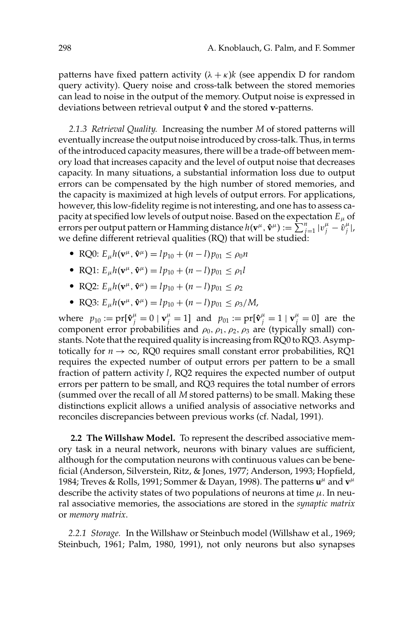patterns have fixed pattern activity  $(\lambda + \kappa)k$  (see appendix D for random query activity). Query noise and cross-talk between the stored memories can lead to noise in the output of the memory. Output noise is expressed in deviations between retrieval output **vˆ** and the stored **v**-patterns.

*2.1.3 Retrieval Quality.* Increasing the number *M* of stored patterns will eventually increase the output noise introduced by cross-talk. Thus, in terms of the introduced capacity measures, there will be a trade-off between memory load that increases capacity and the level of output noise that decreases capacity. In many situations, a substantial information loss due to output errors can be compensated by the high number of stored memories, and the capacity is maximized at high levels of output errors. For applications, however, this low-fidelity regime is not interesting, and one has to assess capacity at specified low levels of output noise. Based on the expectation *E*<sup>μ</sup> of errors per output pattern or Hamming distance  $h(\mathbf{v}^{\mu}, \mathbf{\hat{v}}^{\mu}) := \sum_{j=1}^{n} |v_j^{\mu} - \hat{v}_j^{\mu}|$ we define different retrieval qualities (RQ) that will be studied:

- $\mathbf{R} \mathbf{Q}$ 0:  $E_{\mu}h(\mathbf{v}^{\mu}, \hat{\mathbf{v}}^{\mu}) = lp_{10} + (n-l)p_{01} \le \rho_0 n$
- $\mathbf{RQ1:} E_{\mu}h(\mathbf{v}^{\mu}, \mathbf{\hat{v}}^{\mu}) = lp_{10} + (n-l)p_{01} \le \rho_1 l$
- $\text{P} \text{ RQ2: } E_{\mu}h(\mathbf{v}^{\mu}, \hat{\mathbf{v}}^{\mu}) = lp_{10} + (n-l)p_{01} \leq \rho_2$
- $\mathbf{R} \mathbf{Q}$ 3:  $E_{\mu}h(\mathbf{v}^{\mu}, \hat{\mathbf{v}}^{\mu}) = lp_{10} + (n-l)p_{01} \leq \rho_3/M$ ,

where  $p_{10} := \text{pr}[\hat{\mathbf{v}}_j^{\mu} = 0 | \mathbf{v}_j^{\mu} = 1]$  and  $p_{01} := \text{pr}[\hat{\mathbf{v}}_j^{\mu} = 1 | \mathbf{v}_j^{\mu} = 0]$  are the component error probabilities and  $\rho_0$ ,  $\rho_1$ ,  $\rho_2$ ,  $\rho_3$  are (typically small) constants. Note that the required quality is increasing from RQ0 to RQ3. Asymptotically for  $n \to \infty$ , RQ0 requires small constant error probabilities, RQ1 requires the expected number of output errors per pattern to be a small fraction of pattern activity *l*, RQ2 requires the expected number of output errors per pattern to be small, and RQ3 requires the total number of errors (summed over the recall of all *M* stored patterns) to be small. Making these distinctions explicit allows a unified analysis of associative networks and reconciles discrepancies between previous works (cf. Nadal, 1991).

**2.2 The Willshaw Model.** To represent the described associative memory task in a neural network, neurons with binary values are sufficient, although for the computation neurons with continuous values can be beneficial (Anderson, Silverstein, Ritz, & Jones, 1977; Anderson, 1993; Hopfield, 1984; Treves & Rolls, 1991; Sommer & Dayan, 1998). The patterns **u**<sup>μ</sup> and **v**<sup>μ</sup> describe the activity states of two populations of neurons at time  $\mu$ . In neural associative memories, the associations are stored in the *synaptic matrix* or *memory matrix*.

*2.2.1 Storage.* In the Willshaw or Steinbuch model (Willshaw et al., 1969; Steinbuch, 1961; Palm, 1980, 1991), not only neurons but also synapses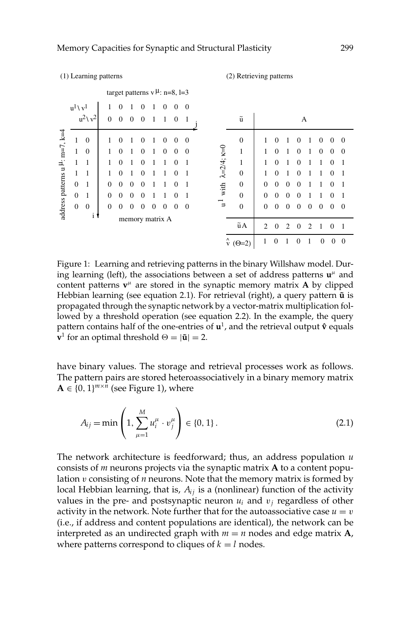|                                |                     |                     |          |                   |              |              |              | target patterns $v \mu$ : n=8, l=3 |          |              |                       |                          |                |          |                |              |   |              |              |                |
|--------------------------------|---------------------|---------------------|----------|-------------------|--------------|--------------|--------------|------------------------------------|----------|--------------|-----------------------|--------------------------|----------------|----------|----------------|--------------|---|--------------|--------------|----------------|
|                                | $u^1 \setminus v^1$ |                     |          | 0                 |              | $\Omega$     |              | 0                                  | $\theta$ | $\mathbf{0}$ |                       |                          |                |          |                |              |   |              |              |                |
|                                |                     | $u^2 \vee v^2$      | $\Omega$ | $\Omega$          | $\mathbf{0}$ | $\mathbf{0}$ | 1            | 1                                  | $\Omega$ | 1            |                       | ũ                        |                |          |                | А            |   |              |              |                |
| address patterns u ⊭: m=7, k=4 | 1                   | $\mathbf{0}$        |          | $\mathbf{\Omega}$ |              | 0            |              |                                    |          | $\Omega$     |                       | $\mathbf{0}$             |                |          |                |              |   | 0            | 0            | $\Omega$       |
|                                | $\mathbf{1}$        | $\boldsymbol{0}$    |          | 0                 |              | 0            |              | 0                                  | $\Omega$ | $\Omega$     |                       | $\mathbf{1}$             |                | $\Omega$ |                | 0            | 1 | $\Omega$     | $\Omega$     | $\theta$       |
|                                | 1                   | 1                   |          | $\Omega$          |              | $\Omega$     |              |                                    | $\Omega$ |              | $\lambda = 2/4$ ; k=0 | 1                        |                | $\Omega$ |                | 0            |   |              | 0            |                |
|                                | 1                   | 1                   |          | $\Omega$          |              | 0            |              |                                    | $\Omega$ |              |                       | $\boldsymbol{0}$         |                | 0        |                | 0            |   |              | 0            |                |
|                                | $\mathbf{0}$        | 1                   | $\Omega$ | $\Omega$          | 0            | $\Omega$     |              |                                    |          |              | with                  | $\overline{0}$           | $\Omega$       | 0        | 0              | 0            |   |              | 0            |                |
|                                | $\mathbf{0}$        | 1                   | $\Omega$ | $\Omega$          | 0            | 0            |              |                                    |          |              |                       | $\overline{0}$           | $\theta$       | 0        | 0              | 0            |   |              | 0            |                |
|                                | $\boldsymbol{0}$    | $\mathbf{0}$<br>i j | $\theta$ | 0                 | 0            | 0            | $\mathbf{0}$ | 0                                  | $\Omega$ | $\mathbf{0}$ | ↴                     | $\overline{0}$           | $\mathbf{0}$   | 0        | $\mathbf{0}$   | $\mathbf{0}$ | 0 | $\mathbf{0}$ | $\mathbf{0}$ | $\mathbf{0}$   |
|                                |                     |                     |          |                   |              |              |              | memory matrix A                    |          |              |                       | ũΑ                       | $\overline{c}$ | $\Omega$ | $\overline{c}$ | 0            | 2 |              | 0            |                |
|                                |                     |                     |          |                   |              |              |              |                                    |          |              |                       | $\hat{v}$ ( $\Theta$ =2) |                |          |                | 0            |   | $\Omega$     | $\mathbf{0}$ | $\overline{0}$ |

(1) Learning patterns

#### (2) Retrieving patterns

Figure 1: Learning and retrieving patterns in the binary Willshaw model. During learning (left), the associations between a set of address patterns  $\mathbf{u}^{\mu}$  and content patterns  $v^{\mu}$  are stored in the synaptic memory matrix **A** by clipped Hebbian learning (see equation 2.1). For retrieval (right), a query pattern  $\tilde{u}$  is propagated through the synaptic network by a vector-matrix multiplication followed by a threshold operation (see equation 2.2). In the example, the query pattern contains half of the one-entries of  $\mathbf{u}^1$ , and the retrieval output  $\hat{\mathbf{v}}$  equals  **for an optimal threshold**  $\Theta = |\tilde{\mathbf{u}}| = 2$ **.** 

have binary values. The storage and retrieval processes work as follows. The pattern pairs are stored heteroassociatively in a binary memory matrix **A** ∈ {0, 1}<sup>*m*×*n*</sup> (see Figure 1), where

$$
A_{ij} = \min\left(1, \sum_{\mu=1}^{M} u_i^{\mu} \cdot v_j^{\mu}\right) \in \{0, 1\}.
$$
 (2.1)

The network architecture is feedforward; thus, an address population *u* consists of *m* neurons projects via the synaptic matrix **A** to a content population v consisting of *n* neurons. Note that the memory matrix is formed by local Hebbian learning, that is,  $A_{ij}$  is a (nonlinear) function of the activity values in the pre- and postsynaptic neuron  $u_i$  and  $v_j$  regardless of other activity in the network. Note further that for the autoassociative case  $u = v$ (i.e., if address and content populations are identical), the network can be interpreted as an undirected graph with  $m = n$  nodes and edge matrix  $A$ , where patterns correspond to cliques of  $k = l$  nodes.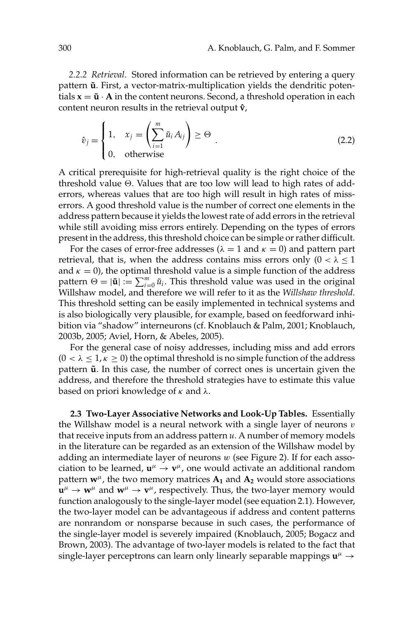*2.2.2 Retrieval.* Stored information can be retrieved by entering a query pattern  $\tilde{u}$ . First, a vector-matrix-multiplication yields the dendritic potentials  $x = \tilde{u} \cdot A$  in the content neurons. Second, a threshold operation in each content neuron results in the retrieval output  $\hat{\mathbf{v}}$ ,

$$
\hat{v}_j = \begin{cases} 1, & x_j = \left(\sum_{i=1}^m \tilde{u}_i A_{ij}\right) \geq \Theta \\ 0, & \text{otherwise} \end{cases} \tag{2.2}
$$

A critical prerequisite for high-retrieval quality is the right choice of the threshold value  $\Theta$ . Values that are too low will lead to high rates of adderrors, whereas values that are too high will result in high rates of misserrors. A good threshold value is the number of correct one elements in the address pattern because it yields the lowest rate of add errors in the retrieval while still avoiding miss errors entirely. Depending on the types of errors present in the address, this threshold choice can be simple or rather difficult.

For the cases of error-free addresses ( $\lambda = 1$  and  $\kappa = 0$ ) and pattern part retrieval, that is, when the address contains miss errors only  $(0 < \lambda \le 1$ and  $\kappa = 0$ ), the optimal threshold value is a simple function of the address pattern  $\Theta = |\tilde{\mathbf{u}}| := \sum_{i=0}^{m} \tilde{u}_i$ . This threshold value was used in the original Willshaw model, and therefore we will refer to it as the *Willshaw threshold*. This threshold setting can be easily implemented in technical systems and is also biologically very plausible, for example, based on feedforward inhibition via "shadow" interneurons (cf. Knoblauch & Palm, 2001; Knoblauch, 2003b, 2005; Aviel, Horn, & Abeles, 2005).

For the general case of noisy addresses, including miss and add errors  $(0 < \lambda \leq 1, \kappa \geq 0)$  the optimal threshold is no simple function of the address pattern  $\tilde{u}$ . In this case, the number of correct ones is uncertain given the address, and therefore the threshold strategies have to estimate this value based on priori knowledge of  $\kappa$  and  $\lambda$ .

**2.3 Two-Layer Associative Networks and Look-Up Tables.** Essentially the Willshaw model is a neural network with a single layer of neurons  $v$ that receive inputs from an address pattern *u*. A number of memory models in the literature can be regarded as an extension of the Willshaw model by adding an intermediate layer of neurons  $w$  (see Figure 2). If for each association to be learned,  $\mathbf{u}^{\mu} \rightarrow \mathbf{v}^{\mu}$ , one would activate an additional random pattern  $w^{\mu}$ , the two memory matrices  $A_1$  and  $A_2$  would store associations  $\mathbf{u}^{\mu} \rightarrow \mathbf{w}^{\mu}$  and  $\mathbf{w}^{\mu} \rightarrow \mathbf{v}^{\mu}$ , respectively. Thus, the two-layer memory would function analogously to the single-layer model (see equation 2.1). However, the two-layer model can be advantageous if address and content patterns are nonrandom or nonsparse because in such cases, the performance of the single-layer model is severely impaired (Knoblauch, 2005; Bogacz and Brown, 2003). The advantage of two-layer models is related to the fact that single-layer perceptrons can learn only linearly separable mappings  $\mathbf{u}^{\mu} \rightarrow$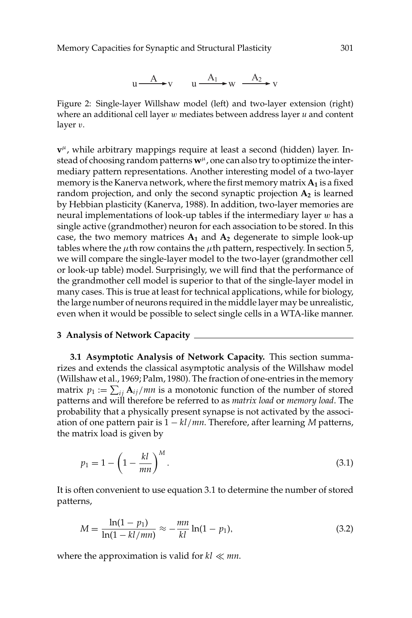$u \xrightarrow{A_1} w \xrightarrow{A_2} v$ 

Figure 2: Single-layer Willshaw model (left) and two-layer extension (right) where an additional cell layer w mediates between address layer *u* and content layer v.

**v**<sup>μ</sup>, while arbitrary mappings require at least a second (hidden) layer. Instead of choosing random patterns **w**<sup>μ</sup>, one can also try to optimize the intermediary pattern representations. Another interesting model of a two-layer memory is the Kanerva network, where the first memory matrix  $A_1$  is a fixed random projection, and only the second synaptic projection  $A_2$  is learned by Hebbian plasticity (Kanerva, 1988). In addition, two-layer memories are neural implementations of look-up tables if the intermediary layer  $w$  has a single active (grandmother) neuron for each association to be stored. In this case, the two memory matrices  $A_1$  and  $A_2$  degenerate to simple look-up tables where the  $\mu$ th row contains the  $\mu$ th pattern, respectively. In section 5, we will compare the single-layer model to the two-layer (grandmother cell or look-up table) model. Surprisingly, we will find that the performance of the grandmother cell model is superior to that of the single-layer model in many cases. This is true at least for technical applications, while for biology, the large number of neurons required in the middle layer may be unrealistic, even when it would be possible to select single cells in a WTA-like manner.

### **3 Analysis of Network Capacity**

**3.1 Asymptotic Analysis of Network Capacity.** This section summarizes and extends the classical asymptotic analysis of the Willshaw model (Willshaw et al., 1969; Palm, 1980). The fraction of one-entries in the memory matrix  $p_1 := \sum_{ij} A_{ij} / mn$  is a monotonic function of the number of stored patterns and will therefore be referred to as *matrix load* or *memory load*. The probability that a physically present synapse is not activated by the association of one pattern pair is 1 − *kl*/*mn*. Therefore, after learning *M* patterns, the matrix load is given by

$$
p_1 = 1 - \left(1 - \frac{kl}{mn}\right)^M.
$$
\n
$$
(3.1)
$$

It is often convenient to use equation 3.1 to determine the number of stored patterns,

$$
M = \frac{\ln(1 - p_1)}{\ln(1 - kl/mn)} \approx -\frac{mn}{kl} \ln(1 - p_1),\tag{3.2}
$$

where the approximation is valid for  $kl \ll mn$ .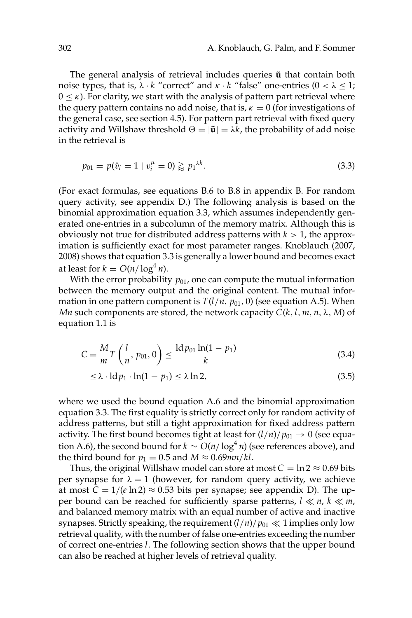The general analysis of retrieval includes queries  $\tilde{u}$  that contain both noise types, that is,  $\lambda \cdot k$  "correct" and  $\kappa \cdot k$  "false" one-entries (0 <  $\lambda \leq 1$ ;  $0 \leq \kappa$ ). For clarity, we start with the analysis of pattern part retrieval where the query pattern contains no add noise, that is,  $\kappa = 0$  (for investigations of the general case, see section 4.5). For pattern part retrieval with fixed query activity and Willshaw threshold  $\Theta = |\tilde{\mathbf{u}}| = \lambda k$ , the probability of add noise in the retrieval is

$$
p_{01} = p(\hat{v}_i = 1 \mid v_i^{\mu} = 0) \gtrapprox p_1^{\lambda k}.
$$
 (3.3)

(For exact formulas, see equations B.6 to B.8 in appendix B. For random query activity, see appendix D.) The following analysis is based on the binomial approximation equation 3.3, which assumes independently generated one-entries in a subcolumn of the memory matrix. Although this is obviously not true for distributed address patterns with  $k > 1$ , the approximation is sufficiently exact for most parameter ranges. Knoblauch (2007, 2008) shows that equation 3.3 is generally a lower bound and becomes exact at least for  $k = O(n/\log^4 n)$ .

With the error probability  $p_{01}$ , one can compute the mutual information between the memory output and the original content. The mutual information in one pattern component is  $T(l/n, p_{01}, 0)$  (see equation A.5). When *Mn* such components are stored, the network capacity *C*(*k*,*l*, *m*, *n*,λ, *M*) of equation 1.1 is

$$
C = \frac{M}{m}T\left(\frac{l}{n}, p_{01}, 0\right) \le \frac{\text{ld}p_{01}\ln(1-p_1)}{k} \tag{3.4}
$$

$$
\leq \lambda \cdot \mathrm{ld} \, p_1 \cdot \mathrm{ln}(1 - p_1) \leq \lambda \, \mathrm{ln} \, 2,\tag{3.5}
$$

where we used the bound equation A.6 and the binomial approximation equation 3.3. The first equality is strictly correct only for random activity of address patterns, but still a tight approximation for fixed address pattern activity. The first bound becomes tight at least for  $(l/n)/p_{01} \rightarrow 0$  (see equation A.6), the second bound for  $k \sim O(n/\log^4 n)$  (see references above), and the third bound for  $p_1 = 0.5$  and  $M \approx 0.69$ *mn*/*kl*.

Thus, the original Willshaw model can store at most  $C = \ln 2 \approx 0.69$  bits per synapse for  $\lambda = 1$  (however, for random query activity, we achieve at most  $C = 1/(e \ln 2) \approx 0.53$  bits per synapse; see appendix D). The upper bound can be reached for sufficiently sparse patterns,  $l \ll n$ ,  $k \ll m$ , and balanced memory matrix with an equal number of active and inactive synapses. Strictly speaking, the requirement  $(l/n)/p_{01} \ll 1$  implies only low retrieval quality, with the number of false one-entries exceeding the number of correct one-entries *l*. The following section shows that the upper bound can also be reached at higher levels of retrieval quality.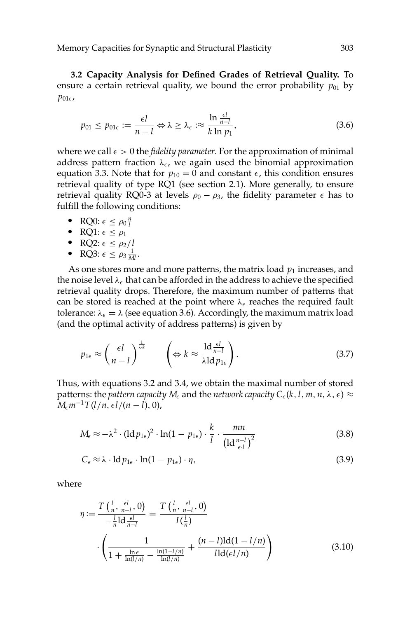**3.2 Capacity Analysis for Defined Grades of Retrieval Quality.** To ensure a certain retrieval quality, we bound the error probability  $p_{01}$  by  $p_{01\epsilon}$ 

$$
p_{01} \le p_{01\epsilon} := \frac{\epsilon l}{n-l} \Leftrightarrow \lambda \ge \lambda_{\epsilon} : \approx \frac{\ln \frac{\epsilon l}{n-l}}{k \ln p_1},\tag{3.6}
$$

where we call  $\epsilon > 0$  the *fidelity parameter*. For the approximation of minimal address pattern fraction  $\lambda_{\epsilon}$ , we again used the binomial approximation equation 3.3. Note that for  $p_{10} = 0$  and constant  $\epsilon$ , this condition ensures retrieval quality of type RQ1 (see section 2.1). More generally, to ensure retrieval quality RQ0-3 at levels  $\rho_0 - \rho_3$ , the fidelity parameter  $\epsilon$  has to fulfill the following conditions:

- $\text{RQ0: } \epsilon \leq \rho_0 \frac{n}{l}$
- **RQ1:**  $\epsilon \leq \rho_1$
- $\text{RQ2: } \epsilon \leq \rho_2/l$
- $\text{RQ3: } \epsilon \leq \rho_3 \frac{1}{Ml}.$

As one stores more and more patterns, the matrix load  $p_1$  increases, and the noise level  $\lambda_{\epsilon}$  that can be afforded in the address to achieve the specified retrieval quality drops. Therefore, the maximum number of patterns that can be stored is reached at the point where  $\lambda_{\epsilon}$  reaches the required fault tolerance:  $\lambda_{\epsilon} = \lambda$  (see equation 3.6). Accordingly, the maximum matrix load (and the optimal activity of address patterns) is given by

$$
p_{1\epsilon} \approx \left(\frac{\epsilon l}{n-l}\right)^{\frac{1}{\lambda k}} \qquad \left(\Leftrightarrow k \approx \frac{\ln \frac{\epsilon l}{n-l}}{\lambda \ln p_{1\epsilon}}\right). \tag{3.7}
$$

Thus, with equations 3.2 and 3.4, we obtain the maximal number of stored patterns: the *pattern capacity*  $M_{\epsilon}$  and the *network capacity*  $C_{\epsilon}(k, l, m, n, \lambda, \epsilon) \approx$  $M_{\epsilon} m^{-1} T(l/n, \epsilon l/(n-l), 0),$ 

$$
M_{\epsilon} \approx -\lambda^2 \cdot (\mathrm{Id} \, p_{1\epsilon})^2 \cdot \ln(1 - p_{1\epsilon}) \cdot \frac{k}{l} \cdot \frac{mn}{\left(\mathrm{Id} \, \frac{n-l}{\epsilon \cdot l}\right)^2} \tag{3.8}
$$

$$
C_{\epsilon} \approx \lambda \cdot \mathrm{ld} \, p_{1\epsilon} \cdot \mathrm{ln}(1 - p_{1\epsilon}) \cdot \eta, \tag{3.9}
$$

where

$$
\eta := \frac{T\left(\frac{l}{n}, \frac{\epsilon l}{n-1}, 0\right)}{-\frac{l}{n}\mathrm{Id} \frac{\epsilon l}{n-1}} = \frac{T\left(\frac{l}{n}, \frac{\epsilon l}{n-1}, 0\right)}{I\left(\frac{l}{n}\right)}
$$

$$
\cdot \left(\frac{1}{1 + \frac{\ln \epsilon}{\ln(l/n)} - \frac{\ln(1-l/n)}{\ln(l/n)}} + \frac{(n-l)\mathrm{Id}(1-l/n)}{l\mathrm{Id}(\epsilon l/n)}\right) \tag{3.10}
$$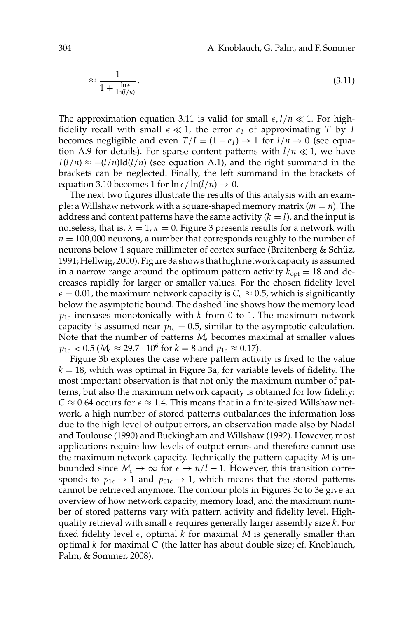$$
\approx \frac{1}{1 + \frac{\ln \epsilon}{\ln(l/n)}}.\tag{3.11}
$$

The approximation equation 3.11 is valid for small  $\epsilon$ ,  $l/n \ll 1$ . For highfidelity recall with small  $\epsilon \ll 1$ , the error  $e_I$  of approximating *T* by *I* becomes negligible and even  $T/I = (1 - e_I) \rightarrow 1$  for  $l/n \rightarrow 0$  (see equation A.9 for details). For sparse content patterns with  $l/n \ll 1$ , we have  $I(l/n) \approx -\frac{l}{n}\text{d}(l/n)$  (see equation A.1), and the right summand in the brackets can be neglected. Finally, the left summand in the brackets of equation 3.10 becomes 1 for  $\ln \frac{\epsilon}{\ln(l/n)} \to 0$ .

The next two figures illustrate the results of this analysis with an example: a Willshaw network with a square-shaped memory matrix  $(m = n)$ . The address and content patterns have the same activity  $(k = l)$ , and the input is noiseless, that is,  $\lambda = 1$ ,  $\kappa = 0$ . Figure 3 presents results for a network with  $n = 100,000$  neurons, a number that corresponds roughly to the number of neurons below 1 square millimeter of cortex surface (Braitenberg & Schüz, 1991; Hellwig, 2000). Figure 3a shows that high network capacity is assumed in a narrow range around the optimum pattern activity  $k_{opt} = 18$  and decreases rapidly for larger or smaller values. For the chosen fidelity level  $\epsilon = 0.01$ , the maximum network capacity is  $C_{\epsilon} \approx 0.5$ , which is significantly below the asymptotic bound. The dashed line shows how the memory load  $p_{1\epsilon}$  increases monotonically with *k* from 0 to 1. The maximum network capacity is assumed near  $p_{1\epsilon} = 0.5$ , similar to the asymptotic calculation. Note that the number of patterns  $M_{\epsilon}$  becomes maximal at smaller values  $p_{1\epsilon}$  < 0.5 ( $M_{\epsilon}$   $\approx$  29.7 · 10<sup>6</sup> for  $k = 8$  and  $p_{1\epsilon}$   $\approx$  0.17).

Figure 3b explores the case where pattern activity is fixed to the value  $k = 18$ , which was optimal in Figure 3a, for variable levels of fidelity. The most important observation is that not only the maximum number of patterns, but also the maximum network capacity is obtained for low fidelity: *C*  $\approx$  0.64 occurs for  $\epsilon \approx$  1.4. This means that in a finite-sized Willshaw network, a high number of stored patterns outbalances the information loss due to the high level of output errors, an observation made also by Nadal and Toulouse (1990) and Buckingham and Willshaw (1992). However, most applications require low levels of output errors and therefore cannot use the maximum network capacity. Technically the pattern capacity *M* is unbounded since  $M_{\epsilon} \to \infty$  for  $\epsilon \to n/l - 1$ . However, this transition corresponds to  $p_{1\epsilon} \rightarrow 1$  and  $p_{01\epsilon} \rightarrow 1$ , which means that the stored patterns cannot be retrieved anymore. The contour plots in Figures 3c to 3e give an overview of how network capacity, memory load, and the maximum number of stored patterns vary with pattern activity and fidelity level. Highquality retrieval with small  $\epsilon$  requires generally larger assembly size  $k$ . For fixed fidelity level  $\epsilon$ , optimal *k* for maximal *M* is generally smaller than optimal *k* for maximal *C* (the latter has about double size; cf. Knoblauch, Palm, & Sommer, 2008).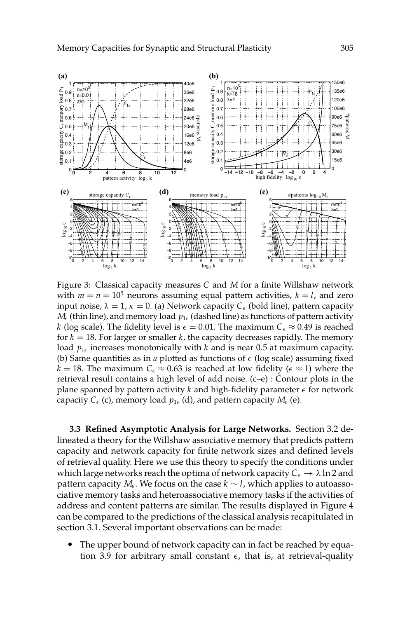

Figure 3: Classical capacity measures *C* and *M* for a finite Willshaw network with  $m = n = 10^5$  neurons assuming equal pattern activities,  $k = l$ , and zero input noise,  $\lambda = 1$ ,  $\kappa = 0$ . (a) Network capacity  $C_{\epsilon}$  (bold line), pattern capacity  $M_{\epsilon}$  (thin line), and memory load  $p_{1\epsilon}$  (dashed line) as functions of pattern activity *k* (log scale). The fidelity level is  $\epsilon = 0.01$ . The maximum  $C_{\epsilon} \approx 0.49$  is reached for  $k = 18$ . For larger or smaller  $k$ , the capacity decreases rapidly. The memory load  $p_{1e}$  increases monotonically with *k* and is near 0.5 at maximum capacity. (b) Same quantities as in *a* plotted as functions of  $\epsilon$  (log scale) assuming fixed  $k = 18$ . The maximum  $C_{\epsilon} \approx 0.63$  is reached at low fidelity ( $\epsilon \approx 1$ ) where the retrieval result contains a high level of add noise. (c–e) : Contour plots in the plane spanned by pattern activity  $k$  and high-fidelity parameter  $\epsilon$  for network capacity  $C_{\epsilon}$  (c), memory load  $p_{1\epsilon}$  (d), and pattern capacity  $M_{\epsilon}$  (e).

**3.3 Refined Asymptotic Analysis for Large Networks.** Section 3.2 delineated a theory for the Willshaw associative memory that predicts pattern capacity and network capacity for finite network sizes and defined levels of retrieval quality. Here we use this theory to specify the conditions under which large networks reach the optima of network capacity  $C_{\epsilon} \to \lambda \ln 2$  and pattern capacity  $M_{\epsilon}$ . We focus on the case  $k \sim l$ , which applies to autoassociative memory tasks and heteroassociative memory tasks if the activities of address and content patterns are similar. The results displayed in Figure 4 can be compared to the predictions of the classical analysis recapitulated in section 3.1. Several important observations can be made:

- The upper bound of network capacity can in fact be reached by equation 3.9 for arbitrary small constant  $\epsilon$ , that is, at retrieval-quality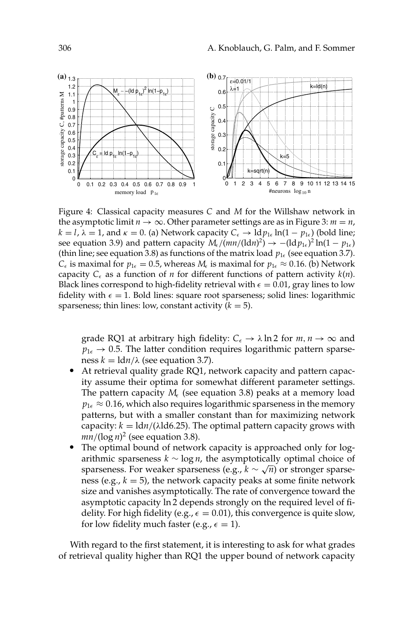

Figure 4: Classical capacity measures *C* and *M* for the Willshaw network in the asymptotic limit  $n \to \infty$ . Other parameter settings are as in Figure 3:  $m = n$ ,  $k = l$ ,  $\lambda = 1$ , and  $\kappa = 0$ . (a) Network capacity  $C_{\epsilon} \rightarrow Idp_{1\epsilon} \ln(1 - p_{1\epsilon})$  (bold line; see equation 3.9) and pattern capacity  $M_e/(mn/(dn)^2) \rightarrow -(ldp_{1\epsilon})^2 \ln(1-p_{1\epsilon})$ (thin line; see equation 3.8) as functions of the matrix load  $p_{1\epsilon}$  (see equation 3.7). *C*<sub> $\epsilon$ </sub> is maximal for  $p_{1\epsilon} = 0.5$ , whereas  $M_{\epsilon}$  is maximal for  $p_{1\epsilon} \approx 0.16$ . (b) Network capacity  $C_{\epsilon}$  as a function of *n* for different functions of pattern activity  $k(n)$ . Black lines correspond to high-fidelity retrieval with  $\epsilon = 0.01$ , gray lines to low fidelity with  $\epsilon = 1$ . Bold lines: square root sparseness; solid lines: logarithmic sparseness; thin lines: low, constant activity  $(k = 5)$ .

grade RQ1 at arbitrary high fidelity:  $C_{\epsilon} \rightarrow \lambda \ln 2$  for  $m, n \rightarrow \infty$  and  $p_{1e} \rightarrow 0.5$ . The latter condition requires logarithmic pattern sparseness  $k = \frac{d\eta}{\lambda}$  (see equation 3.7).

- - At retrieval quality grade RQ1, network capacity and pattern capacity assume their optima for somewhat different parameter settings. The pattern capacity  $M_{\epsilon}$  (see equation 3.8) peaks at a memory load  $p_{1\epsilon} \approx 0.16$ , which also requires logarithmic sparseness in the memory patterns, but with a smaller constant than for maximizing network capacity:  $k = \frac{d\eta}{\lambda}$ dd $6.25$ ). The optimal pattern capacity grows with  $mn/(\log n)^2$  (see equation 3.8).
- The optimal bound of network capacity is approached only for logarithmic sparseness *k* ∼ log *n*, the asymptotically optimal choice of sparseness. For weaker sparseness (e.g.,  $k \sim \sqrt{n}$ ) or stronger sparseness (e.g.,  $k = 5$ ), the network capacity peaks at some finite network size and vanishes asymptotically. The rate of convergence toward the asymptotic capacity ln 2 depends strongly on the required level of fidelity. For high fidelity (e.g.,  $\epsilon = 0.01$ ), this convergence is quite slow, for low fidelity much faster (e.g.,  $\epsilon = 1$ ).

With regard to the first statement, it is interesting to ask for what grades of retrieval quality higher than RQ1 the upper bound of network capacity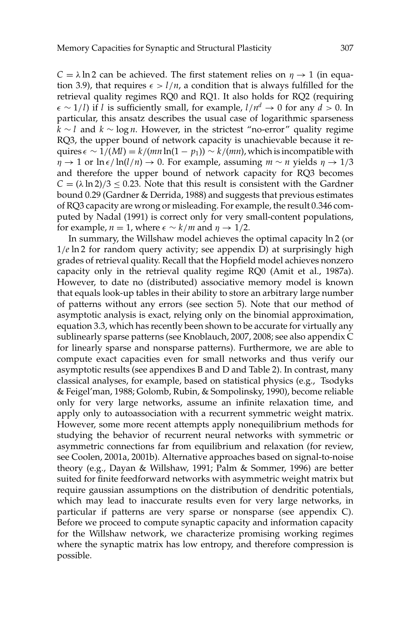$C = \lambda \ln 2$  can be achieved. The first statement relies on  $\eta \rightarrow 1$  (in equation 3.9), that requires  $\epsilon > l/n$ , a condition that is always fulfilled for the retrieval quality regimes RQ0 and RQ1. It also holds for RQ2 (requiring  $\epsilon$  ∼ 1/*l*) if *l* is sufficiently small, for example,  $l/n^d \to 0$  for any  $d > 0$ . In particular, this ansatz describes the usual case of logarithmic sparseness *k* ∼ *l* and *k* ∼ log *n*. However, in the strictest "no-error" quality regime RQ3, the upper bound of network capacity is unachievable because it requires  $\epsilon \sim 1/(M l) = k/(mn \ln(1 - p_1)) \sim k/(mn)$ , which is incompatible with  $\eta \rightarrow 1$  or  $\ln \frac{\epsilon}{\ln(l/n)} \rightarrow 0$ . For example, assuming  $m \sim n$  yields  $\eta \rightarrow 1/3$ and therefore the upper bound of network capacity for RQ3 becomes  $C = (\lambda \ln 2)/3 < 0.23$ . Note that this result is consistent with the Gardner bound 0.29 (Gardner & Derrida, 1988) and suggests that previous estimates of RQ3 capacity are wrong or misleading. For example, the result 0.346 computed by Nadal (1991) is correct only for very small-content populations, for example,  $n = 1$ , where  $\epsilon \sim k/m$  and  $\eta \to 1/2$ .

In summary, the Willshaw model achieves the optimal capacity ln 2 (or 1/*e* ln 2 for random query activity; see appendix D) at surprisingly high grades of retrieval quality. Recall that the Hopfield model achieves nonzero capacity only in the retrieval quality regime RQ0 (Amit et al., 1987a). However, to date no (distributed) associative memory model is known that equals look-up tables in their ability to store an arbitrary large number of patterns without any errors (see section 5). Note that our method of asymptotic analysis is exact, relying only on the binomial approximation, equation 3.3, which has recently been shown to be accurate for virtually any sublinearly sparse patterns (see Knoblauch, 2007, 2008; see also appendix C for linearly sparse and nonsparse patterns). Furthermore, we are able to compute exact capacities even for small networks and thus verify our asymptotic results (see appendixes B and D and Table 2). In contrast, many classical analyses, for example, based on statistical physics (e.g., Tsodyks & Feigel'man, 1988; Golomb, Rubin, & Sompolinsky, 1990), become reliable only for very large networks, assume an infinite relaxation time, and apply only to autoassociation with a recurrent symmetric weight matrix. However, some more recent attempts apply nonequilibrium methods for studying the behavior of recurrent neural networks with symmetric or asymmetric connections far from equilibrium and relaxation (for review, see Coolen, 2001a, 2001b). Alternative approaches based on signal-to-noise theory (e.g., Dayan & Willshaw, 1991; Palm & Sommer, 1996) are better suited for finite feedforward networks with asymmetric weight matrix but require gaussian assumptions on the distribution of dendritic potentials, which may lead to inaccurate results even for very large networks, in particular if patterns are very sparse or nonsparse (see appendix C). Before we proceed to compute synaptic capacity and information capacity for the Willshaw network, we characterize promising working regimes where the synaptic matrix has low entropy, and therefore compression is possible.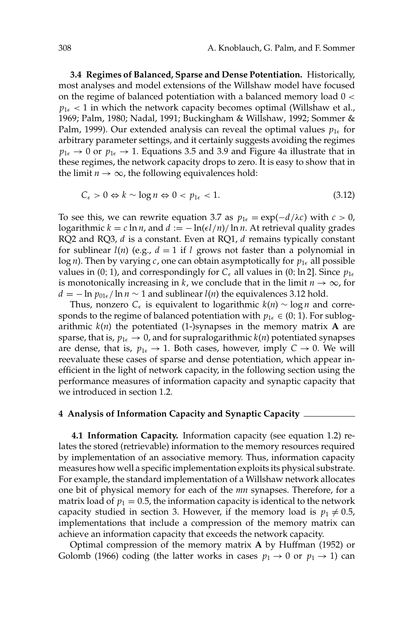**3.4 Regimes of Balanced, Sparse and Dense Potentiation.** Historically, most analyses and model extensions of the Willshaw model have focused on the regime of balanced potentiation with a balanced memory load  $0 <$  $p_{16}$  < 1 in which the network capacity becomes optimal (Willshaw et al., 1969; Palm, 1980; Nadal, 1991; Buckingham & Willshaw, 1992; Sommer & Palm, 1999). Our extended analysis can reveal the optimal values  $p_{1e}$  for arbitrary parameter settings, and it certainly suggests avoiding the regimes  $p_{1\epsilon} \rightarrow 0$  or  $p_{1\epsilon} \rightarrow 1$ . Equations 3.5 and 3.9 and Figure 4a illustrate that in these regimes, the network capacity drops to zero. It is easy to show that in the limit  $n \to \infty$ , the following equivalences hold:

$$
C_{\epsilon} > 0 \Leftrightarrow k \sim \log n \Leftrightarrow 0 < p_{1\epsilon} < 1. \tag{3.12}
$$

To see this, we can rewrite equation 3.7 as  $p_{1\epsilon} = \exp(-d/\lambda c)$  with  $c > 0$ , logarithmic  $k = c \ln n$ , and  $d := -\ln(\epsilon l/n)/\ln n$ . At retrieval quality grades RQ2 and RQ3, *d* is a constant. Even at RQ1, *d* remains typically constant for sublinear  $l(n)$  (e.g.,  $d = 1$  if  $l$  grows not faster than a polynomial in log *n*). Then by varying *c*, one can obtain asymptotically for  $p_{1e}$  all possible values in (0; 1), and correspondingly for  $C_{\epsilon}$  all values in (0; ln 2]. Since  $p_{1\epsilon}$ is monotonically increasing in *k*, we conclude that in the limit  $n \to \infty$ , for  $d = -\ln p_{01e}/\ln n \sim 1$  and sublinear *l(n)* the equivalences 3.12 hold.

Thus, nonzero  $C_{\epsilon}$  is equivalent to logarithmic  $k(n) \sim \log n$  and corresponds to the regime of balanced potentiation with  $p_{1\epsilon} \in (0, 1)$ . For sublogarithmic  $k(n)$  the potentiated (1-)synapses in the memory matrix **A** are sparse, that is,  $p_{1\epsilon} \rightarrow 0$ , and for supralogarithmic  $k(n)$  potentiated synapses are dense, that is,  $p_{1\epsilon} \rightarrow 1$ . Both cases, however, imply  $C \rightarrow 0$ . We will reevaluate these cases of sparse and dense potentiation, which appear inefficient in the light of network capacity, in the following section using the performance measures of information capacity and synaptic capacity that we introduced in section 1.2.

### **4 Analysis of Information Capacity and Synaptic Capacity**

**4.1 Information Capacity.** Information capacity (see equation 1.2) relates the stored (retrievable) information to the memory resources required by implementation of an associative memory. Thus, information capacity measures how well a specific implementation exploits its physical substrate. For example, the standard implementation of a Willshaw network allocates one bit of physical memory for each of the *mn* synapses. Therefore, for a matrix load of  $p_1 = 0.5$ , the information capacity is identical to the network capacity studied in section 3. However, if the memory load is  $p_1 \neq 0.5$ , implementations that include a compression of the memory matrix can achieve an information capacity that exceeds the network capacity.

Optimal compression of the memory matrix **A** by Huffman (1952) or Golomb (1966) coding (the latter works in cases  $p_1 \rightarrow 0$  or  $p_1 \rightarrow 1$ ) can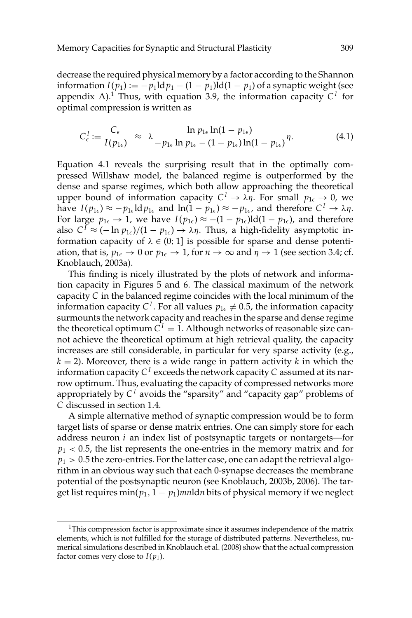decrease the required physical memory by a factor according to the Shannon information  $I(p_1) := -p_1 \mathrm{Id} p_1 - (1 - p_1) \mathrm{Id} (1 - p_1)$  of a synaptic weight (see appendix A).<sup>1</sup> Thus, with equation 3.9, the information capacity  $C<sup>T</sup>$  for optimal compression is written as

$$
C_{\epsilon}^{I} := \frac{C_{\epsilon}}{I(p_{1\epsilon})} \approx \lambda \frac{\ln p_{1\epsilon} \ln(1 - p_{1\epsilon})}{-p_{1\epsilon} \ln p_{1\epsilon} - (1 - p_{1\epsilon}) \ln(1 - p_{1\epsilon})} \eta.
$$
 (4.1)

Equation 4.1 reveals the surprising result that in the optimally compressed Willshaw model, the balanced regime is outperformed by the dense and sparse regimes, which both allow approaching the theoretical upper bound of information capacity  $C^I \rightarrow \lambda \eta$ . For small  $p_{1\epsilon} \rightarrow 0$ , we have  $I(p_{1\epsilon}) \approx -p_{1\epsilon} \, \mathrm{Id} \, p_{1\epsilon}$  and  $\ln(1 - p_{1\epsilon}) \approx -p_{1\epsilon}$ , and therefore  $C^I \to \lambda \eta$ . For large  $p_{1\epsilon} \rightarrow 1$ , we have  $I(p_{1\epsilon}) \approx -(1 - p_{1\epsilon})\text{Id}(1 - p_{1\epsilon})$ , and therefore also  $C^{\tilde{I}} \approx (-\ln p_{1\epsilon})/(1 - p_{1\epsilon}) \rightarrow \lambda \eta$ . Thus, a high-fidelity asymptotic information capacity of  $\lambda \in (0, 1]$  is possible for sparse and dense potentiation, that is,  $p_{1\epsilon} \to 0$  or  $p_{1\epsilon} \to 1$ , for  $n \to \infty$  and  $\eta \to 1$  (see section 3.4; cf. Knoblauch, 2003a).

This finding is nicely illustrated by the plots of network and information capacity in Figures 5 and 6. The classical maximum of the network capacity *C* in the balanced regime coincides with the local minimum of the information capacity  $C^I$ . For all values  $p_{1\epsilon} \neq 0.5$ , the information capacity surmounts the network capacity and reaches in the sparse and dense regime the theoretical optimum  $C<sup>I</sup> = 1$ . Although networks of reasonable size cannot achieve the theoretical optimum at high retrieval quality, the capacity increases are still considerable, in particular for very sparse activity (e.g.,  $k = 2$ ). Moreover, there is a wide range in pattern activity *k* in which the information capacity *C<sup>I</sup>* exceeds the network capacity *C* assumed at its narrow optimum. Thus, evaluating the capacity of compressed networks more appropriately by *C<sup>I</sup>* avoids the "sparsity" and "capacity gap" problems of *C* discussed in section 1.4.

A simple alternative method of synaptic compression would be to form target lists of sparse or dense matrix entries. One can simply store for each address neuron *i* an index list of postsynaptic targets or nontargets—for  $p_1$  < 0.5, the list represents the one-entries in the memory matrix and for  $p_1 > 0.5$  the zero-entries. For the latter case, one can adapt the retrieval algorithm in an obvious way such that each 0-synapse decreases the membrane potential of the postsynaptic neuron (see Knoblauch, 2003b, 2006). The target list requires  $min(p_1, 1 - p_1)$ *mnldn* bits of physical memory if we neglect

<sup>&</sup>lt;sup>1</sup>This compression factor is approximate since it assumes independence of the matrix elements, which is not fulfilled for the storage of distributed patterns. Nevertheless, numerical simulations described in Knoblauch et al. (2008) show that the actual compression factor comes very close to  $I(p_1)$ .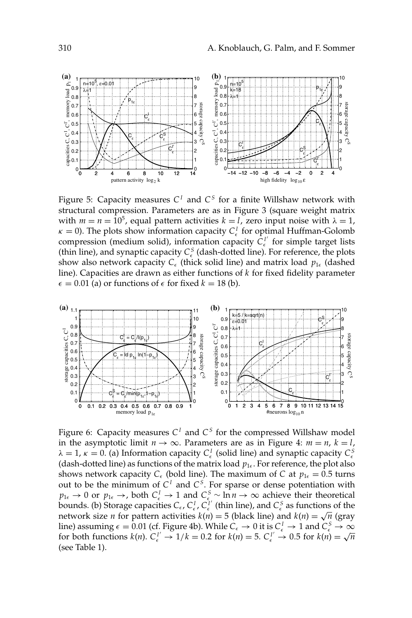

Figure 5: Capacity measures  $C<sup>I</sup>$  and  $C<sup>S</sup>$  for a finite Willshaw network with structural compression. Parameters are as in Figure 3 (square weight matrix with  $m = n = 10^5$ , equal pattern activities  $k = l$ , zero input noise with  $\lambda = 1$ ,  $\kappa = 0$ ). The plots show information capacity  $C_{\epsilon}^{I}$  for optimal Huffman-Golomb compression (medium solid), information capacity  $\hat{C}_{\epsilon}^{I'}$  for simple target lists (thin line), and synaptic capacity  $C_{\epsilon}^{S}$  (dash-dotted line). For reference, the plots show also network capacity  $C_{\epsilon}$  (thick solid line) and matrix load  $p_{1\epsilon}$  (dashed line). Capacities are drawn as either functions of *k* for fixed fidelity parameter  $\epsilon = 0.01$  (a) or functions of  $\epsilon$  for fixed  $k = 18$  (b).



Figure 6: Capacity measures  $C<sup>I</sup>$  and  $C<sup>S</sup>$  for the compressed Willshaw model in the asymptotic limit  $n \to \infty$ . Parameters are as in Figure 4:  $m = n$ ,  $k = l$ ,  $\lambda = 1$ ,  $\kappa = 0$ . (a) Information capacity  $C_{\epsilon}^{I}$  (solid line) and synaptic capacity  $C_{\epsilon}^{S}$ (dash-dotted line) as functions of the matrix load  $p_{1\epsilon}$ . For reference, the plot also shows network capacity  $C_{\epsilon}$  (bold line). The maximum of *C* at  $p_{1\epsilon} = 0.5$  turns out to be the minimum of  $C<sup>I</sup>$  and  $C<sup>S</sup>$ . For sparse or dense potentiation with  $p_{1\epsilon} \to 0$  or  $p_{1\epsilon} \to$ , both  $C^I_{\epsilon} \to 1$  and  $C^S_{\epsilon} \sim \ln n \to \infty$  achieve their theoretical bounds. (b) Storage capacities  $C_{\epsilon}$ ,  $C_{\epsilon}^I$ ,  $C_{\epsilon}^{\bar{I}'}$  (thin line), and  $C_{\epsilon}^S$  as functions of the network size *n* for pattern activities  $k(n) = 5$  (black line) and  $k(n) = \sqrt{n}$  (gray line) assuming  $\epsilon = 0.01$  (cf. Figure 4b). While  $C_{\epsilon} \to 0$  it is  $C_{\epsilon}^I \to 1$  and  $C_{\epsilon}^S \to \infty$ for both functions  $k(n)$ .  $C_{\epsilon}^{I} \rightarrow 1/k = 0.2$  for  $k(n) = 5$ .  $C_{\epsilon}^{I'} \rightarrow 0.5$  for  $k(n) = \sqrt{n}$ (see Table 1).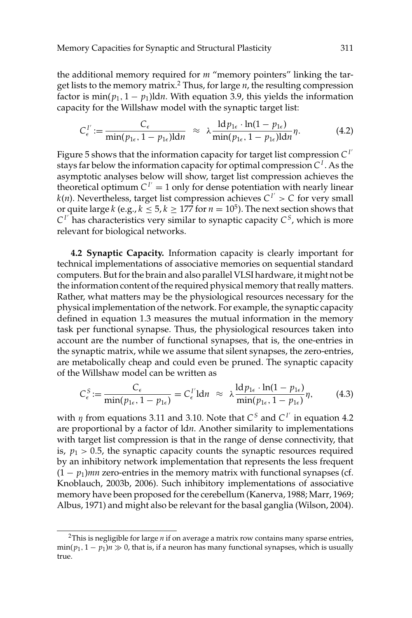the additional memory required for *m* "memory pointers" linking the target lists to the memory matrix.2 Thus, for large *n*, the resulting compression factor is min( $p_1$ ,  $1 - p_1$ )ld*n*. With equation 3.9, this yields the information capacity for the Willshaw model with the synaptic target list:

$$
C_{\epsilon}^{I'} := \frac{C_{\epsilon}}{\min(p_{1\epsilon}, 1 - p_{1\epsilon}) \, \mathrm{Id} \, n} \; \approx \; \lambda \frac{\mathrm{Id} \, p_{1\epsilon} \cdot \ln(1 - p_{1\epsilon})}{\min(p_{1\epsilon}, 1 - p_{1\epsilon}) \, \mathrm{Id} \, n} \eta. \tag{4.2}
$$

Figure 5 shows that the information capacity for target list compression *C<sup>I</sup>* stays far below the information capacity for optimal compression *C<sup>I</sup>* . As the asymptotic analyses below will show, target list compression achieves the theoretical optimum  $C^{I'} = 1$  only for dense potentiation with nearly linear  $k(n)$ . Nevertheless, target list compression achieves  $C^{I'} > C$  for very small or quite large *k* (e.g.,  $k \le 5$ ,  $k \ge 177$  for  $n = 10^5$ ). The next section shows that *CI* has characteristics very similar to synaptic capacity *C<sup>S</sup>*, which is more relevant for biological networks.

**4.2 Synaptic Capacity.** Information capacity is clearly important for technical implementations of associative memories on sequential standard computers. But for the brain and also parallel VLSI hardware, it might not be the information content of the required physical memory that really matters. Rather, what matters may be the physiological resources necessary for the physical implementation of the network. For example, the synaptic capacity defined in equation 1.3 measures the mutual information in the memory task per functional synapse. Thus, the physiological resources taken into account are the number of functional synapses, that is, the one-entries in the synaptic matrix, while we assume that silent synapses, the zero-entries, are metabolically cheap and could even be pruned. The synaptic capacity of the Willshaw model can be written as

$$
C_{\epsilon}^{S} := \frac{C_{\epsilon}}{\min(p_{1\epsilon}, 1 - p_{1\epsilon})} = C_{\epsilon}^{I'} \text{Id}n \approx \lambda \frac{\text{Id} p_{1\epsilon} \cdot \ln(1 - p_{1\epsilon})}{\min(p_{1\epsilon}, 1 - p_{1\epsilon})} \eta,
$$
(4.3)

with  $\eta$  from equations 3.11 and 3.10. Note that  $C^S$  and  $C^{I'}$  in equation 4.2 are proportional by a factor of ld*n*. Another similarity to implementations with target list compression is that in the range of dense connectivity, that is,  $p_1 > 0.5$ , the synaptic capacity counts the synaptic resources required by an inhibitory network implementation that represents the less frequent  $(1 - p_1)$ *mn* zero-entries in the memory matrix with functional synapses (cf. Knoblauch, 2003b, 2006). Such inhibitory implementations of associative memory have been proposed for the cerebellum (Kanerva, 1988; Marr, 1969; Albus, 1971) and might also be relevant for the basal ganglia (Wilson, 2004).

<sup>2</sup>This is negligible for large *n* if on average a matrix row contains many sparse entries,  $\min(p_1, 1 - p_1)n \gg 0$ , that is, if a neuron has many functional synapses, which is usually true.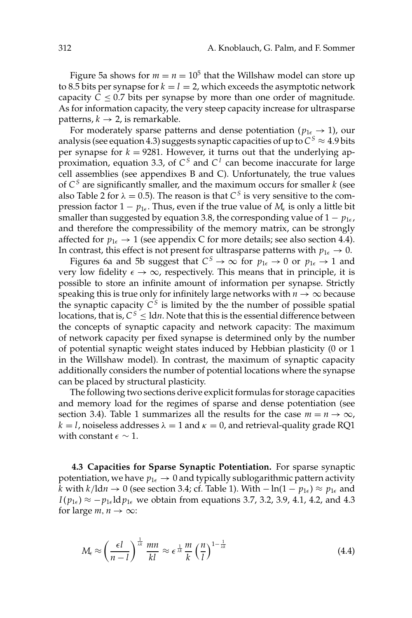Figure 5a shows for  $m = n = 10^5$  that the Willshaw model can store up to 8.5 bits per synapse for  $k = l = 2$ , which exceeds the asymptotic network capacity  $C \leq 0.7$  bits per synapse by more than one order of magnitude. As for information capacity, the very steep capacity increase for ultrasparse patterns,  $k \rightarrow 2$ , is remarkable.

For moderately sparse patterns and dense potentiation ( $p_{1e} \rightarrow 1$ ), our analysis (see equation 4.3) suggests synaptic capacities of up to  $C^S \approx 4.9$  bits per synapse for  $k = 9281$ . However, it turns out that the underlying approximation, equation 3.3, of  $C^S$  and  $C^I$  can become inaccurate for large cell assemblies (see appendixes B and C). Unfortunately, the true values of *C<sup>S</sup>* are significantly smaller, and the maximum occurs for smaller *k* (see also Table 2 for  $\lambda = 0.5$ ). The reason is that  $C<sup>S</sup>$  is very sensitive to the compression factor  $1 - p_{1\epsilon}$ . Thus, even if the true value of  $M_{\epsilon}$  is only a little bit smaller than suggested by equation 3.8, the corresponding value of  $1 - p_{1\epsilon}$ , and therefore the compressibility of the memory matrix, can be strongly affected for  $p_{1e} \rightarrow 1$  (see appendix C for more details; see also section 4.4). In contrast, this effect is not present for ultrasparse patterns with  $p_{1\epsilon} \rightarrow 0$ .

Figures 6a and 5b suggest that  $C^S \to \infty$  for  $p_{1\epsilon} \to 0$  or  $p_{1\epsilon} \to 1$  and very low fidelity  $\epsilon \to \infty$ , respectively. This means that in principle, it is possible to store an infinite amount of information per synapse. Strictly speaking this is true only for infinitely large networks with  $n \to \infty$  because the synaptic capacity  $C^S$  is limited by the the number of possible spatial locations, that is,  $C^S$  < ldn. Note that this is the essential difference between the concepts of synaptic capacity and network capacity: The maximum of network capacity per fixed synapse is determined only by the number of potential synaptic weight states induced by Hebbian plasticity (0 or 1 in the Willshaw model). In contrast, the maximum of synaptic capacity additionally considers the number of potential locations where the synapse can be placed by structural plasticity.

The following two sections derive explicit formulas for storage capacities and memory load for the regimes of sparse and dense potentiation (see section 3.4). Table 1 summarizes all the results for the case  $m = n \rightarrow \infty$ ,  $k = l$ , noiseless addresses  $\lambda = 1$  and  $\kappa = 0$ , and retrieval-quality grade RQ1 with constant  $\epsilon \sim 1$ .

**4.3 Capacities for Sparse Synaptic Potentiation.** For sparse synaptic potentiation, we have  $p_{1e} \rightarrow 0$  and typically sublogarithmic pattern activity *k* with *k*/ld $n \rightarrow 0$  (see section 3.4; cf. Table 1). With  $-\ln(1-p_{1\epsilon}) \approx p_{1\epsilon}$  and  $I(p_{1\epsilon}) \approx -p_{1\epsilon} \mathrm{Id} p_{1\epsilon}$  we obtain from equations 3.7, 3.2, 3.9, 4.1, 4.2, and 4.3 for large  $m, n \rightarrow \infty$ :

$$
M_{\epsilon} \approx \left(\frac{\epsilon l}{n-l}\right)^{\frac{1}{\lambda k}} \frac{mn}{kl} \approx \epsilon^{\frac{1}{\lambda k}} \frac{m}{k} \left(\frac{n}{l}\right)^{1-\frac{1}{\lambda k}}
$$
(4.4)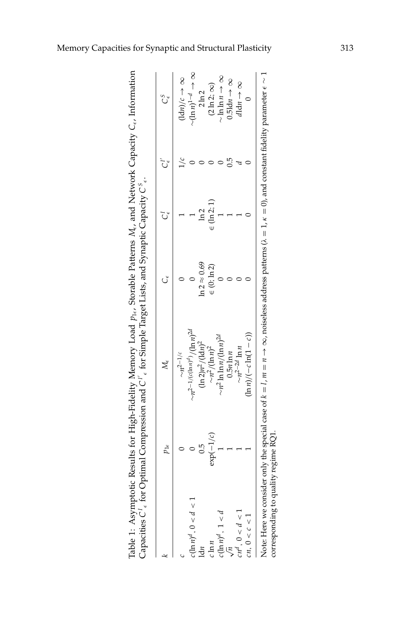|                            |              | $\sim n^{2-1/c}$                                                       |                      |                      | $(dn)/c \rightarrow \infty$        |
|----------------------------|--------------|------------------------------------------------------------------------|----------------------|----------------------|------------------------------------|
| $c(\ln n)^d$ , $0 < d < 1$ |              | $\sim$ n <sup>2-1</sup> /(c(ln n) <sup>d</sup> ) /(ln n) <sup>2d</sup> |                      |                      | $\sim (\ln n)^{1-d} \to \infty$    |
|                            |              | $(\ln 2) n^2 / (\text{Id} n)^2$                                        | $\ln 2 \approx 0.69$ | ln 2                 | 2ln 2                              |
| $\alpha$ UL $\nu$          | $\exp(-1/c)$ | $\sim n^2/(\ln n)^2$                                                   | $\in (0; \ln 2)$     | $\in$ ( $\ln 2$ ; 1) | $(2 \ln 2; \infty)$                |
| $c(\ln n)^d$ , $1 < d$     |              | $\sim n^2 \ln \ln n / (\ln n)^{2d}$                                    |                      |                      | $\sim \ln \ln n \to \infty$        |
|                            |              | $0.5n \ln n$                                                           |                      |                      | $0.5$ ldn $\rightarrow \infty$     |
| $cm^a$ , $0 < d < 1$       |              | $\sim n^{2-2d}\ln n$                                                   |                      |                      | $d \text{Id} n \rightarrow \infty$ |
| cn, 0 < c < 1              |              | $(\ln n)/(-c \ln(1 - c))$                                              |                      |                      |                                    |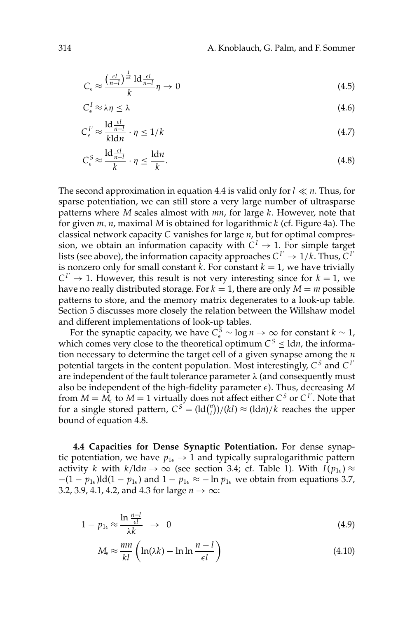$$
C_{\epsilon} \approx \frac{\left(\frac{\epsilon l}{n-l}\right)^{\frac{1}{\lambda k}} \operatorname{Id} \frac{\epsilon l}{n-l}}{k} \eta \to 0 \tag{4.5}
$$

$$
C_{\epsilon}^{I} \approx \lambda \eta \leq \lambda \tag{4.6}
$$

$$
C_{\epsilon}^{I'} \approx \frac{\text{ld} \frac{\epsilon l}{n - 1}}{k \text{ld} n} \cdot \eta \le 1/k \tag{4.7}
$$

$$
C_{\epsilon}^{S} \approx \frac{\mathrm{Id} \frac{\epsilon l}{n-1}}{k} \cdot \eta \le \frac{\mathrm{Id} n}{k}.\tag{4.8}
$$

The second approximation in equation 4.4 is valid only for  $l \ll n$ . Thus, for sparse potentiation, we can still store a very large number of ultrasparse patterns where *M* scales almost with *mn*, for large *k*. However, note that for given *m*, *n*, maximal *M* is obtained for logarithmic *k* (cf. Figure 4a). The classical network capacity *C* vanishes for large *n*, but for optimal compression, we obtain an information capacity with  $C^I \rightarrow 1$ . For simple target lists (see above), the information capacity approaches  $C^I \rightarrow 1/k$ . Thus,  $C^I$ is nonzero only for small constant  $k$ . For constant  $k = 1$ , we have trivially  $C^{I'} \rightarrow 1$ . However, this result is not very interesting since for  $k = 1$ , we have no really distributed storage. For  $k = 1$ , there are only  $M = m$  possible patterns to store, and the memory matrix degenerates to a look-up table. Section 5 discusses more closely the relation between the Willshaw model and different implementations of look-up tables.

For the synaptic capacity, we have  $C_{\epsilon}^{S} \sim \log n \to \infty$  for constant  $k \sim 1$ , which comes very close to the theoretical optimum  $C^S \leq \mathrm{Id}n$ , the information necessary to determine the target cell of a given synapse among the *n* potential targets in the content population. Most interestingly,  $C^S$  and  $C^I$ are independent of the fault tolerance parameter  $\lambda$  (and consequently must also be independent of the high-fidelity parameter  $\epsilon$ ). Thus, decreasing M from  $M = M_{\epsilon}$  to  $M = 1$  virtually does not affect either  $C^S$  or  $C^I$ . Note that for a single stored pattern,  $C^{S} = (\text{Id}_{l}^{n})/(kl) \approx (\text{Id}_{n})/k$  reaches the upper bound of equation 4.8.

**4.4 Capacities for Dense Synaptic Potentiation.** For dense synaptic potentiation, we have  $p_{1\epsilon} \rightarrow 1$  and typically supralogarithmic pattern activity *k* with  $k/\text{Id}n \to \infty$  (see section 3.4; cf. Table 1). With  $I(p_{1\epsilon}) \approx$  $-(1 - p_{1e})\text{Id}(1 - p_{1e})$  and  $1 - p_{1e} \approx -\ln p_{1e}$  we obtain from equations 3.7, 3.2, 3.9, 4.1, 4.2, and 4.3 for large  $n \to \infty$ :

$$
1 - p_{1\epsilon} \approx \frac{\ln \frac{n-l}{\epsilon l}}{\lambda k} \rightarrow 0 \tag{4.9}
$$

$$
M_{\epsilon} \approx \frac{mn}{kl} \left( \ln(\lambda k) - \ln \ln \frac{n-l}{\epsilon l} \right)
$$
 (4.10)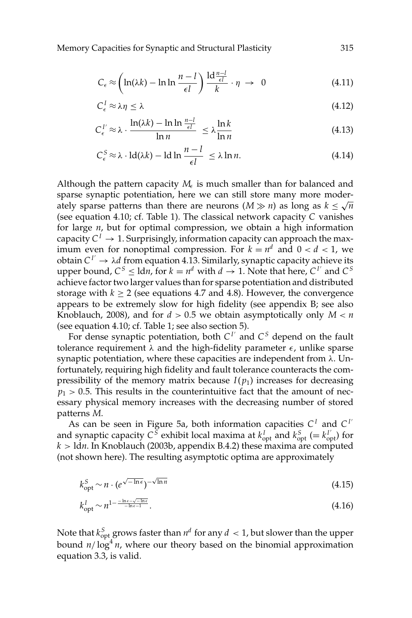Memory Capacities for Synaptic and Structural Plasticity 315

$$
C_{\epsilon} \approx \left(\ln(\lambda k) - \ln \ln \frac{n-l}{\epsilon l}\right) \frac{\ln \frac{n-l}{\epsilon l}}{k} \cdot \eta \to 0 \tag{4.11}
$$

$$
C_{\epsilon}^{I} \approx \lambda \eta \le \lambda \tag{4.12}
$$

$$
C_{\epsilon}^{I'} \approx \lambda \cdot \frac{\ln(\lambda k) - \ln \ln \frac{n - l}{\epsilon l}}{\ln n} \le \lambda \frac{\ln k}{\ln n}
$$
 (4.13)

$$
C_{\epsilon}^{S} \approx \lambda \cdot \text{ld}(\lambda k) - \text{ld} \ln \frac{n-l}{\epsilon l} \leq \lambda \ln n. \tag{4.14}
$$

Although the pattern capacity  $M_{\epsilon}$  is much smaller than for balanced and sparse synaptic potentiation, here we can still store many more moderately sparse patterns than there are neurons  $(M \gg n)$  as long as  $k \leq \sqrt{n}$ (see equation 4.10; cf. Table 1). The classical network capacity *C* vanishes for large *n*, but for optimal compression, we obtain a high information capacity  $C^I \rightarrow 1$ . Surprisingly, information capacity can approach the maximum even for nonoptimal compression. For  $k = n^d$  and  $0 < d < 1$ , we obtain  $C^I \to \lambda d$  from equation 4.13. Similarly, synaptic capacity achieve its upper bound,  $C^S \leq \text{Id}n$ , for  $k = n^d$  with  $d \to 1$ . Note that here,  $C^{I'}$  and  $C^S$ achieve factor two larger values than for sparse potentiation and distributed storage with  $k \ge 2$  (see equations 4.7 and 4.8). However, the convergence appears to be extremely slow for high fidelity (see appendix B; see also Knoblauch, 2008), and for  $d > 0.5$  we obtain asymptotically only  $M < n$ (see equation 4.10; cf. Table 1; see also section 5).

For dense synaptic potentiation, both *C<sup>I</sup>* and *C<sup>S</sup>* depend on the fault tolerance requirement  $\lambda$  and the high-fidelity parameter  $\epsilon$ , unlike sparse synaptic potentiation, where these capacities are independent from λ. Unfortunately, requiring high fidelity and fault tolerance counteracts the compressibility of the memory matrix because  $I(p_1)$  increases for decreasing  $p_1 > 0.5$ . This results in the counterintuitive fact that the amount of necessary physical memory increases with the decreasing number of stored patterns *M*.

As can be seen in Figure 5a, both information capacities  $C<sup>I</sup>$  and  $C<sup>I'</sup>$ and synaptic capacity  $C^{\tilde{S}}$  exhibit local maxima at  $k_{opt}^I$  and  $k_{opt}^S$  (=  $k_{opt}^I$ ) for *k* > ld*n*. In Knoblauch (2003b, appendix B.4.2) these maxima are computed (not shown here). The resulting asymptotic optima are approximately

$$
k_{\rm opt}^S \sim n \cdot (e^{\sqrt{-\ln \epsilon}})^{-\sqrt{\ln n}} \tag{4.15}
$$

$$
k_{\rm opt}^I \sim n^{1 - \frac{\ln \epsilon - \sqrt{-\ln \epsilon}}{-\ln \epsilon - 1}}.\tag{4.16}
$$

Note that  $k_{\rm opt}^S$  grows faster than  $n^d$  for any  $d\,< 1$ , but slower than the upper bound  $n/\log^4 n$ , where our theory based on the binomial approximation equation 3.3, is valid.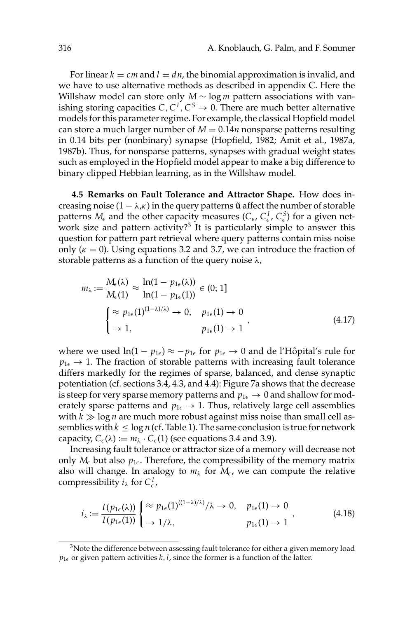For linear  $k = cm$  and  $l = dn$ , the binomial approximation is invalid, and we have to use alternative methods as described in appendix C. Here the Willshaw model can store only *M* ∼ log *m* pattern associations with vanishing storing capacities  $C, C^I, C^S \rightarrow 0$ . There are much better alternative models for this parameter regime. For example, the classical Hopfield model can store a much larger number of  $M = 0.14n$  nonsparse patterns resulting in 0.14 bits per (nonbinary) synapse (Hopfield, 1982; Amit et al., 1987a, 1987b). Thus, for nonsparse patterns, synapses with gradual weight states such as employed in the Hopfield model appear to make a big difference to binary clipped Hebbian learning, as in the Willshaw model.

**4.5 Remarks on Fault Tolerance and Attractor Shape.** How does increasing noise  $(1 - \lambda_{\kappa})$  in the query patterns  $\tilde{u}$  affect the number of storable patterns  $M_{\epsilon}$  and the other capacity measures ( $C_{\epsilon}$ ,  $C_{\epsilon}^{I}$ ,  $C_{\epsilon}^{S}$ ) for a given network size and pattern activity?<sup>3</sup> It is particularly simple to answer this question for pattern part retrieval where query patterns contain miss noise only ( $\kappa = 0$ ). Using equations 3.2 and 3.7, we can introduce the fraction of storable patterns as a function of the query noise  $\lambda$ ,

$$
m_{\lambda} := \frac{M_{\epsilon}(\lambda)}{M_{\epsilon}(1)} \approx \frac{\ln(1 - p_{1\epsilon}(\lambda))}{\ln(1 - p_{1\epsilon}(1))} \in (0; 1]
$$

$$
\begin{cases} \approx p_{1\epsilon}(1)^{(1-\lambda)/\lambda} \to 0, & p_{1\epsilon}(1) \to 0 \\ \to 1, & p_{1\epsilon}(1) \to 1 \end{cases},
$$
(4.17)

where we used  $ln(1 - p_{1\epsilon}) \approx -p_{1\epsilon}$  for  $p_{1\epsilon} \to 0$  and de l'Hôpital's rule for  $p_{1\epsilon} \rightarrow 1$ . The fraction of storable patterns with increasing fault tolerance differs markedly for the regimes of sparse, balanced, and dense synaptic potentiation (cf. sections 3.4, 4.3, and 4.4): Figure 7a shows that the decrease is steep for very sparse memory patterns and  $p_{1\epsilon} \rightarrow 0$  and shallow for moderately sparse patterns and  $p_{1\epsilon} \rightarrow 1$ . Thus, relatively large cell assemblies with  $k \gg \log n$  are much more robust against miss noise than small cell assemblies with  $k \leq \log n$  (cf. Table 1). The same conclusion is true for network capacity,  $C_{\epsilon}(\lambda) := m_{\lambda} \cdot C_{\epsilon}(1)$  (see equations 3.4 and 3.9).

Increasing fault tolerance or attractor size of a memory will decrease not only  $M_{\epsilon}$  but also  $p_{1\epsilon}$ . Therefore, the compressibility of the memory matrix also will change. In analogy to  $m_\lambda$  for  $M_\epsilon$ , we can compute the relative compressibility  $i_{\lambda}$  for  $C_{\epsilon}^{I}$ ,

$$
i_{\lambda} := \frac{I(p_{1\epsilon}(\lambda))}{I(p_{1\epsilon}(1))} \begin{cases} \approx p_{1\epsilon}(1)^{((1-\lambda)/\lambda)}/\lambda \to 0, & p_{1\epsilon}(1) \to 0 \\ \to 1/\lambda, & p_{1\epsilon}(1) \to 1 \end{cases},
$$
(4.18)

<sup>&</sup>lt;sup>3</sup>Note the difference between assessing fault tolerance for either a given memory load  $p_{1\epsilon}$  or given pattern activities  $k, l$ , since the former is a function of the latter.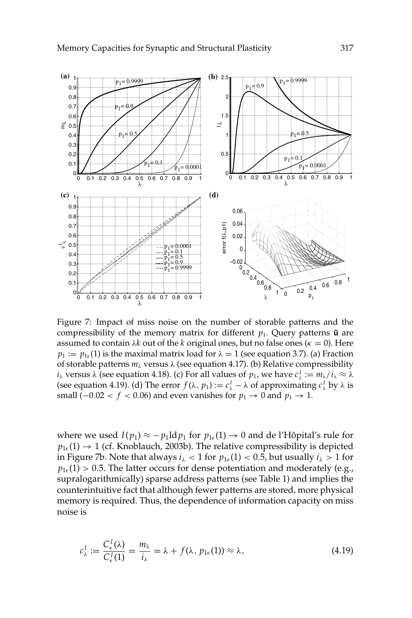

Figure 7: Impact of miss noise on the number of storable patterns and the compressibility of the memory matrix for different  $p_1$ . Query patterns  $\tilde{u}$  are assumed to contain  $\lambda k$  out of the *k* original ones, but no false ones ( $\kappa = 0$ ). Here  $p_1 := p_{1\epsilon}(1)$  is the maximal matrix load for  $\lambda = 1$  (see equation 3.7). (a) Fraction of storable patterns  $m_\lambda$  versus  $\lambda$  (see equation 4.17). (b) Relative compressibility *i*<sub>λ</sub> versus λ (see equation 4.18). (c) For all values of  $p_1$ , we have  $c_\lambda^I := m_\lambda / i_\lambda \approx \lambda$ (see equation 4.19). (d) The error  $f(\lambda, p_1) := c_{\lambda}^I - \lambda$  of approximating  $c_{\lambda}^I$  by  $\lambda$  is small ( $-0.02 < f < 0.06$ ) and even vanishes for  $p_1 \rightarrow 0$  and  $p_1 \rightarrow 1$ .

where we used  $I(p_1) \approx -p_1 \text{Id } p_1$  for  $p_{1\epsilon}(1) \rightarrow 0$  and de l'Hôpital's rule for  $p_{16}(1) \rightarrow 1$  (cf. Knoblauch, 2003b). The relative compressibility is depicted in Figure 7b. Note that always  $i_{\lambda} < 1$  for  $p_{1\epsilon}(1) < 0.5$ , but usually  $i_{\lambda} > 1$  for  $p_{16}(1) > 0.5$ . The latter occurs for dense potentiation and moderately (e.g., supralogarithmically) sparse address patterns (see Table 1) and implies the counterintuitive fact that although fewer patterns are stored, more physical memory is required. Thus, the dependence of information capacity on miss noise is

$$
c_{\lambda}^{I} := \frac{C_{\epsilon}^{I}(\lambda)}{C_{\epsilon}^{I}(1)} = \frac{m_{\lambda}}{i_{\lambda}} = \lambda + f(\lambda, p_{1\epsilon}(1)) \approx \lambda, \qquad (4.19)
$$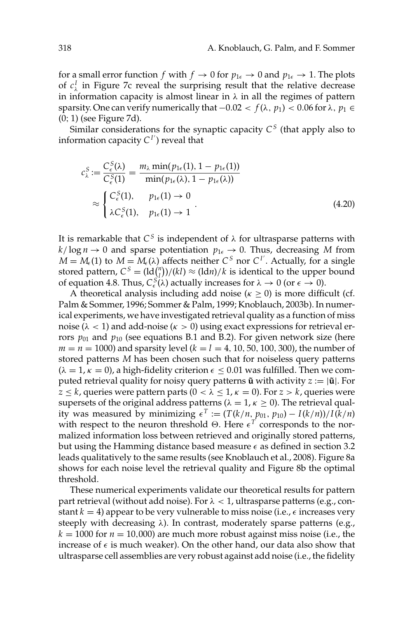for a small error function *f* with  $f \to 0$  for  $p_{1\epsilon} \to 0$  and  $p_{1\epsilon} \to 1$ . The plots of  $c_{\lambda}^{I}$  in Figure 7c reveal the surprising result that the relative decrease in information capacity is almost linear in  $\lambda$  in all the regimes of pattern sparsity. One can verify numerically that  $-0.02 < f(\lambda, p_1) < 0.06$  for  $\lambda, p_1 \in$ (0; 1) (see Figure 7d).

Similar considerations for the synaptic capacity  $C^S$  (that apply also to information capacity *C<sup>I</sup>* ) reveal that

$$
c_{\lambda}^{S} := \frac{C_{\epsilon}^{S}(\lambda)}{C_{\epsilon}^{S}(1)} = \frac{m_{\lambda} \min(p_{1\epsilon}(1), 1 - p_{1\epsilon}(1))}{\min(p_{1\epsilon}(\lambda), 1 - p_{1\epsilon}(\lambda))}
$$
  

$$
\approx \begin{cases} C_{\epsilon}^{S}(1), & p_{1\epsilon}(1) \to 0 \\ \lambda C_{\epsilon}^{S}(1), & p_{1\epsilon}(1) \to 1 \end{cases}
$$
(4.20)

It is remarkable that  $C^S$  is independent of  $\lambda$  for ultrasparse patterns with  $k/\log n \to 0$  and sparse potentiation  $p_{1\epsilon} \to 0$ . Thus, decreasing *M* from  $M = M_e(1)$  to  $M = M_e(\lambda)$  affects neither  $C^S$  nor  $C^I$ . Actually, for a single stored pattern,  $C^S = (\text{Id}_{\ell}^n)/((kl) \approx (\text{Id}_n)/k$  is identical to the upper bound of equation 4.8. Thus,  $C_{\epsilon}^{S}(\lambda)$  actually increases for  $\lambda \to 0$  (or  $\epsilon \to 0$ ).

A theoretical analysis including add noise ( $\kappa \ge 0$ ) is more difficult (cf. Palm & Sommer, 1996; Sommer & Palm, 1999; Knoblauch, 2003b). In numerical experiments, we have investigated retrieval quality as a function of miss noise ( $\lambda$  < 1) and add-noise ( $\kappa$  > 0) using exact expressions for retrieval errors  $p_{01}$  and  $p_{10}$  (see equations B.1 and B.2). For given network size (here  $m = n = 1000$  and sparsity level ( $k = l = 4, 10, 50, 100, 300$ ), the number of stored patterns *M* has been chosen such that for noiseless query patterns  $(\lambda = 1, \kappa = 0)$ , a high-fidelity criterion  $\epsilon \leq 0.01$  was fulfilled. Then we computed retrieval quality for noisy query patterns  $\tilde{u}$  with activity  $z := |\tilde{u}|$ . For *z*  $\leq$  *k*, queries were pattern parts (0  $\lt$   $\lambda \leq 1$ ,  $\kappa = 0$ ). For *z*  $> k$ , queries were supersets of the original address patterns ( $\lambda = 1, \kappa \ge 0$ ). The retrieval quality was measured by minimizing  $\epsilon^T := (T(k/n, p_{01}, p_{10}) - I(k/n))/I(k/n)$ with respect to the neuron threshold  $\Theta$ . Here  $\epsilon^T$  corresponds to the normalized information loss between retrieved and originally stored patterns, but using the Hamming distance based measure  $\epsilon$  as defined in section 3.2 leads qualitatively to the same results (see Knoblauch et al., 2008). Figure 8a shows for each noise level the retrieval quality and Figure 8b the optimal threshold.

These numerical experiments validate our theoretical results for pattern part retrieval (without add noise). For  $\lambda < 1$ , ultrasparse patterns (e.g., constant  $k = 4$ ) appear to be very vulnerable to miss noise (i.e.,  $\epsilon$  increases very steeply with decreasing  $\lambda$ ). In contrast, moderately sparse patterns (e.g.,  $k = 1000$  for  $n = 10,000$ ) are much more robust against miss noise (i.e., the increase of  $\epsilon$  is much weaker). On the other hand, our data also show that ultrasparse cell assemblies are very robust against add noise (i.e., the fidelity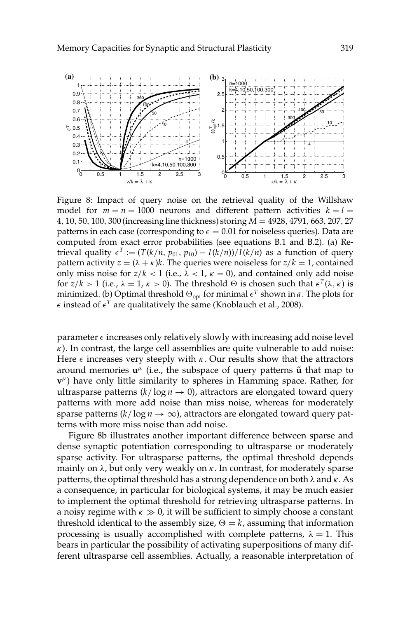

Figure 8: Impact of query noise on the retrieval quality of the Willshaw model for  $m = n = 1000$  neurons and different pattern activities  $k = l =$ 4, 10, 50, 100, 300 (increasing line thickness) storing *M* = 4928, 4791, 663, 207, 27 patterns in each case (corresponding to  $\epsilon = 0.01$  for noiseless queries). Data are computed from exact error probabilities (see equations B.1 and B.2). (a) Retrieval quality  $\epsilon^T := (T(k/n, p_{01}, p_{10}) - I(k/n))/I(k/n)$  as a function of query pattern activity  $z = (\lambda + \kappa)k$ . The queries were noiseless for  $z/k = 1$ , contained only miss noise for  $z/k < 1$  (i.e.,  $\lambda < 1$ ,  $\kappa = 0$ ), and contained only add noise for *z*/*k* > 1 (i.e.,  $\lambda = 1$ ,  $\kappa$  > 0). The threshold  $\Theta$  is chosen such that  $\epsilon^{T}(\lambda, \kappa)$  is minimized. (b) Optimal threshold  $\Theta_{opt}$  for minimal  $\epsilon^T$  shown in *a*. The plots for  $\epsilon$  instead of  $\epsilon^T$  are qualitatively the same (Knoblauch et al., 2008).

parameter  $\epsilon$  increases only relatively slowly with increasing add noise level  $\kappa$ ). In contrast, the large cell assemblies are quite vulnerable to add noise: Here  $\epsilon$  increases very steeply with  $\kappa$ . Our results show that the attractors around memories  $\mathbf{u}^{\mu}$  (i.e., the subspace of query patterns  $\tilde{\mathbf{u}}$  that map to  $v^{\mu}$ ) have only little similarity to spheres in Hamming space. Rather, for ultrasparse patterns  $(k/\log n \rightarrow 0)$ , attractors are elongated toward query patterns with more add noise than miss noise, whereas for moderately sparse patterns  $(k/\log n \rightarrow \infty)$ , attractors are elongated toward query patterns with more miss noise than add noise.

Figure 8b illustrates another important difference between sparse and dense synaptic potentiation corresponding to ultrasparse or moderately sparse activity. For ultrasparse patterns, the optimal threshold depends mainly on  $\lambda$ , but only very weakly on  $\kappa$ . In contrast, for moderately sparse patterns, the optimal threshold has a strong dependence on both  $\lambda$  and  $\kappa$ . As a consequence, in particular for biological systems, it may be much easier to implement the optimal threshold for retrieving ultrasparse patterns. In a noisy regime with  $\kappa \gg 0$ , it will be sufficient to simply choose a constant threshold identical to the assembly size,  $\Theta = k$ , assuming that information processing is usually accomplished with complete patterns,  $\lambda = 1$ . This bears in particular the possibility of activating superpositions of many different ultrasparse cell assemblies. Actually, a reasonable interpretation of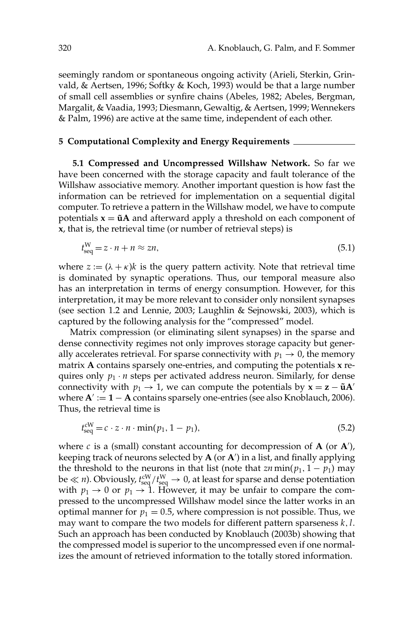seemingly random or spontaneous ongoing activity (Arieli, Sterkin, Grinvald, & Aertsen, 1996; Softky & Koch, 1993) would be that a large number of small cell assemblies or synfire chains (Abeles, 1982; Abeles, Bergman, Margalit, & Vaadia, 1993; Diesmann, Gewaltig, & Aertsen, 1999; Wennekers & Palm, 1996) are active at the same time, independent of each other.

### **5 Computational Complexity and Energy Requirements**

**5.1 Compressed and Uncompressed Willshaw Network.** So far we have been concerned with the storage capacity and fault tolerance of the Willshaw associative memory. Another important question is how fast the information can be retrieved for implementation on a sequential digital computer. To retrieve a pattern in the Willshaw model, we have to compute potentials  $x = \tilde{u}A$  and afterward apply a threshold on each component of **x**, that is, the retrieval time (or number of retrieval steps) is

$$
t_{\text{seq}}^{\text{W}} = z \cdot n + n \approx z n,\tag{5.1}
$$

where  $z := (\lambda + \kappa)k$  is the query pattern activity. Note that retrieval time is dominated by synaptic operations. Thus, our temporal measure also has an interpretation in terms of energy consumption. However, for this interpretation, it may be more relevant to consider only nonsilent synapses (see section 1.2 and Lennie, 2003; Laughlin & Sejnowski, 2003), which is captured by the following analysis for the "compressed" model.

Matrix compression (or eliminating silent synapses) in the sparse and dense connectivity regimes not only improves storage capacity but generally accelerates retrieval. For sparse connectivity with  $p_1 \rightarrow 0$ , the memory matrix **A** contains sparsely one-entries, and computing the potentials **x** requires only  $p_1 \cdot n$  steps per activated address neuron. Similarly, for dense connectivity with  $p_1 \rightarrow 1$ , we can compute the potentials by  $\mathbf{x} = \mathbf{z} - \mathbf{\tilde{u}}\mathbf{A}'$ where  $A' := 1 - A$  contains sparsely one-entries (see also Knoblauch, 2006). Thus, the retrieval time is

$$
t_{\text{seq}}^{\text{CW}} = c \cdot z \cdot n \cdot \min(p_1, 1 - p_1),\tag{5.2}
$$

where  $c$  is a (small) constant accounting for decompression of  $A$  (or  $A'$ ), keeping track of neurons selected by **A** (or **A** ) in a list, and finally applying the threshold to the neurons in that list (note that  $\sum n \min(p_1, 1 - p_1)$  may be  $\ll$  *n*). Obviously,  $t_{\rm seq}^{\rm cW}/t_{\rm seq}^{\rm W} \rightarrow 0$ , at least for sparse and dense potentiation with  $p_1 \rightarrow 0$  or  $p_1 \rightarrow 1$ . However, it may be unfair to compare the compressed to the uncompressed Willshaw model since the latter works in an optimal manner for  $p_1 = 0.5$ , where compression is not possible. Thus, we may want to compare the two models for different pattern sparseness *k*,*l*. Such an approach has been conducted by Knoblauch (2003b) showing that the compressed model is superior to the uncompressed even if one normalizes the amount of retrieved information to the totally stored information.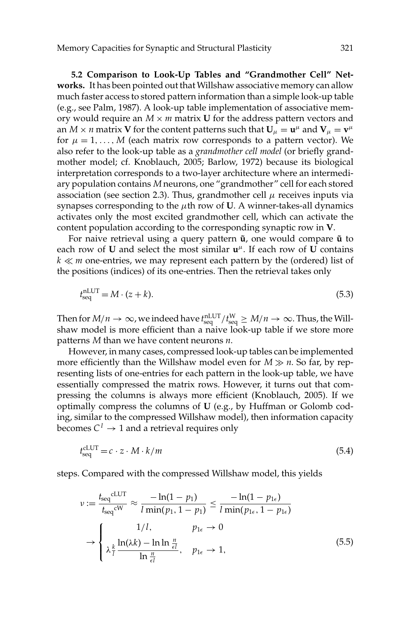Memory Capacities for Synaptic and Structural Plasticity 321

**5.2 Comparison to Look-Up Tables and "Grandmother Cell" Networks.** It has been pointed out that Willshaw associative memory can allow much faster access to stored pattern information than a simple look-up table (e.g., see Palm, 1987). A look-up table implementation of associative memory would require an  $M \times m$  matrix **U** for the address pattern vectors and an  $M \times n$  matrix **V** for the content patterns such that  $U_{\mu} = \mathbf{u}^{\mu}$  and  $V_{\mu} = \mathbf{v}^{\mu}$ for  $\mu = 1, \ldots, M$  (each matrix row corresponds to a pattern vector). We also refer to the look-up table as a *grandmother cell model* (or briefly grandmother model; cf. Knoblauch, 2005; Barlow, 1972) because its biological interpretation corresponds to a two-layer architecture where an intermediary population contains *M* neurons, one "grandmother" cell for each stored association (see section 2.3). Thus, grandmother cell  $\mu$  receives inputs via synapses corresponding to the  $\mu$ th row of **U**. A winner-takes-all dynamics activates only the most excited grandmother cell, which can activate the content population according to the corresponding synaptic row in **V**.

For naive retrieval using a query pattern  $\tilde{u}$ , one would compare  $\tilde{u}$  to each row of **U** and select the most similar  $\mathbf{u}^{\mu}$ . If each row of **U** contains  $k \ll m$  one-entries, we may represent each pattern by the (ordered) list of the positions (indices) of its one-entries. Then the retrieval takes only

$$
t_{\text{seq}}^{\text{nLUT}} = M \cdot (z + k). \tag{5.3}
$$

Then for  $M/n \to \infty$ , we indeed have  $t_{\rm seq}^{\rm nLUT}/t_{\rm seq}^{\rm W} \ge M/n \to \infty$ . Thus, the Willshaw model is more efficient than a naive look-up table if we store more patterns *M* than we have content neurons *n*.

However, in many cases, compressed look-up tables can be implemented more efficiently than the Willshaw model even for  $M \gg n$ . So far, by representing lists of one-entries for each pattern in the look-up table, we have essentially compressed the matrix rows. However, it turns out that compressing the columns is always more efficient (Knoblauch, 2005). If we optimally compress the columns of **U** (e.g., by Huffman or Golomb coding, similar to the compressed Willshaw model), then information capacity becomes  $C^I \rightarrow 1$  and a retrieval requires only

$$
t_{\text{seq}}^{\text{CLUT}} = c \cdot z \cdot M \cdot k/m \tag{5.4}
$$

steps. Compared with the compressed Willshaw model, this yields

$$
\nu := \frac{t_{\text{seq}}^{\text{clUT}}}{t_{\text{seq}}^{\text{clUT}}} \approx \frac{-\ln(1 - p_1)}{l \min(p_1, 1 - p_1)} \le \frac{-\ln(1 - p_{1\epsilon})}{l \min(p_{1\epsilon}, 1 - p_{1\epsilon})}
$$

$$
\rightarrow \begin{cases} 1/l, & p_{1\epsilon} \to 0 \\ \lambda \frac{k}{l} \frac{\ln(\lambda k) - \ln \ln \frac{n}{\epsilon l}}{\ln \frac{n}{\epsilon l}}, & p_{1\epsilon} \to 1, \end{cases}
$$
(5.5)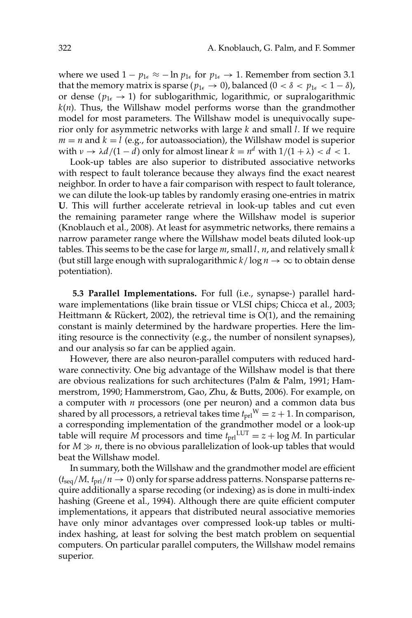where we used  $1 - p_{1\epsilon} \approx -\ln p_{1\epsilon}$  for  $p_{1\epsilon} \to 1$ . Remember from section 3.1 that the memory matrix is sparse ( $p_{1\epsilon} \to 0$ ), balanced ( $0 < \delta < p_{1\epsilon} < 1 - \delta$ ), or dense ( $p_{1\epsilon} \rightarrow 1$ ) for sublogarithmic, logarithmic, or supralogarithmic *k*(*n*). Thus, the Willshaw model performs worse than the grandmother model for most parameters. The Willshaw model is unequivocally superior only for asymmetric networks with large *k* and small *l*. If we require  $m = n$  and  $k = l$  (e.g., for autoassociation), the Willshaw model is superior with  $v \to \lambda d/(1-d)$  only for almost linear  $k = n^d$  with  $1/(1 + \lambda) < d < 1$ .

Look-up tables are also superior to distributed associative networks with respect to fault tolerance because they always find the exact nearest neighbor. In order to have a fair comparison with respect to fault tolerance, we can dilute the look-up tables by randomly erasing one-entries in matrix **U**. This will further accelerate retrieval in look-up tables and cut even the remaining parameter range where the Willshaw model is superior (Knoblauch et al., 2008). At least for asymmetric networks, there remains a narrow parameter range where the Willshaw model beats diluted look-up tables. This seems to be the case for large *m*, small *l*, *n*, and relatively small *k* (but still large enough with supralogarithmic  $k/\log n \to \infty$  to obtain dense potentiation).

**5.3 Parallel Implementations.** For full (i.e., synapse-) parallel hardware implementations (like brain tissue or VLSI chips; Chicca et al., 2003; Heittmann & Rückert, 2002), the retrieval time is  $O(1)$ , and the remaining constant is mainly determined by the hardware properties. Here the limiting resource is the connectivity (e.g., the number of nonsilent synapses), and our analysis so far can be applied again.

However, there are also neuron-parallel computers with reduced hardware connectivity. One big advantage of the Willshaw model is that there are obvious realizations for such architectures (Palm & Palm, 1991; Hammerstrom, 1990; Hammerstrom, Gao, Zhu, & Butts, 2006). For example, on a computer with *n* processors (one per neuron) and a common data bus shared by all processors, a retrieval takes time  $t_{\text{prl}}^{W} = z + 1$ . In comparison, a corresponding implementation of the grandmother model or a look-up table will require *M* processors and time  $t_{\text{prl}}$ <sup>LUT</sup> = *z* + log *M*. In particular for  $M \gg n$ , there is no obvious parallelization of look-up tables that would beat the Willshaw model.

In summary, both the Willshaw and the grandmother model are efficient  $(t_{\text{seq}}/M, t_{\text{prl}}/n \rightarrow 0)$  only for sparse address patterns. Nonsparse patterns require additionally a sparse recoding (or indexing) as is done in multi-index hashing (Greene et al., 1994). Although there are quite efficient computer implementations, it appears that distributed neural associative memories have only minor advantages over compressed look-up tables or multiindex hashing, at least for solving the best match problem on sequential computers. On particular parallel computers, the Willshaw model remains superior.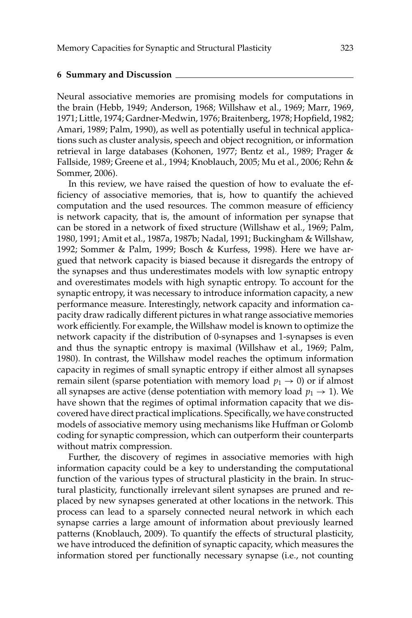#### **6 Summary and Discussion**

Neural associative memories are promising models for computations in the brain (Hebb, 1949; Anderson, 1968; Willshaw et al., 1969; Marr, 1969, 1971; Little, 1974; Gardner-Medwin, 1976; Braitenberg, 1978; Hopfield, 1982; Amari, 1989; Palm, 1990), as well as potentially useful in technical applications such as cluster analysis, speech and object recognition, or information retrieval in large databases (Kohonen, 1977; Bentz et al., 1989; Prager & Fallside, 1989; Greene et al., 1994; Knoblauch, 2005; Mu et al., 2006; Rehn & Sommer, 2006).

In this review, we have raised the question of how to evaluate the efficiency of associative memories, that is, how to quantify the achieved computation and the used resources. The common measure of efficiency is network capacity, that is, the amount of information per synapse that can be stored in a network of fixed structure (Willshaw et al., 1969; Palm, 1980, 1991; Amit et al., 1987a, 1987b; Nadal, 1991; Buckingham & Willshaw, 1992; Sommer & Palm, 1999; Bosch & Kurfess, 1998). Here we have argued that network capacity is biased because it disregards the entropy of the synapses and thus underestimates models with low synaptic entropy and overestimates models with high synaptic entropy. To account for the synaptic entropy, it was necessary to introduce information capacity, a new performance measure. Interestingly, network capacity and information capacity draw radically different pictures in what range associative memories work efficiently. For example, the Willshaw model is known to optimize the network capacity if the distribution of 0-synapses and 1-synapses is even and thus the synaptic entropy is maximal (Willshaw et al., 1969; Palm, 1980). In contrast, the Willshaw model reaches the optimum information capacity in regimes of small synaptic entropy if either almost all synapses remain silent (sparse potentiation with memory load  $p_1 \rightarrow 0$ ) or if almost all synapses are active (dense potentiation with memory load  $p_1 \rightarrow 1$ ). We have shown that the regimes of optimal information capacity that we discovered have direct practical implications. Specifically, we have constructed models of associative memory using mechanisms like Huffman or Golomb coding for synaptic compression, which can outperform their counterparts without matrix compression.

Further, the discovery of regimes in associative memories with high information capacity could be a key to understanding the computational function of the various types of structural plasticity in the brain. In structural plasticity, functionally irrelevant silent synapses are pruned and replaced by new synapses generated at other locations in the network. This process can lead to a sparsely connected neural network in which each synapse carries a large amount of information about previously learned patterns (Knoblauch, 2009). To quantify the effects of structural plasticity, we have introduced the definition of synaptic capacity, which measures the information stored per functionally necessary synapse (i.e., not counting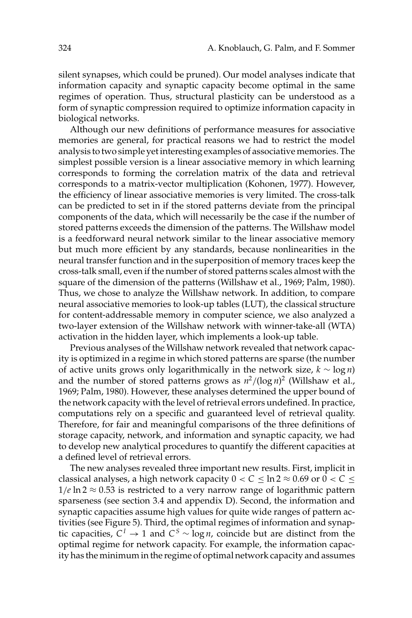silent synapses, which could be pruned). Our model analyses indicate that information capacity and synaptic capacity become optimal in the same regimes of operation. Thus, structural plasticity can be understood as a form of synaptic compression required to optimize information capacity in biological networks.

Although our new definitions of performance measures for associative memories are general, for practical reasons we had to restrict the model analysis to two simple yet interesting examples of associative memories. The simplest possible version is a linear associative memory in which learning corresponds to forming the correlation matrix of the data and retrieval corresponds to a matrix-vector multiplication (Kohonen, 1977). However, the efficiency of linear associative memories is very limited. The cross-talk can be predicted to set in if the stored patterns deviate from the principal components of the data, which will necessarily be the case if the number of stored patterns exceeds the dimension of the patterns. The Willshaw model is a feedforward neural network similar to the linear associative memory but much more efficient by any standards, because nonlinearities in the neural transfer function and in the superposition of memory traces keep the cross-talk small, even if the number of stored patterns scales almost with the square of the dimension of the patterns (Willshaw et al., 1969; Palm, 1980). Thus, we chose to analyze the Willshaw network. In addition, to compare neural associative memories to look-up tables (LUT), the classical structure for content-addressable memory in computer science, we also analyzed a two-layer extension of the Willshaw network with winner-take-all (WTA) activation in the hidden layer, which implements a look-up table.

Previous analyses of the Willshaw network revealed that network capacity is optimized in a regime in which stored patterns are sparse (the number of active units grows only logarithmically in the network size, *k* ∼ log *n*) and the number of stored patterns grows as  $n^2/(\log n)^2$  (Willshaw et al., 1969; Palm, 1980). However, these analyses determined the upper bound of the network capacity with the level of retrieval errors undefined. In practice, computations rely on a specific and guaranteed level of retrieval quality. Therefore, for fair and meaningful comparisons of the three definitions of storage capacity, network, and information and synaptic capacity, we had to develop new analytical procedures to quantify the different capacities at a defined level of retrieval errors.

The new analyses revealed three important new results. First, implicit in classical analyses, a high network capacity  $0 < C \leq \ln 2 \approx 0.69$  or  $0 < C \leq$  $1/e \ln 2 \approx 0.53$  is restricted to a very narrow range of logarithmic pattern sparseness (see section 3.4 and appendix D). Second, the information and synaptic capacities assume high values for quite wide ranges of pattern activities (see Figure 5). Third, the optimal regimes of information and synaptic capacities,  $C^I$  → 1 and  $C^S$  ~ log *n*, coincide but are distinct from the optimal regime for network capacity. For example, the information capacity has the minimum in the regime of optimal network capacity and assumes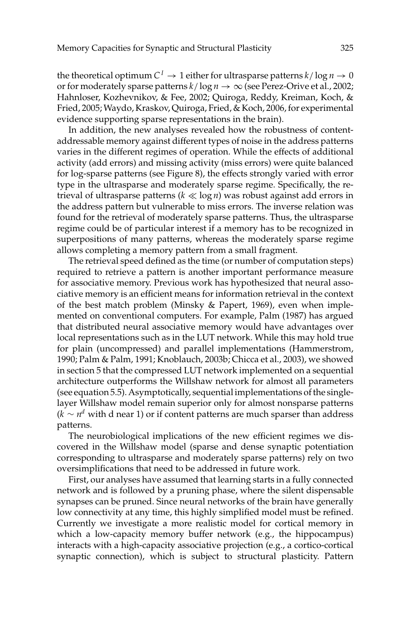the theoretical optimum  $C^I \rightarrow 1$  either for ultrasparse patterns  $k/\log n \rightarrow 0$ or for moderately sparse patterns  $k/\log n \to \infty$  (see Perez-Orive et al., 2002; Hahnloser, Kozhevnikov, & Fee, 2002; Quiroga, Reddy, Kreiman, Koch, & Fried, 2005; Waydo, Kraskov, Quiroga, Fried, & Koch, 2006, for experimental evidence supporting sparse representations in the brain).

In addition, the new analyses revealed how the robustness of contentaddressable memory against different types of noise in the address patterns varies in the different regimes of operation. While the effects of additional activity (add errors) and missing activity (miss errors) were quite balanced for log-sparse patterns (see Figure 8), the effects strongly varied with error type in the ultrasparse and moderately sparse regime. Specifically, the retrieval of ultrasparse patterns ( $k \ll \log n$ ) was robust against add errors in the address pattern but vulnerable to miss errors. The inverse relation was found for the retrieval of moderately sparse patterns. Thus, the ultrasparse regime could be of particular interest if a memory has to be recognized in superpositions of many patterns, whereas the moderately sparse regime allows completing a memory pattern from a small fragment.

The retrieval speed defined as the time (or number of computation steps) required to retrieve a pattern is another important performance measure for associative memory. Previous work has hypothesized that neural associative memory is an efficient means for information retrieval in the context of the best match problem (Minsky & Papert, 1969), even when implemented on conventional computers. For example, Palm (1987) has argued that distributed neural associative memory would have advantages over local representations such as in the LUT network. While this may hold true for plain (uncompressed) and parallel implementations (Hammerstrom, 1990; Palm & Palm, 1991; Knoblauch, 2003b; Chicca et al., 2003), we showed in section 5 that the compressed LUT network implemented on a sequential architecture outperforms the Willshaw network for almost all parameters (see equation 5.5). Asymptotically, sequential implementations of the singlelayer Willshaw model remain superior only for almost nonsparse patterns (*k* ∼ *nd* with d near 1) or if content patterns are much sparser than address patterns.

The neurobiological implications of the new efficient regimes we discovered in the Willshaw model (sparse and dense synaptic potentiation corresponding to ultrasparse and moderately sparse patterns) rely on two oversimplifications that need to be addressed in future work.

First, our analyses have assumed that learning starts in a fully connected network and is followed by a pruning phase, where the silent dispensable synapses can be pruned. Since neural networks of the brain have generally low connectivity at any time, this highly simplified model must be refined. Currently we investigate a more realistic model for cortical memory in which a low-capacity memory buffer network (e.g., the hippocampus) interacts with a high-capacity associative projection (e.g., a cortico-cortical synaptic connection), which is subject to structural plasticity. Pattern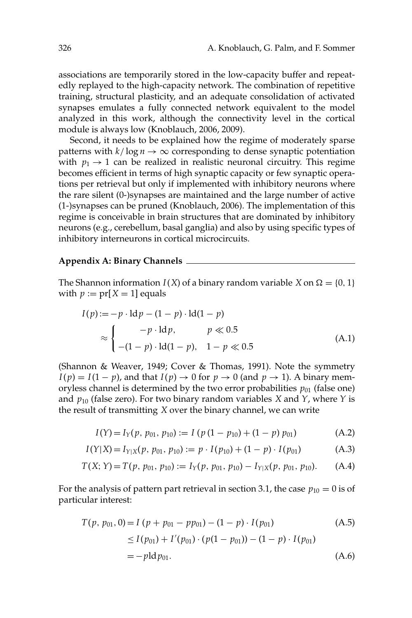associations are temporarily stored in the low-capacity buffer and repeatedly replayed to the high-capacity network. The combination of repetitive training, structural plasticity, and an adequate consolidation of activated synapses emulates a fully connected network equivalent to the model analyzed in this work, although the connectivity level in the cortical module is always low (Knoblauch, 2006, 2009).

Second, it needs to be explained how the regime of moderately sparse patterns with  $k/\log n \to \infty$  corresponding to dense synaptic potentiation with  $p_1 \rightarrow 1$  can be realized in realistic neuronal circuitry. This regime becomes efficient in terms of high synaptic capacity or few synaptic operations per retrieval but only if implemented with inhibitory neurons where the rare silent (0-)synapses are maintained and the large number of active (1-)synapses can be pruned (Knoblauch, 2006). The implementation of this regime is conceivable in brain structures that are dominated by inhibitory neurons (e.g., cerebellum, basal ganglia) and also by using specific types of inhibitory interneurons in cortical microcircuits.

### **Appendix A: Binary Channels**

The Shannon information *I*(*X*) of a binary random variable *X* on  $\Omega = \{0, 1\}$ with  $p := \text{pr}[X = 1]$  equals

$$
I(p) := -p \cdot \text{ld}p - (1 - p) \cdot \text{ld}(1 - p)
$$
  
\$\approx\$  $\begin{cases} -p \cdot \text{ld}p, & p \ll 0.5 \\ -(1 - p) \cdot \text{ld}(1 - p), & 1 - p \ll 0.5 \end{cases}$  (A.1)

(Shannon & Weaver, 1949; Cover & Thomas, 1991). Note the symmetry  $I(p) = I(1 - p)$ , and that  $I(p) \rightarrow 0$  for  $p \rightarrow 0$  (and  $p \rightarrow 1$ ). A binary memoryless channel is determined by the two error probabilities  $p_{01}$  (false one) and  $p_{10}$  (false zero). For two binary random variables *X* and *Y*, where *Y* is the result of transmitting *X* over the binary channel, we can write

$$
I(Y) = I_Y(p, p_{01}, p_{10}) := I (p (1 - p_{10}) + (1 - p) p_{01})
$$
 (A.2)

$$
I(Y|X) = I_{Y|X}(p, p_{01}, p_{10}) := p \cdot I(p_{10}) + (1 - p) \cdot I(p_{01})
$$
 (A.3)

$$
T(X; Y) = T(p, p_{01}, p_{10}) := I_Y(p, p_{01}, p_{10}) - I_{Y|X}(p, p_{01}, p_{10}).
$$
 (A.4)

For the analysis of pattern part retrieval in section 3.1, the case  $p_{10} = 0$  is of particular interest:

$$
T(p, p_{01}, 0) = I (p + p_{01} - pp_{01}) - (1 - p) \cdot I(p_{01})
$$
\n
$$
\leq I(p_{01}) + I'(p_{01}) \cdot (p(1 - p_{01})) - (1 - p) \cdot I(p_{01})
$$
\n
$$
= -p \cdot I(p_{01}). \tag{A.6}
$$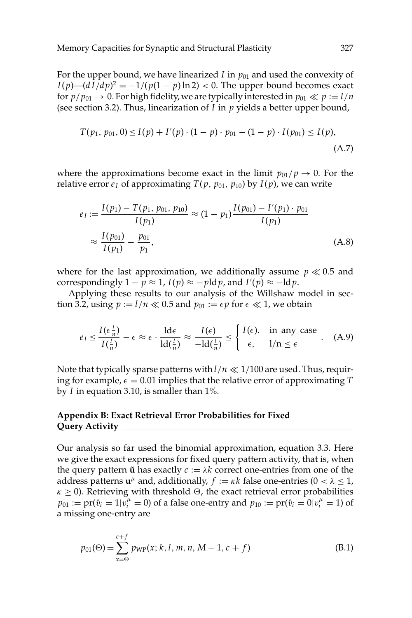For the upper bound, we have linearized *I* in  $p_{01}$  and used the convexity of  $I(p)$ —( $dI/dp$ )<sup>2</sup> =  $-1/(p(1-p)\ln 2)$  < 0. The upper bound becomes exact for  $p/p_{01} \rightarrow 0$ . For high fidelity, we are typically interested in  $p_{01} \ll p := l/n$ (see section 3.2). Thus, linearization of *I* in *p* yields a better upper bound,

$$
T(p_1, p_{01}, 0) \le I(p) + I'(p) \cdot (1 - p) \cdot p_{01} - (1 - p) \cdot I(p_{01}) \le I(p),
$$
\n(A.7)

where the approximations become exact in the limit  $p_{01}/p \rightarrow 0$ . For the relative error  $e_I$  of approximating  $T(p, p_{01}, p_{10})$  by  $I(p)$ , we can write

$$
e_{I} := \frac{I(p_{1}) - T(p_{1}, p_{01}, p_{10})}{I(p_{1})} \approx (1 - p_{1}) \frac{I(p_{01}) - I'(p_{1}) \cdot p_{01}}{I(p_{1})}
$$
  

$$
\approx \frac{I(p_{01})}{I(p_{1})} - \frac{p_{01}}{p_{1}},
$$
 (A.8)

where for the last approximation, we additionally assume  $p \ll 0.5$  and correspondingly  $1 - p \approx 1$ ,  $I(p) \approx -p \, \text{Id } p$ , and  $I'(p) \approx -\text{Id } p$ .

Applying these results to our analysis of the Willshaw model in section 3.2, using  $p := l/n \ll 0.5$  and  $p_{01} := \epsilon p$  for  $\epsilon \ll 1$ , we obtain

$$
e_I \le \frac{I(\epsilon \frac{I}{n})}{I(\frac{I}{n})} - \epsilon \approx \epsilon \cdot \frac{\mathrm{Id}\epsilon}{\mathrm{Id}(\frac{I}{n})} \approx \frac{I(\epsilon)}{-\mathrm{Id}(\frac{I}{n})} \le \begin{cases} I(\epsilon), & \text{in any case} \\ \epsilon, & \frac{I}{n} \le \epsilon \end{cases} (A.9)
$$

Note that typically sparse patterns with  $l/n \ll 1/100$  are used. Thus, requiring for example,  $\epsilon = 0.01$  implies that the relative error of approximating *T* by *I* in equation 3.10, is smaller than 1%.

### **Appendix B: Exact Retrieval Error Probabilities for Fixed Query Activity**

Our analysis so far used the binomial approximation, equation 3.3. Here we give the exact expressions for fixed query pattern activity, that is, when the query pattern  $\tilde{u}$  has exactly  $c := \lambda k$  correct one-entries from one of the address patterns  $\mathbf{u}^{\mu}$  and, additionally,  $f := \kappa k$  false one-entries ( $0 < \lambda \leq 1$ ,  $\kappa \geq 0$ ). Retrieving with threshold  $\Theta$ , the exact retrieval error probabilities  $p_{01} := \text{pr}(\hat{v}_i = 1 | \vec{v}_i^{\mu} = 0)$  of a false one-entry and  $p_{10} := \text{pr}(\hat{v}_i = 0 | v_i^{\mu} = 1)$  of a missing one-entry are

$$
p_{01}(\Theta) = \sum_{x=0}^{c+f} p_{\rm WP}(x; k, l, m, n, M-1, c+f)
$$
 (B.1)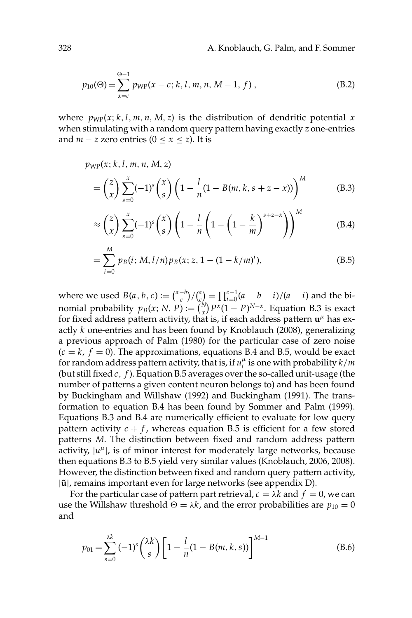$$
p_{10}(\Theta) = \sum_{x=c}^{\Theta-1} p_{\rm WP}(x-c; k, l, m, n, M-1, f), \qquad (B.2)
$$

where  $p_{WP}(x; k, l, m, n, M, z)$  is the distribution of dendritic potential *x* when stimulating with a random query pattern having exactly *z* one-entries and *m* − *z* zero entries (0 ≤ *x* ≤ *z*). It is

$$
p_{\text{WP}}(x; k, l, m, n, M, z)
$$
  
=  $\binom{z}{x} \sum_{s=0}^{x} (-1)^s \binom{x}{s} \left(1 - \frac{l}{n}(1 - B(m, k, s + z - x))\right)^M$  (B.3)

$$
\approx \binom{z}{x} \sum_{s=0}^{x} (-1)^s \binom{x}{s} \left( 1 - \frac{l}{n} \left( 1 - \left( 1 - \frac{k}{m} \right)^{s+z-x} \right) \right)^M \tag{B.4}
$$

$$
= \sum_{i=0}^{M} p_B(i; M, l/n) p_B(x; z, 1 - (1 - k/m)^i), \tag{B.5}
$$

where we used  $B(a, b, c) := {a-b \choose c} / {a \choose c} = \prod_{i=0}^{c-1} (a - b - i) / (a - i)$  and the binomial probability  $p_B(x; N, P) := {N \choose x} P^x (1 - P)^{N-x}$ . Equation B.3 is exact for fixed address pattern activity, that is, if each address pattern  $\mathbf{u}^{\mu}$  has exactly *k* one-entries and has been found by Knoblauch (2008), generalizing a previous approach of Palm (1980) for the particular case of zero noise  $(c = k, f = 0)$ . The approximations, equations B.4 and B.5, would be exact for random address pattern activity, that is, if  $u_i^{\mu}$  is one with probability  $k/m$ (but still fixed *c*, *f* ). Equation B.5 averages over the so-called unit-usage (the number of patterns a given content neuron belongs to) and has been found by Buckingham and Willshaw (1992) and Buckingham (1991). The transformation to equation B.4 has been found by Sommer and Palm (1999). Equations B.3 and B.4 are numerically efficient to evaluate for low query pattern activity  $c + f$ , whereas equation B.5 is efficient for a few stored patterns *M*. The distinction between fixed and random address pattern activity,  $|u^{\mu}|$ , is of minor interest for moderately large networks, because then equations B.3 to B.5 yield very similar values (Knoblauch, 2006, 2008). However, the distinction between fixed and random query pattern activity, |**u˜**|, remains important even for large networks (see appendix D).

For the particular case of pattern part retrieval,  $c = \lambda k$  and  $f = 0$ , we can use the Willshaw threshold  $\Theta = \lambda k$ , and the error probabilities are  $p_{10} = 0$ and

$$
p_{01} = \sum_{s=0}^{\lambda k} (-1)^s { \lambda k \choose s} \left[ 1 - \frac{l}{n} (1 - B(m, k, s)) \right]^{M-1}
$$
 (B.6)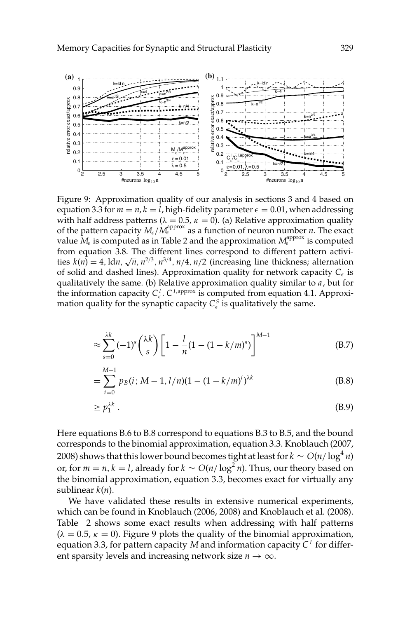

Figure 9: Approximation quality of our analysis in sections 3 and 4 based on equation 3.3 for  $m = n$ ,  $k = l$ , high-fidelity parameter  $\epsilon = 0.01$ , when addressing with half address patterns ( $\lambda = 0.5$ ,  $\kappa = 0$ ). (a) Relative approximation quality of the pattern capacity  $M_e/M_e^{\text{approx}}$  as a function of neuron number *n*. The exact value  $\dot{M}_{\epsilon}$  is computed as in Table 2 and the approximation  $M_{\epsilon}^{\text{approx}}$  is computed from equation 3.8. The different lines correspond to different pattern activities  $k(n) = 4$ , ld*n*,  $\sqrt{n}$ ,  $n^{2/3}$ ,  $n^{3/4}$ ,  $n/4$ ,  $n/2$  (increasing line thickness; alternation of solid and dashed lines). Approximation quality for network capacity  $C_{\epsilon}$  is qualitatively the same. (b) Relative approximation quality similar to *a*, but for the information capacity  $C_{\epsilon}^I$ .  $C^{I,approx}$  is computed from equation 4.1. Approximation quality for the synaptic capacity  $C_{\epsilon}^S$  is qualitatively the same.

$$
\approx \sum_{s=0}^{\lambda k} (-1)^s \binom{\lambda k}{s} \left[ 1 - \frac{l}{n} (1 - (1 - k/m)^s) \right]^{M-1}
$$
 (B.7)

$$
= \sum_{i=0}^{M-1} p_B(i; M-1, l/n)(1 - (1 - k/m)^i)^{\lambda k}
$$
 (B.8)

$$
\geq p_1^{\lambda k} \tag{B.9}
$$

Here equations B.6 to B.8 correspond to equations B.3 to B.5, and the bound corresponds to the binomial approximation, equation 3.3. Knoblauch (2007, 2008) shows that this lower bound becomes tight at least for  $k \sim O(n/\log^4 n)$ or, for  $m = n$ ,  $k = l$ , already for  $k \sim O(n/\log^2 n)$ . Thus, our theory based on the binomial approximation, equation 3.3, becomes exact for virtually any sublinear *k*(*n*).

We have validated these results in extensive numerical experiments, which can be found in Knoblauch (2006, 2008) and Knoblauch et al. (2008). Table 2 shows some exact results when addressing with half patterns  $(\lambda = 0.5, \kappa = 0)$ . Figure 9 plots the quality of the binomial approximation, equation 3.3, for pattern capacity *M* and information capacity *C<sup>I</sup>* for different sparsity levels and increasing network size  $n \to \infty$ .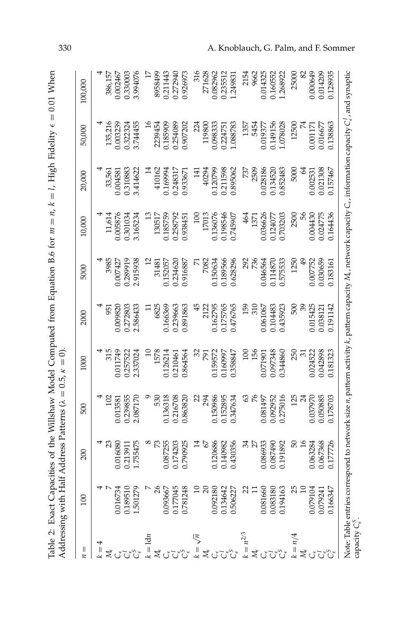| I<br>l<br>$l = n$ , $k = l$<br>i |                                                                |
|----------------------------------|----------------------------------------------------------------|
| I                                | $\frac{1}{k}$                                                  |
|                                  | $\overline{\phantom{a}}$<br>֠<br>$\overline{\phantom{a}}$<br>I |
|                                  |                                                                |
|                                  |                                                                |
|                                  |                                                                |

| 12500<br>0.138863<br>0.016677<br>185909<br>0.907202<br>1.088783<br>224<br>119800<br>0.098333<br>0.149156<br>1.078028<br>0.03239<br>2239454<br>1.254089<br>1357<br>5454<br>3.74445<br>0.00117<br>0.322324<br>0.22475<br>0.1937<br>135,216<br>0.021308<br>0.157467<br>5000<br>410162<br>1,120799<br>0.211598<br>1.895062<br>737<br>2509<br>0.852483<br>0.028186<br>1.004581<br>0.310883<br>0.169994<br>0.248317<br>$\frac{14}{1}$<br>40294<br>134520<br>0.002531<br>3.414622<br>1,93367<br>33,561<br>0.164436<br>100<br>2500<br>0.24775<br>130517<br>$\overline{464}$<br>0.004430<br>1.185759<br>17013<br>1.745907<br>11,614<br>3.165234<br>1.938451<br>0.136076<br>1371<br>0.05876<br>0.301034<br>0.25879<br>0.19854<br>0.03662<br>0.70320<br>0.12407<br>0.030659<br>1.289919<br>0.152057<br>1.150634<br>292<br>046564<br>1250<br>3985<br>0.189566<br>0.628296<br>736<br>0.183161<br>1.007427<br>2.915938<br>31481<br>0.23462<br>0.916887<br>7082<br>0.11487<br>1.575533<br>1.007752<br>0.191142<br>500<br>1.166369<br>0.239663<br>0.891863<br>0.175765<br>0.476765<br>015425<br>1.272803<br>6825<br>0.162795<br>310<br>1,435923<br>0.038121<br>.009820<br>2122<br>159<br>1.061067<br>104483<br>1.58643<br>95<br>0.358847<br>156<br>0.042898<br>0.181323<br>315<br>1578<br>32<br>0.160997<br>100<br>0.097348<br>250<br>0.024522<br>011749<br>1.257522<br>0.864564<br><b>P</b> <sub>2</sub><br>0.344860<br>0.210461<br>0.159572<br>1.071901<br>$\mathcal{E}$<br>.337024<br>1.126214<br>0.050885<br>.136318<br>1.152895<br>530<br>.150986<br>1.092952<br>0.275016<br>125<br>$\overline{z}$<br>0.178703<br>1,239855<br>0.216708<br>0.863820<br>R<br>294<br>1.347634<br>081497<br>037970<br>.013581<br>2.087170<br>102<br>0.067368<br>0.790925<br>50<br>0.63284<br>0.177726<br>.016080<br>.755475<br>.087255<br>1.174203<br>$\mathcal{E}$<br>0.120686<br>140982<br>0.430356<br>34<br>086933<br>191892<br>$\mathbb{Z}$<br>067490<br>1.213911<br>0.166347<br>0.177045<br>0.781248<br>0.134642<br>0.506227<br>0.083180<br>ನಿ<br>$\Box$<br>0.079104<br>1.093667<br>0.092180<br>0.081660<br>0.194163<br>0.079241<br>1.016734<br>189510<br>ನ<br>.501279<br>$= n^{2/3}$<br>$= n/4$<br>$=$ $\frac{1}{4}$ | II | 100 | 200 | 500 | 1000 | 2000 | 5000 | 10,000 | 20,000 | 50,000 | 100,000  |
|---------------------------------------------------------------------------------------------------------------------------------------------------------------------------------------------------------------------------------------------------------------------------------------------------------------------------------------------------------------------------------------------------------------------------------------------------------------------------------------------------------------------------------------------------------------------------------------------------------------------------------------------------------------------------------------------------------------------------------------------------------------------------------------------------------------------------------------------------------------------------------------------------------------------------------------------------------------------------------------------------------------------------------------------------------------------------------------------------------------------------------------------------------------------------------------------------------------------------------------------------------------------------------------------------------------------------------------------------------------------------------------------------------------------------------------------------------------------------------------------------------------------------------------------------------------------------------------------------------------------------------------------------------------------------------------------------------------------------------------------------------------------------------------------------------------------------------------------------------------------------------------------------------------------------------------------------------------------------------------------------------------------------------------------------------------------------------------------------------------------------------------------------------------------------------------------|----|-----|-----|-----|------|------|------|--------|--------|--------|----------|
|                                                                                                                                                                                                                                                                                                                                                                                                                                                                                                                                                                                                                                                                                                                                                                                                                                                                                                                                                                                                                                                                                                                                                                                                                                                                                                                                                                                                                                                                                                                                                                                                                                                                                                                                                                                                                                                                                                                                                                                                                                                                                                                                                                                             |    |     |     |     |      |      |      |        |        |        |          |
|                                                                                                                                                                                                                                                                                                                                                                                                                                                                                                                                                                                                                                                                                                                                                                                                                                                                                                                                                                                                                                                                                                                                                                                                                                                                                                                                                                                                                                                                                                                                                                                                                                                                                                                                                                                                                                                                                                                                                                                                                                                                                                                                                                                             |    |     |     |     |      |      |      |        |        |        | 386,157  |
|                                                                                                                                                                                                                                                                                                                                                                                                                                                                                                                                                                                                                                                                                                                                                                                                                                                                                                                                                                                                                                                                                                                                                                                                                                                                                                                                                                                                                                                                                                                                                                                                                                                                                                                                                                                                                                                                                                                                                                                                                                                                                                                                                                                             |    |     |     |     |      |      |      |        |        |        | 1.002467 |
|                                                                                                                                                                                                                                                                                                                                                                                                                                                                                                                                                                                                                                                                                                                                                                                                                                                                                                                                                                                                                                                                                                                                                                                                                                                                                                                                                                                                                                                                                                                                                                                                                                                                                                                                                                                                                                                                                                                                                                                                                                                                                                                                                                                             |    |     |     |     |      |      |      |        |        |        | 1.330003 |
|                                                                                                                                                                                                                                                                                                                                                                                                                                                                                                                                                                                                                                                                                                                                                                                                                                                                                                                                                                                                                                                                                                                                                                                                                                                                                                                                                                                                                                                                                                                                                                                                                                                                                                                                                                                                                                                                                                                                                                                                                                                                                                                                                                                             |    |     |     |     |      |      |      |        |        |        | 3.99407  |
|                                                                                                                                                                                                                                                                                                                                                                                                                                                                                                                                                                                                                                                                                                                                                                                                                                                                                                                                                                                                                                                                                                                                                                                                                                                                                                                                                                                                                                                                                                                                                                                                                                                                                                                                                                                                                                                                                                                                                                                                                                                                                                                                                                                             |    |     |     |     |      |      |      |        |        |        |          |
|                                                                                                                                                                                                                                                                                                                                                                                                                                                                                                                                                                                                                                                                                                                                                                                                                                                                                                                                                                                                                                                                                                                                                                                                                                                                                                                                                                                                                                                                                                                                                                                                                                                                                                                                                                                                                                                                                                                                                                                                                                                                                                                                                                                             |    |     |     |     |      |      |      |        |        |        | 8958499  |
|                                                                                                                                                                                                                                                                                                                                                                                                                                                                                                                                                                                                                                                                                                                                                                                                                                                                                                                                                                                                                                                                                                                                                                                                                                                                                                                                                                                                                                                                                                                                                                                                                                                                                                                                                                                                                                                                                                                                                                                                                                                                                                                                                                                             |    |     |     |     |      |      |      |        |        |        | 0.211443 |
|                                                                                                                                                                                                                                                                                                                                                                                                                                                                                                                                                                                                                                                                                                                                                                                                                                                                                                                                                                                                                                                                                                                                                                                                                                                                                                                                                                                                                                                                                                                                                                                                                                                                                                                                                                                                                                                                                                                                                                                                                                                                                                                                                                                             |    |     |     |     |      |      |      |        |        |        | 1.27294  |
|                                                                                                                                                                                                                                                                                                                                                                                                                                                                                                                                                                                                                                                                                                                                                                                                                                                                                                                                                                                                                                                                                                                                                                                                                                                                                                                                                                                                                                                                                                                                                                                                                                                                                                                                                                                                                                                                                                                                                                                                                                                                                                                                                                                             |    |     |     |     |      |      |      |        |        |        | 1.92697  |
|                                                                                                                                                                                                                                                                                                                                                                                                                                                                                                                                                                                                                                                                                                                                                                                                                                                                                                                                                                                                                                                                                                                                                                                                                                                                                                                                                                                                                                                                                                                                                                                                                                                                                                                                                                                                                                                                                                                                                                                                                                                                                                                                                                                             |    |     |     |     |      |      |      |        |        |        | 316      |
|                                                                                                                                                                                                                                                                                                                                                                                                                                                                                                                                                                                                                                                                                                                                                                                                                                                                                                                                                                                                                                                                                                                                                                                                                                                                                                                                                                                                                                                                                                                                                                                                                                                                                                                                                                                                                                                                                                                                                                                                                                                                                                                                                                                             |    |     |     |     |      |      |      |        |        |        | 271628   |
|                                                                                                                                                                                                                                                                                                                                                                                                                                                                                                                                                                                                                                                                                                                                                                                                                                                                                                                                                                                                                                                                                                                                                                                                                                                                                                                                                                                                                                                                                                                                                                                                                                                                                                                                                                                                                                                                                                                                                                                                                                                                                                                                                                                             |    |     |     |     |      |      |      |        |        |        | 1.082962 |
|                                                                                                                                                                                                                                                                                                                                                                                                                                                                                                                                                                                                                                                                                                                                                                                                                                                                                                                                                                                                                                                                                                                                                                                                                                                                                                                                                                                                                                                                                                                                                                                                                                                                                                                                                                                                                                                                                                                                                                                                                                                                                                                                                                                             |    |     |     |     |      |      |      |        |        |        | 1,235512 |
|                                                                                                                                                                                                                                                                                                                                                                                                                                                                                                                                                                                                                                                                                                                                                                                                                                                                                                                                                                                                                                                                                                                                                                                                                                                                                                                                                                                                                                                                                                                                                                                                                                                                                                                                                                                                                                                                                                                                                                                                                                                                                                                                                                                             |    |     |     |     |      |      |      |        |        |        | .24983   |
|                                                                                                                                                                                                                                                                                                                                                                                                                                                                                                                                                                                                                                                                                                                                                                                                                                                                                                                                                                                                                                                                                                                                                                                                                                                                                                                                                                                                                                                                                                                                                                                                                                                                                                                                                                                                                                                                                                                                                                                                                                                                                                                                                                                             |    |     |     |     |      |      |      |        |        |        | 2154     |
|                                                                                                                                                                                                                                                                                                                                                                                                                                                                                                                                                                                                                                                                                                                                                                                                                                                                                                                                                                                                                                                                                                                                                                                                                                                                                                                                                                                                                                                                                                                                                                                                                                                                                                                                                                                                                                                                                                                                                                                                                                                                                                                                                                                             |    |     |     |     |      |      |      |        |        |        | 9662     |
|                                                                                                                                                                                                                                                                                                                                                                                                                                                                                                                                                                                                                                                                                                                                                                                                                                                                                                                                                                                                                                                                                                                                                                                                                                                                                                                                                                                                                                                                                                                                                                                                                                                                                                                                                                                                                                                                                                                                                                                                                                                                                                                                                                                             |    |     |     |     |      |      |      |        |        |        | 0.01432  |
|                                                                                                                                                                                                                                                                                                                                                                                                                                                                                                                                                                                                                                                                                                                                                                                                                                                                                                                                                                                                                                                                                                                                                                                                                                                                                                                                                                                                                                                                                                                                                                                                                                                                                                                                                                                                                                                                                                                                                                                                                                                                                                                                                                                             |    |     |     |     |      |      |      |        |        |        | 0.160552 |
|                                                                                                                                                                                                                                                                                                                                                                                                                                                                                                                                                                                                                                                                                                                                                                                                                                                                                                                                                                                                                                                                                                                                                                                                                                                                                                                                                                                                                                                                                                                                                                                                                                                                                                                                                                                                                                                                                                                                                                                                                                                                                                                                                                                             |    |     |     |     |      |      |      |        |        |        | 1.268922 |
|                                                                                                                                                                                                                                                                                                                                                                                                                                                                                                                                                                                                                                                                                                                                                                                                                                                                                                                                                                                                                                                                                                                                                                                                                                                                                                                                                                                                                                                                                                                                                                                                                                                                                                                                                                                                                                                                                                                                                                                                                                                                                                                                                                                             |    |     |     |     |      |      |      |        |        |        | 25000    |
|                                                                                                                                                                                                                                                                                                                                                                                                                                                                                                                                                                                                                                                                                                                                                                                                                                                                                                                                                                                                                                                                                                                                                                                                                                                                                                                                                                                                                                                                                                                                                                                                                                                                                                                                                                                                                                                                                                                                                                                                                                                                                                                                                                                             |    |     |     |     |      |      |      |        |        |        |          |
|                                                                                                                                                                                                                                                                                                                                                                                                                                                                                                                                                                                                                                                                                                                                                                                                                                                                                                                                                                                                                                                                                                                                                                                                                                                                                                                                                                                                                                                                                                                                                                                                                                                                                                                                                                                                                                                                                                                                                                                                                                                                                                                                                                                             |    |     |     |     |      |      |      |        |        |        | 0.000649 |
|                                                                                                                                                                                                                                                                                                                                                                                                                                                                                                                                                                                                                                                                                                                                                                                                                                                                                                                                                                                                                                                                                                                                                                                                                                                                                                                                                                                                                                                                                                                                                                                                                                                                                                                                                                                                                                                                                                                                                                                                                                                                                                                                                                                             |    |     |     |     |      |      |      |        |        |        | 0.014209 |
|                                                                                                                                                                                                                                                                                                                                                                                                                                                                                                                                                                                                                                                                                                                                                                                                                                                                                                                                                                                                                                                                                                                                                                                                                                                                                                                                                                                                                                                                                                                                                                                                                                                                                                                                                                                                                                                                                                                                                                                                                                                                                                                                                                                             |    |     |     |     |      |      |      |        |        |        | 0.128935 |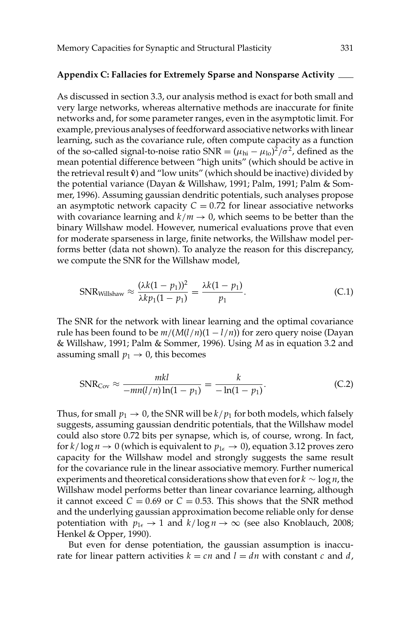### **Appendix C: Fallacies for Extremely Sparse and Nonsparse Activity**

As discussed in section 3.3, our analysis method is exact for both small and very large networks, whereas alternative methods are inaccurate for finite networks and, for some parameter ranges, even in the asymptotic limit. For example, previous analyses of feedforward associative networks with linear learning, such as the covariance rule, often compute capacity as a function of the so-called signal-to-noise ratio  $SNR = (\mu_{hi} - \mu_{lo})^2/\sigma^2$ , defined as the mean potential difference between "high units" (which should be active in the retrieval result  $\hat{v}$ ) and "low units" (which should be inactive) divided by the potential variance (Dayan & Willshaw, 1991; Palm, 1991; Palm & Sommer, 1996). Assuming gaussian dendritic potentials, such analyses propose an asymptotic network capacity  $C = 0.72$  for linear associative networks with covariance learning and  $k/m \rightarrow 0$ , which seems to be better than the binary Willshaw model. However, numerical evaluations prove that even for moderate sparseness in large, finite networks, the Willshaw model performs better (data not shown). To analyze the reason for this discrepancy, we compute the SNR for the Willshaw model,

$$
SNR_{\text{Willshaw}} \approx \frac{(\lambda k(1 - p_1))^2}{\lambda k p_1 (1 - p_1)} = \frac{\lambda k(1 - p_1)}{p_1}.
$$
 (C.1)

The SNR for the network with linear learning and the optimal covariance rule has been found to be  $m/(M(l/n)(1 - l/n))$  for zero query noise (Dayan & Willshaw, 1991; Palm & Sommer, 1996). Using *M* as in equation 3.2 and assuming small  $p_1 \rightarrow 0$ , this becomes

$$
SNR_{\text{Cov}} \approx \frac{mkl}{-mn(l/n)\ln(1-p_1)} = \frac{k}{-\ln(1-p_1)}.
$$
 (C.2)

Thus, for small  $p_1 \rightarrow 0$ , the SNR will be  $k/p_1$  for both models, which falsely suggests, assuming gaussian dendritic potentials, that the Willshaw model could also store 0.72 bits per synapse, which is, of course, wrong. In fact, for  $k/\log n \to 0$  (which is equivalent to  $p_{1\epsilon} \to 0$ ), equation 3.12 proves zero capacity for the Willshaw model and strongly suggests the same result for the covariance rule in the linear associative memory. Further numerical experiments and theoretical considerations show that even for *k* ∼ log *n*, the Willshaw model performs better than linear covariance learning, although it cannot exceed  $C = 0.69$  or  $C = 0.53$ . This shows that the SNR method and the underlying gaussian approximation become reliable only for dense potentiation with  $p_{1\epsilon} \rightarrow 1$  and  $k/\log n \rightarrow \infty$  (see also Knoblauch, 2008; Henkel & Opper, 1990).

But even for dense potentiation, the gaussian assumption is inaccurate for linear pattern activities  $k = cn$  and  $l = dn$  with constant  $c$  and  $d$ ,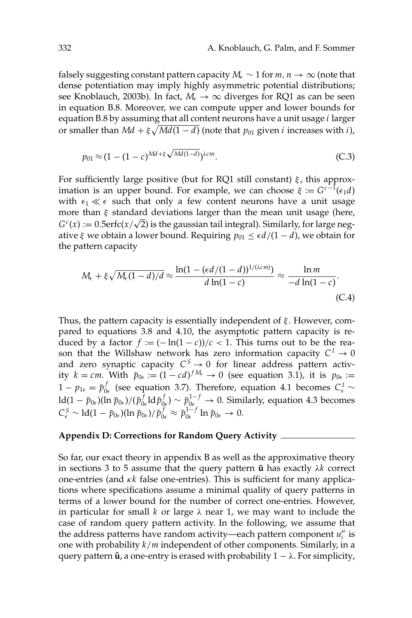falsely suggesting constant pattern capacity  $M_{\epsilon} \sim 1$  for  $m, n \to \infty$  (note that dense potentiation may imply highly asymmetric potential distributions; see Knoblauch, 2003b). In fact,  $M_{\epsilon} \rightarrow \infty$  diverges for RQ1 as can be seen in equation B.8. Moreover, we can compute upper and lower bounds for equation B.8 by assuming that all content neurons have a unit usage *i* larger or smaller than  $Md + \xi \sqrt{Md(1-d)}$  (note that  $p_{01}$  given *i* increases with *i*),

$$
p_{01} \approx (1 - (1 - c)^{Md + \xi \sqrt{Md(1 - d)}})^{\lambda cm}.
$$
 (C.3)

For sufficiently large positive (but for RQ1 still constant)  $\xi$ , this approximation is an upper bound. For example, we can choose  $\xi := G^{c-1}(\epsilon_1 d)$ with  $\epsilon_1 \ll \epsilon$  such that only a few content neurons have a unit usage more than ξ standard deviations larger than the mean unit usage (here,  $G^c(x) := 0.5$ erfc( $x/\sqrt{2}$ ) is the gaussian tail integral). Similarly, for large negative  $\xi$  we obtain a lower bound. Requiring  $p_{01} \leq \epsilon d/(1-d)$ , we obtain for the pattern capacity

$$
M_{\epsilon} + \xi \sqrt{M_{\epsilon}(1-d)/d} \approx \frac{\ln(1 - (\epsilon d/(1-d))^{1/(\lambda cm)})}{d \ln(1-c)} \approx \frac{\ln m}{-d \ln(1-c)}.
$$
\n(C.4)

Thus, the pattern capacity is essentially independent of  $\xi$ . However, compared to equations 3.8 and 4.10, the asymptotic pattern capacity is reduced by a factor  $f := (-\ln(1-c))/c < 1$ . This turns out to be the reason that the Willshaw network has zero information capacity  $C^I \rightarrow 0$ and zero synaptic capacity  $C^S \rightarrow 0$  for linear address pattern activity  $k = cm$ . With  $\tilde{p}_{0\epsilon} := (1 - cd)^{f M_{\epsilon}} \to 0$  (see equation 3.1), it is  $p_{0\epsilon} :=$  $1 - p_{1\epsilon} = \tilde{p}_{0\epsilon}^f$  (see equation 3.7). Therefore, equation 4.1 becomes  $C_\epsilon^I$  ∼ ld(1 −  $\tilde{p}_{0\epsilon}$ )(ln  $\tilde{p}_{0\epsilon}$ )/( $\tilde{p}_{0\epsilon}^f$ ld $\tilde{p}_{0\epsilon}^f$ ) ~  $\tilde{p}_{0\epsilon}^{1-f}$  → 0. Similarly, equation 4.3 becomes  $C_{\epsilon}^{S} \sim \text{ld}(1 - \tilde{p}_{0\epsilon})(\ln \tilde{p}_{0\epsilon}) / \tilde{p}_{0\epsilon}^{f} \approx \tilde{p}_{0\epsilon}^{1-f} \ln \tilde{p}_{0\epsilon} \to 0.$ 

### **Appendix D: Corrections for Random Query Activity**

So far, our exact theory in appendix B as well as the approximative theory in sections 3 to 5 assume that the query pattern  $\tilde{u}$  has exactly  $\lambda k$  correct one-entries (and κ*k* false one-entries). This is sufficient for many applications where specifications assume a minimal quality of query patterns in terms of a lower bound for the number of correct one-entries. However, in particular for small  $k$  or large  $\lambda$  near 1, we may want to include the case of random query pattern activity. In the following, we assume that the address patterns have random activity—each pattern component  $u_i^{\mu}$  is one with probability *k*/*m* independent of other components. Similarly, in a query pattern  $\tilde{u}$ , a one-entry is erased with probability  $1 - \lambda$ . For simplicity,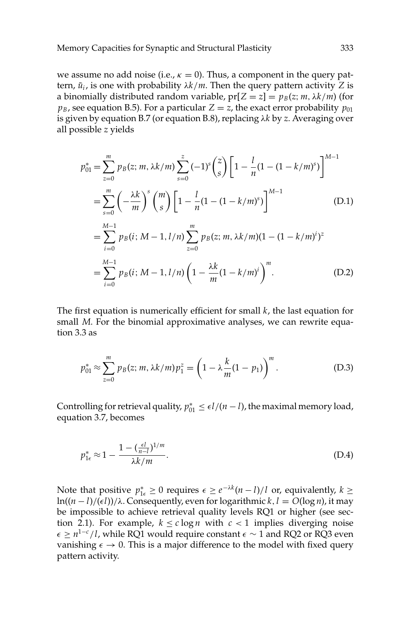we assume no add noise (i.e.,  $\kappa = 0$ ). Thus, a component in the query pattern,  $\tilde{u}_i$ , is one with probability  $\lambda k/m$ . Then the query pattern activity *Z* is a binomially distributed random variable,  $pr[Z = z] = p_B(z; m, \lambda k/m)$  (for  $p_B$ , see equation B.5). For a particular  $Z = z$ , the exact error probability  $p_{01}$ is given by equation B.7 (or equation B.8), replacing λ*k* by *z*. Averaging over all possible *z* yields

$$
p_{01}^{*} = \sum_{z=0}^{m} p_{B}(z; m, \lambda k/m) \sum_{s=0}^{z} (-1)^{s} {z \choose s} \left[ 1 - \frac{l}{n} (1 - (1 - k/m)^{s}) \right]^{M-1}
$$
  
\n
$$
= \sum_{s=0}^{m} \left( -\frac{\lambda k}{m} \right)^{s} {m \choose s} \left[ 1 - \frac{l}{n} (1 - (1 - k/m)^{s}) \right]^{M-1}
$$
(D.1)  
\n
$$
= \sum_{i=0}^{M-1} p_{B}(i; M-1, l/n) \sum_{z=0}^{m} p_{B}(z; m, \lambda k/m) (1 - (1 - k/m)^{i})^{z}
$$
  
\n
$$
= \sum_{i=0}^{M-1} p_{B}(i; M-1, l/n) \left( 1 - \frac{\lambda k}{m} (1 - k/m)^{i} \right)^{m}.
$$
(D.2)

The first equation is numerically efficient for small *k*, the last equation for small *M*. For the binomial approximative analyses, we can rewrite equation 3.3 as

$$
p_{01}^* \approx \sum_{z=0}^m p_B(z; m, \lambda k/m) p_1^z = \left(1 - \lambda \frac{k}{m}(1 - p_1)\right)^m.
$$
 (D.3)

Controlling for retrieval quality,  $p_{01}^* \le \epsilon l/(n-l)$ , the maximal memory load, equation 3.7, becomes

$$
p_{1\epsilon}^* \approx 1 - \frac{1 - \left(\frac{\epsilon l}{n - l}\right)^{1/m}}{\lambda k/m}.
$$
 (D.4)

Note that positive  $p_{1\epsilon}^* \geq 0$  requires  $\epsilon \geq e^{-\lambda k} (n-l)/l$  or, equivalently,  $k \geq$ ln( $(n - l)/(\epsilon l)$ )/ $\lambda$ . Consequently, even for logarithmic  $k, l = O(\log n)$ , it may be impossible to achieve retrieval quality levels RQ1 or higher (see section 2.1). For example,  $k \leq c \log n$  with  $c < 1$  implies diverging noise  $\epsilon \ge n^{1-c}/l$ , while RQ1 would require constant  $\epsilon \sim 1$  and RQ2 or RQ3 even vanishing  $\epsilon \to 0$ . This is a major difference to the model with fixed query pattern activity.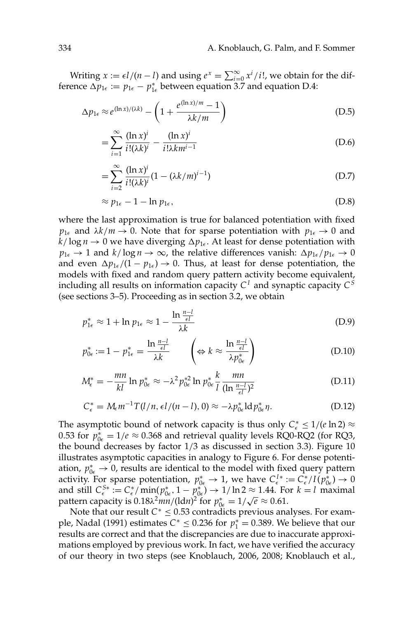Writing *x* :=  $\epsilon l/(n-l)$  and using  $e^x = \sum_{i=0}^{\infty} x^i/i!$ , we obtain for the difference  $\Delta p_{1\epsilon} := p_{1\epsilon} - p_{1\epsilon}^*$  between equation 3.7 and equation D.4:

$$
\Delta p_{1\epsilon} \approx e^{(\ln x)/( \lambda k)} - \left(1 + \frac{e^{(\ln x)/m} - 1}{\lambda k/m}\right)
$$
 (D.5)

$$
=\sum_{i=1}^{\infty} \frac{(\ln x)^i}{i!(\lambda k)^i} - \frac{(\ln x)^i}{i!\lambda k m^{i-1}}\tag{D.6}
$$

$$
=\sum_{i=2}^{\infty} \frac{(\ln x)^i}{i!(\lambda k)^i} (1 - (\lambda k/m)^{i-1})
$$
 (D.7)

$$
\approx p_{1\epsilon} - 1 - \ln p_{1\epsilon},\tag{D.8}
$$

where the last approximation is true for balanced potentiation with fixed  $p_{1\epsilon}$  and  $\lambda k/m \rightarrow 0$ . Note that for sparse potentiation with  $p_{1\epsilon} \rightarrow 0$  and  $k/\log n \to 0$  we have diverging  $\Delta p_{1\epsilon}$ . At least for dense potentiation with  $p_{1\epsilon} \rightarrow 1$  and  $k/\log n \rightarrow \infty$ , the relative differences vanish:  $\Delta p_{1\epsilon}/p_{1\epsilon} \rightarrow 0$ and even  $\Delta p_{1\epsilon}/(1 - p_{1\epsilon}) \rightarrow 0$ . Thus, at least for dense potentiation, the models with fixed and random query pattern activity become equivalent, including all results on information capacity *C<sup>I</sup>* and synaptic capacity *C<sup>S</sup>* (see sections 3–5). Proceeding as in section 3.2, we obtain

$$
p_{1\epsilon}^* \approx 1 + \ln p_{1\epsilon} \approx 1 - \frac{\ln \frac{n-l}{\epsilon l}}{\lambda k}
$$
 (D.9)

$$
p_{0\epsilon}^* := 1 - p_{1\epsilon}^* = \frac{\ln \frac{n-l}{\epsilon l}}{\lambda k} \qquad \left( \Leftrightarrow k \approx \frac{\ln \frac{n-l}{\epsilon l}}{\lambda p_{0\epsilon}^*} \right)
$$
 (D.10)

$$
M_{\epsilon}^{*} = -\frac{mn}{kl} \ln p_{0\epsilon}^{*} \approx -\lambda^{2} p_{0\epsilon}^{*2} \ln p_{0\epsilon}^{*} \frac{k}{l} \frac{mn}{(\ln \frac{n-l}{\epsilon l})^{2}}
$$
(D.11)

$$
C_{\epsilon}^* = M_{\epsilon} m^{-1} T(l/n, \epsilon l/(n-l), 0) \approx -\lambda p_{0\epsilon}^* \mathrm{Id} \, p_{0\epsilon}^* \eta. \tag{D.12}
$$

The asymptotic bound of network capacity is thus only  $C_{\epsilon}^* \leq 1/(e \ln 2) \approx$ 0.53 for  $p_{0e}^* = 1/e \approx 0.368$  and retrieval quality levels RQ0-RQ2 (for RQ3, the bound decreases by factor 1/3 as discussed in section 3.3). Figure 10 illustrates asymptotic capacities in analogy to Figure 6. For dense potentiation,  $p_{0\epsilon}^* \to 0$ , results are identical to the model with fixed query pattern activity. For sparse potentiation,  $p_{0\epsilon}^* \to 1$ , we have  $C_{\epsilon}^{I*} := C_{\epsilon}^*/I(p_{0\epsilon}^*) \to 0$ and still  $C_{\epsilon}^{S*} := C_{\epsilon}^{*}/\min(p_{0\epsilon}^{*}, 1 - p_{0\epsilon}^{*}) \rightarrow 1/\ln 2 \approx 1.44$ . For  $k = l$  maximal and sum  $C_{\epsilon} := C_{\epsilon}/\lim_{\epsilon} (p_0, 1 - p_0, 0) \rightarrow 1/\ln 2 \approx 1.44$ . For  $p_{0\epsilon}^* = 1/\sqrt{e} \approx 0.61$ .

Note that our result *C*<sup>∗</sup> ≤ 0.53 contradicts previous analyses. For example, Nadal (1991) estimates  $C^* \leq 0.236$  for  $p_1^* = 0.389$ . We believe that our results are correct and that the discrepancies are due to inaccurate approximations employed by previous work. In fact, we have verified the accuracy of our theory in two steps (see Knoblauch, 2006, 2008; Knoblauch et al.,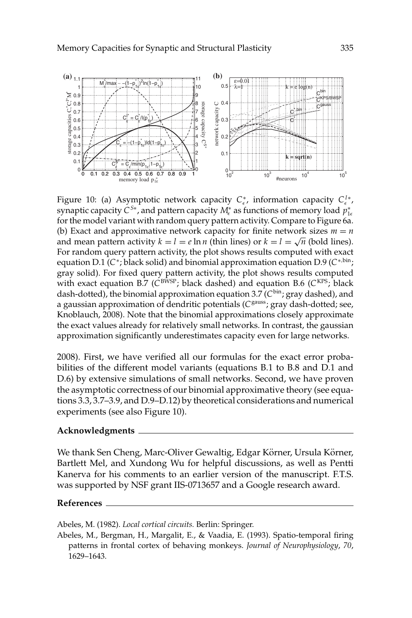

Figure 10: (a) Asymptotic network capacity  $C_{\epsilon}^*$ , information capacity  $C_{\epsilon}^{I*}$ , synaptic capacity *C<sup>S</sup>*<sup>∗</sup>, and pattern capacity *M*<sup>∗</sup> as functions of memory load *p*<sup>∗</sup> 1 for the model variant with random query pattern activity. Compare to Figure 6a. (b) Exact and approximative network capacity for finite network sizes  $m = n$ and mean pattern activity  $k = l = e \ln n$  (thin lines) or  $k = l = \sqrt{n}$  (bold lines). For random query pattern activity, the plot shows results computed with exact equation D.1 (*C*<sup>∗</sup>; black solid) and binomial approximation equation D.9 (*C*<sup>∗</sup>,bin; gray solid). For fixed query pattern activity, the plot shows results computed with exact equation B.7 ( $\check{C}^{\text{BWSP}}$ ; black dashed) and equation B.6 ( $\check{C}^{\text{KPS}}$ ; black dash-dotted), the binomial approximation equation 3.7 ( $C<sup>bin</sup>$ ; gray dashed), and a gaussian approximation of dendritic potentials (C<sup>gauss</sup>; gray dash-dotted; see, Knoblauch, 2008). Note that the binomial approximations closely approximate the exact values already for relatively small networks. In contrast, the gaussian approximation significantly underestimates capacity even for large networks.

2008). First, we have verified all our formulas for the exact error probabilities of the different model variants (equations B.1 to B.8 and D.1 and D.6) by extensive simulations of small networks. Second, we have proven the asymptotic correctness of our binomial approximative theory (see equations 3.3, 3.7–3.9, and D.9–D.12) by theoretical considerations and numerical experiments (see also Figure 10).

### **Acknowledgments**

We thank Sen Cheng, Marc-Oliver Gewaltig, Edgar Körner, Ursula Körner, Bartlett Mel, and Xundong Wu for helpful discussions, as well as Pentti Kanerva for his comments to an earlier version of the manuscript. F.T.S. was supported by NSF grant IIS-0713657 and a Google research award.

#### **References**

Abeles, M. (1982). *Local cortical circuits.* Berlin: Springer.

Abeles, M., Bergman, H., Margalit, E., & Vaadia, E. (1993). Spatio-temporal firing patterns in frontal cortex of behaving monkeys. *Journal of Neurophysiology*, *70*, 1629–1643.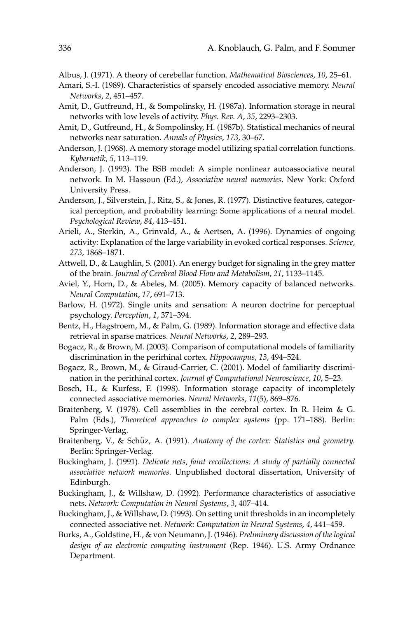- Albus, J. (1971). A theory of cerebellar function. *Mathematical Biosciences*, *10*, 25–61.
- Amari, S.-I. (1989). Characteristics of sparsely encoded associative memory. *Neural Networks*, *2*, 451–457.
- Amit, D., Gutfreund, H., & Sompolinsky, H. (1987a). Information storage in neural networks with low levels of activity. *Phys. Rev. A*, *35*, 2293–2303.
- Amit, D., Gutfreund, H., & Sompolinsky, H. (1987b). Statistical mechanics of neural networks near saturation. *Annals of Physics*, *173*, 30–67.
- Anderson, J. (1968). A memory storage model utilizing spatial correlation functions. *Kybernetik*, *5*, 113–119.
- Anderson, J. (1993). The BSB model: A simple nonlinear autoassociative neural network. In M. Hassoun (Ed.), *Associative neural memories.* New York: Oxford University Press.
- Anderson, J., Silverstein, J., Ritz, S., & Jones, R. (1977). Distinctive features, categorical perception, and probability learning: Some applications of a neural model. *Psychological Review*, *84*, 413–451.
- Arieli, A., Sterkin, A., Grinvald, A., & Aertsen, A. (1996). Dynamics of ongoing activity: Explanation of the large variability in evoked cortical responses. *Science*, *273*, 1868–1871.
- Attwell, D., & Laughlin, S. (2001). An energy budget for signaling in the grey matter of the brain. *Journal of Cerebral Blood Flow and Metabolism*, *21*, 1133–1145.
- Aviel, Y., Horn, D., & Abeles, M. (2005). Memory capacity of balanced networks. *Neural Computation*, *17*, 691–713.
- Barlow, H. (1972). Single units and sensation: A neuron doctrine for perceptual psychology. *Perception*, *1*, 371–394.
- Bentz, H., Hagstroem, M., & Palm, G. (1989). Information storage and effective data retrieval in sparse matrices. *Neural Networks*, *2*, 289–293.
- Bogacz, R., & Brown, M. (2003). Comparison of computational models of familiarity discrimination in the perirhinal cortex. *Hippocampus*, *13*, 494–524.
- Bogacz, R., Brown, M., & Giraud-Carrier, C. (2001). Model of familiarity discrimination in the perirhinal cortex. *Journal of Computational Neuroscience*, *10*, 5–23.
- Bosch, H., & Kurfess, F. (1998). Information storage capacity of incompletely connected associative memories. *Neural Networks*, *11*(5), 869–876.
- Braitenberg, V. (1978). Cell assemblies in the cerebral cortex. In R. Heim & G. Palm (Eds.), *Theoretical approaches to complex systems* (pp. 171–188). Berlin: Springer-Verlag.
- Braitenberg, V., & Schüz, A. (1991). Anatomy of the cortex: Statistics and geometry. Berlin: Springer-Verlag.
- Buckingham, J. (1991). *Delicate nets, faint recollections: A study of partially connected associative network memories.* Unpublished doctoral dissertation, University of Edinburgh.
- Buckingham, J., & Willshaw, D. (1992). Performance characteristics of associative nets. *Network: Computation in Neural Systems*, *3*, 407–414.
- Buckingham, J., & Willshaw, D. (1993). On setting unit thresholds in an incompletely connected associative net. *Network: Computation in Neural Systems*, *4*, 441–459.
- Burks, A., Goldstine, H., & von Neumann, J. (1946). *Preliminary discussion of the logical design of an electronic computing instrument* (Rep. 1946). U.S. Army Ordnance Department.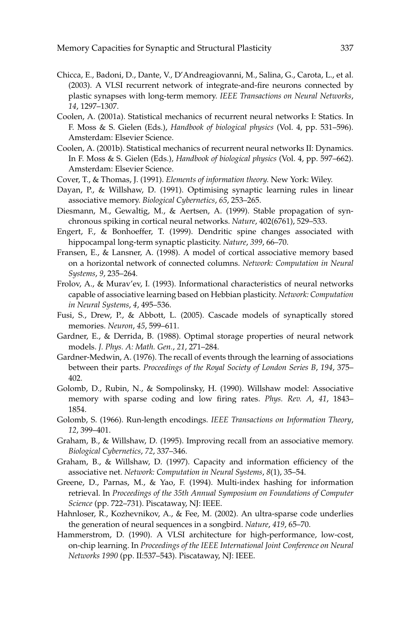- Chicca, E., Badoni, D., Dante, V., D'Andreagiovanni, M., Salina, G., Carota, L., et al. (2003). A VLSI recurrent network of integrate-and-fire neurons connected by plastic synapses with long-term memory. *IEEE Transactions on Neural Networks*, *14*, 1297–1307.
- Coolen, A. (2001a). Statistical mechanics of recurrent neural networks I: Statics. In F. Moss & S. Gielen (Eds.), *Handbook of biological physics* (Vol. 4, pp. 531–596). Amsterdam: Elsevier Science.
- Coolen, A. (2001b). Statistical mechanics of recurrent neural networks II: Dynamics. In F. Moss & S. Gielen (Eds.), *Handbook of biological physics* (Vol. 4, pp. 597–662). Amsterdam: Elsevier Science.
- Cover, T., & Thomas, J. (1991). *Elements of information theory.* New York: Wiley.
- Dayan, P., & Willshaw, D. (1991). Optimising synaptic learning rules in linear associative memory. *Biological Cybernetics*, *65*, 253–265.
- Diesmann, M., Gewaltig, M., & Aertsen, A. (1999). Stable propagation of synchronous spiking in cortical neural networks. *Nature*, 402(6761), 529–533.
- Engert, F., & Bonhoeffer, T. (1999). Dendritic spine changes associated with hippocampal long-term synaptic plasticity. *Nature*, *399*, 66–70.
- Fransen, E., & Lansner, A. (1998). A model of cortical associative memory based on a horizontal network of connected columns. *Network: Computation in Neural Systems*, *9*, 235–264.
- Frolov, A., & Murav'ev, I. (1993). Informational characteristics of neural networks capable of associative learning based on Hebbian plasticity. *Network: Computation in Neural Systems*, *4*, 495–536.
- Fusi, S., Drew, P., & Abbott, L. (2005). Cascade models of synaptically stored memories. *Neuron*, *45*, 599–611.
- Gardner, E., & Derrida, B. (1988). Optimal storage properties of neural network models. *J. Phys. A: Math. Gen.*, *21*, 271–284.
- Gardner-Medwin, A. (1976). The recall of events through the learning of associations between their parts. *Proceedings of the Royal Society of London Series B*, *194*, 375– 402.
- Golomb, D., Rubin, N., & Sompolinsky, H. (1990). Willshaw model: Associative memory with sparse coding and low firing rates. *Phys. Rev. A*, *41*, 1843– 1854.
- Golomb, S. (1966). Run-length encodings. *IEEE Transactions on Information Theory*, *12*, 399–401.
- Graham, B., & Willshaw, D. (1995). Improving recall from an associative memory. *Biological Cybernetics*, *72*, 337–346.
- Graham, B., & Willshaw, D. (1997). Capacity and information efficiency of the associative net. *Network: Computation in Neural Systems*, *8*(1), 35–54.
- Greene, D., Parnas, M., & Yao, F. (1994). Multi-index hashing for information retrieval. In *Proceedings of the 35th Annual Symposium on Foundations of Computer Science* (pp. 722–731). Piscataway, NJ: IEEE.
- Hahnloser, R., Kozhevnikov, A., & Fee, M. (2002). An ultra-sparse code underlies the generation of neural sequences in a songbird. *Nature*, *419*, 65–70.
- Hammerstrom, D. (1990). A VLSI architecture for high-performance, low-cost, on-chip learning. In *Proceedings of the IEEE International Joint Conference on Neural Networks 1990* (pp. II:537–543). Piscataway, NJ: IEEE.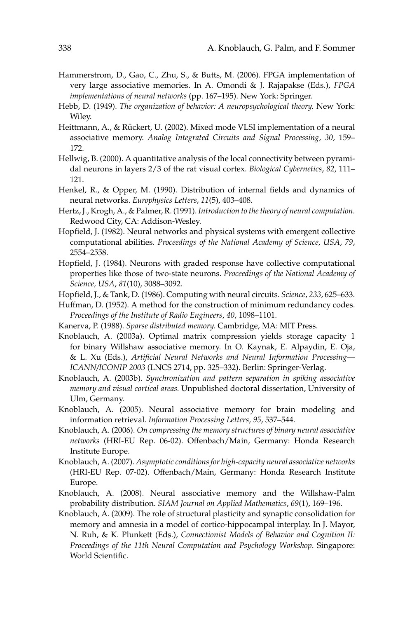- Hammerstrom, D., Gao, C., Zhu, S., & Butts, M. (2006). FPGA implementation of very large associative memories. In A. Omondi & J. Rajapakse (Eds.), *FPGA implementations of neural networks* (pp. 167–195). New York: Springer.
- Hebb, D. (1949). *The organization of behavior: A neuropsychological theory.* New York: Wiley.
- Heittmann, A., & Rückert, U. (2002). Mixed mode VLSI implementation of a neural associative memory. *Analog Integrated Circuits and Signal Processing*, *30*, 159– 172.
- Hellwig, B. (2000). A quantitative analysis of the local connectivity between pyramidal neurons in layers 2/3 of the rat visual cortex. *Biological Cybernetics*, *82*, 111– 121.
- Henkel, R., & Opper, M. (1990). Distribution of internal fields and dynamics of neural networks. *Europhysics Letters*, *11*(5), 403–408.
- Hertz, J., Krogh, A., & Palmer, R. (1991). *Introduction to the theory of neural computation.* Redwood City, CA: Addison-Wesley.
- Hopfield, J. (1982). Neural networks and physical systems with emergent collective computational abilities. *Proceedings of the National Academy of Science, USA*, *79*, 2554–2558.
- Hopfield, J. (1984). Neurons with graded response have collective computational properties like those of two-state neurons. *Proceedings of the National Academy of Science, USA*, *81*(10), 3088–3092.
- Hopfield, J., & Tank, D. (1986). Computing with neural circuits. *Science*, *233*, 625–633.
- Huffman, D. (1952). A method for the construction of minimum redundancy codes. *Proceedings of the Institute of Radio Engineers*, *40*, 1098–1101.
- Kanerva, P. (1988). *Sparse distributed memory.* Cambridge, MA: MIT Press.
- Knoblauch, A. (2003a). Optimal matrix compression yields storage capacity 1 for binary Willshaw associative memory. In O. Kaynak, E. Alpaydin, E. Oja, & L. Xu (Eds.), *Artificial Neural Networks and Neural Information Processing— ICANN/ICONIP 2003* (LNCS 2714, pp. 325–332). Berlin: Springer-Verlag.
- Knoblauch, A. (2003b). *Synchronization and pattern separation in spiking associative memory and visual cortical areas.* Unpublished doctoral dissertation, University of Ulm, Germany.
- Knoblauch, A. (2005). Neural associative memory for brain modeling and information retrieval. *Information Processing Letters*, *95*, 537–544.
- Knoblauch, A. (2006). *On compressing the memory structures of binary neural associative networks* (HRI-EU Rep. 06-02). Offenbach/Main, Germany: Honda Research Institute Europe.
- Knoblauch, A. (2007). *Asymptotic conditions for high-capacity neural associative networks* (HRI-EU Rep. 07-02). Offenbach/Main, Germany: Honda Research Institute Europe.
- Knoblauch, A. (2008). Neural associative memory and the Willshaw-Palm probability distribution. *SIAM Journal on Applied Mathematics*, *69*(1), 169–196.
- Knoblauch, A. (2009). The role of structural plasticity and synaptic consolidation for memory and amnesia in a model of cortico-hippocampal interplay. In J. Mayor, N. Ruh, & K. Plunkett (Eds.), *Connectionist Models of Behavior and Cognition II: Proceedings of the 11th Neural Computation and Psychology Workshop*. Singapore: World Scientific.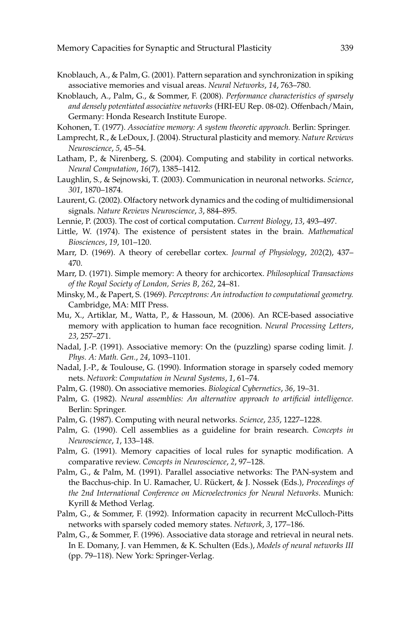- Knoblauch, A., & Palm, G. (2001). Pattern separation and synchronization in spiking associative memories and visual areas. *Neural Networks*, *14*, 763–780.
- Knoblauch, A., Palm, G., & Sommer, F. (2008). *Performance characteristics of sparsely and densely potentiated associative networks* (HRI-EU Rep. 08-02). Offenbach/Main, Germany: Honda Research Institute Europe.
- Kohonen, T. (1977). *Associative memory: A system theoretic approach.* Berlin: Springer.
- Lamprecht, R., & LeDoux, J. (2004). Structural plasticity and memory. *Nature Reviews Neuroscience*, *5*, 45–54.
- Latham, P., & Nirenberg, S. (2004). Computing and stability in cortical networks. *Neural Computation*, *16*(7), 1385–1412.
- Laughlin, S., & Sejnowski, T. (2003). Communication in neuronal networks. *Science*, *301*, 1870–1874.
- Laurent, G. (2002). Olfactory network dynamics and the coding of multidimensional signals. *Nature Reviews Neuroscience*, *3*, 884–895.
- Lennie, P. (2003). The cost of cortical computation. *Current Biology*, *13*, 493–497.
- Little, W. (1974). The existence of persistent states in the brain. *Mathematical Biosciences*, *19*, 101–120.
- Marr, D. (1969). A theory of cerebellar cortex. *Journal of Physiology*, *202*(2), 437– 470.
- Marr, D. (1971). Simple memory: A theory for archicortex. *Philosophical Transactions of the Royal Society of London, Series B*, *262*, 24–81.
- Minsky, M., & Papert, S. (1969). *Perceptrons: An introduction to computational geometry.* Cambridge, MA: MIT Press.
- Mu, X., Artiklar, M., Watta, P., & Hassoun, M. (2006). An RCE-based associative memory with application to human face recognition. *Neural Processing Letters*, *23*, 257–271.
- Nadal, J.-P. (1991). Associative memory: On the (puzzling) sparse coding limit. *J. Phys. A: Math. Gen.*, *24*, 1093–1101.
- Nadal, J.-P., & Toulouse, G. (1990). Information storage in sparsely coded memory nets. *Network: Computation in Neural Systems*, *1*, 61–74.
- Palm, G. (1980). On associative memories. *Biological Cybernetics*, *36*, 19–31.
- Palm, G. (1982). *Neural assemblies: An alternative approach to artificial intelligence.* Berlin: Springer.
- Palm, G. (1987). Computing with neural networks. *Science*, *235*, 1227–1228.
- Palm, G. (1990). Cell assemblies as a guideline for brain research. *Concepts in Neuroscience*, *1*, 133–148.
- Palm, G. (1991). Memory capacities of local rules for synaptic modification. A comparative review. *Concepts in Neuroscience*, *2*, 97–128.
- Palm, G., & Palm, M. (1991). Parallel associative networks: The PAN-system and the Bacchus-chip. In U. Ramacher, U. Rückert, & J. Nossek (Eds.), *Proceedings of the 2nd International Conference on Microelectronics for Neural Networks*. Munich: Kyrill & Method Verlag.
- Palm, G., & Sommer, F. (1992). Information capacity in recurrent McCulloch-Pitts networks with sparsely coded memory states. *Network*, *3*, 177–186.
- Palm, G., & Sommer, F. (1996). Associative data storage and retrieval in neural nets. In E. Domany, J. van Hemmen, & K. Schulten (Eds.), *Models of neural networks III* (pp. 79–118). New York: Springer-Verlag.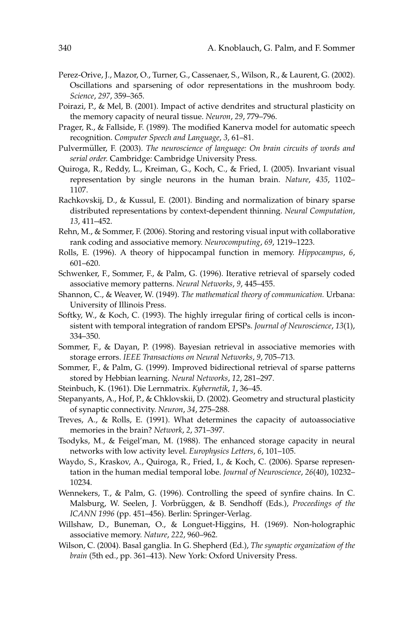- Perez-Orive, J., Mazor, O., Turner, G., Cassenaer, S., Wilson, R., & Laurent, G. (2002). Oscillations and sparsening of odor representations in the mushroom body. *Science*, *297*, 359–365.
- Poirazi, P., & Mel, B. (2001). Impact of active dendrites and structural plasticity on the memory capacity of neural tissue. *Neuron*, *29*, 779–796.
- Prager, R., & Fallside, F. (1989). The modified Kanerva model for automatic speech recognition. *Computer Speech and Language*, *3*, 61–81.
- Pulvermüller, F. (2003). The neuroscience of language: On brain circuits of words and *serial order.* Cambridge: Cambridge University Press.
- Quiroga, R., Reddy, L., Kreiman, G., Koch, C., & Fried, I. (2005). Invariant visual representation by single neurons in the human brain. *Nature*, *435*, 1102– 1107.
- Rachkovskij, D., & Kussul, E. (2001). Binding and normalization of binary sparse distributed representations by context-dependent thinning. *Neural Computation*, *13*, 411–452.
- Rehn, M., & Sommer, F. (2006). Storing and restoring visual input with collaborative rank coding and associative memory. *Neurocomputing*, *69*, 1219–1223.
- Rolls, E. (1996). A theory of hippocampal function in memory. *Hippocampus*, *6*, 601–620.
- Schwenker, F., Sommer, F., & Palm, G. (1996). Iterative retrieval of sparsely coded associative memory patterns. *Neural Networks*, *9*, 445–455.
- Shannon, C., & Weaver, W. (1949). *The mathematical theory of communication.* Urbana: University of Illinois Press.
- Softky, W., & Koch, C. (1993). The highly irregular firing of cortical cells is inconsistent with temporal integration of random EPSPs. *Journal of Neuroscience*, *13*(1), 334–350.
- Sommer, F., & Dayan, P. (1998). Bayesian retrieval in associative memories with storage errors. *IEEE Transactions on Neural Networks*, *9*, 705–713.
- Sommer, F., & Palm, G. (1999). Improved bidirectional retrieval of sparse patterns stored by Hebbian learning. *Neural Networks*, *12*, 281–297.
- Steinbuch, K. (1961). Die Lernmatrix. *Kybernetik*, *1*, 36–45.
- Stepanyants, A., Hof, P., & Chklovskii, D. (2002). Geometry and structural plasticity of synaptic connectivity. *Neuron*, *34*, 275–288.
- Treves, A., & Rolls, E. (1991). What determines the capacity of autoassociative memories in the brain? *Network*, *2*, 371–397.
- Tsodyks, M., & Feigel'man, M. (1988). The enhanced storage capacity in neural networks with low activity level. *Europhysics Letters*, *6*, 101–105.
- Waydo, S., Kraskov, A., Quiroga, R., Fried, I., & Koch, C. (2006). Sparse representation in the human medial temporal lobe. *Journal of Neuroscience*, *26*(40), 10232– 10234.
- Wennekers, T., & Palm, G. (1996). Controlling the speed of synfire chains. In C. Malsburg, W. Seelen, J. Vorbrüggen, & B. Sendhoff (Eds.), *Proceedings of the ICANN 1996* (pp. 451–456). Berlin: Springer-Verlag.
- Willshaw, D., Buneman, O., & Longuet-Higgins, H. (1969). Non-holographic associative memory. *Nature*, *222*, 960–962.
- Wilson, C. (2004). Basal ganglia. In G. Shepherd (Ed.), *The synaptic organization of the brain* (5th ed., pp. 361–413). New York: Oxford University Press.